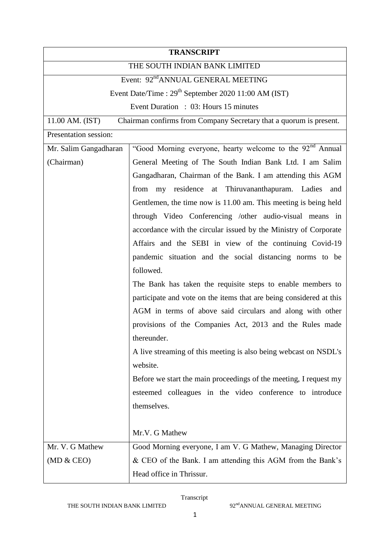| <b>TRANSCRIPT</b>                                                                     |                                                                       |  |
|---------------------------------------------------------------------------------------|-----------------------------------------------------------------------|--|
| THE SOUTH INDIAN BANK LIMITED                                                         |                                                                       |  |
| Event: 92 <sup>nd</sup> ANNUAL GENERAL MEETING                                        |                                                                       |  |
| Event Date/Time : $29th$ September 2020 11:00 AM (IST)                                |                                                                       |  |
|                                                                                       | Event Duration : 03: Hours 15 minutes                                 |  |
| 11.00 AM. (IST)<br>Chairman confirms from Company Secretary that a quorum is present. |                                                                       |  |
| Presentation session:                                                                 |                                                                       |  |
| Mr. Salim Gangadharan                                                                 | "Good Morning everyone, hearty welcome to the 92 <sup>nd</sup> Annual |  |
| (Chairman)                                                                            | General Meeting of The South Indian Bank Ltd. I am Salim              |  |
|                                                                                       | Gangadharan, Chairman of the Bank. I am attending this AGM            |  |
|                                                                                       | from my residence at Thiruvananthapuram. Ladies<br>and                |  |
|                                                                                       | Gentlemen, the time now is 11.00 am. This meeting is being held       |  |
|                                                                                       | through Video Conferencing /other audio-visual means in               |  |
|                                                                                       | accordance with the circular issued by the Ministry of Corporate      |  |
|                                                                                       | Affairs and the SEBI in view of the continuing Covid-19               |  |
|                                                                                       | pandemic situation and the social distancing norms to be              |  |
|                                                                                       | followed.                                                             |  |
|                                                                                       | The Bank has taken the requisite steps to enable members to           |  |
|                                                                                       | participate and vote on the items that are being considered at this   |  |
|                                                                                       | AGM in terms of above said circulars and along with other             |  |
|                                                                                       | provisions of the Companies Act, 2013 and the Rules made              |  |
|                                                                                       | thereunder.                                                           |  |
|                                                                                       | A live streaming of this meeting is also being webcast on NSDL's      |  |
|                                                                                       | website.                                                              |  |
|                                                                                       | Before we start the main proceedings of the meeting, I request my     |  |
|                                                                                       | esteemed colleagues in the video conference to introduce              |  |
|                                                                                       | themselves.                                                           |  |
|                                                                                       |                                                                       |  |
|                                                                                       | Mr.V. G Mathew                                                        |  |
| Mr. V. G Mathew                                                                       | Good Morning everyone, I am V. G Mathew, Managing Director            |  |
| (MD & CEO)                                                                            | & CEO of the Bank. I am attending this AGM from the Bank's            |  |
|                                                                                       | Head office in Thrissur.                                              |  |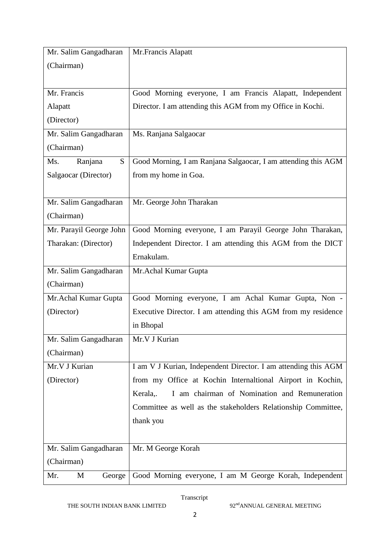| Mr. Salim Gangadharan   | Mr.Francis Alapatt                                             |
|-------------------------|----------------------------------------------------------------|
| (Chairman)              |                                                                |
|                         |                                                                |
| Mr. Francis             | Good Morning everyone, I am Francis Alapatt, Independent       |
| Alapatt                 | Director. I am attending this AGM from my Office in Kochi.     |
| (Director)              |                                                                |
| Mr. Salim Gangadharan   | Ms. Ranjana Salgaocar                                          |
| (Chairman)              |                                                                |
| Ms.<br>Ranjana<br>S.    | Good Morning, I am Ranjana Salgaocar, I am attending this AGM  |
| Salgaocar (Director)    | from my home in Goa.                                           |
|                         |                                                                |
| Mr. Salim Gangadharan   | Mr. George John Tharakan                                       |
| (Chairman)              |                                                                |
| Mr. Parayil George John | Good Morning everyone, I am Parayil George John Tharakan,      |
| Tharakan: (Director)    | Independent Director. I am attending this AGM from the DICT    |
|                         | Ernakulam.                                                     |
| Mr. Salim Gangadharan   | Mr.Achal Kumar Gupta                                           |
| (Chairman)              |                                                                |
| Mr. Achal Kumar Gupta   | Good Morning everyone, I am Achal Kumar Gupta, Non -           |
| (Director)              | Executive Director. I am attending this AGM from my residence  |
|                         | in Bhopal                                                      |
| Mr. Salim Gangadharan   | Mr.V J Kurian                                                  |
| (Chairman)              |                                                                |
| Mr.V J Kurian           | I am V J Kurian, Independent Director. I am attending this AGM |
| (Director)              | from my Office at Kochin Internaltional Airport in Kochin,     |
|                         | I am chairman of Nomination and Remuneration<br>Kerala,.       |
|                         | Committee as well as the stakeholders Relationship Committee,  |
|                         | thank you                                                      |
|                         |                                                                |
| Mr. Salim Gangadharan   | Mr. M George Korah                                             |
| (Chairman)              |                                                                |
| Mr.<br>M<br>George      | Good Morning everyone, I am M George Korah, Independent        |

THE SOUTH INDIAN BANK LIMITED 92<sup>nd</sup>ANNUAL GENERAL MEETING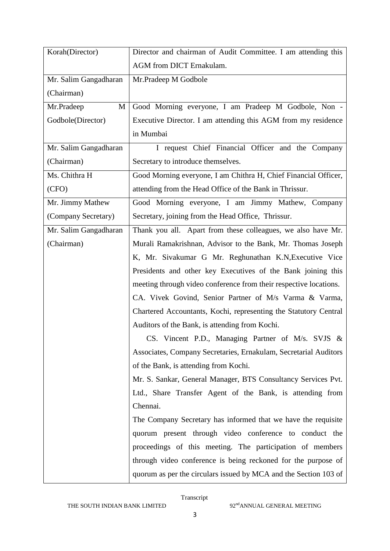| Korah (Director)      | Director and chairman of Audit Committee. I am attending this     |
|-----------------------|-------------------------------------------------------------------|
|                       | AGM from DICT Ernakulam.                                          |
| Mr. Salim Gangadharan | Mr.Pradeep M Godbole                                              |
| (Chairman)            |                                                                   |
| Mr.Pradeep<br>M       | Good Morning everyone, I am Pradeep M Godbole, Non -              |
| Godbole(Director)     | Executive Director. I am attending this AGM from my residence     |
|                       | in Mumbai                                                         |
| Mr. Salim Gangadharan | I request Chief Financial Officer and the Company                 |
| (Chairman)            | Secretary to introduce themselves.                                |
| Ms. Chithra H         | Good Morning everyone, I am Chithra H, Chief Financial Officer,   |
| (CFO)                 | attending from the Head Office of the Bank in Thrissur.           |
| Mr. Jimmy Mathew      | Good Morning everyone, I am Jimmy Mathew, Company                 |
| (Company Secretary)   | Secretary, joining from the Head Office, Thrissur.                |
| Mr. Salim Gangadharan | Thank you all. Apart from these colleagues, we also have Mr.      |
| (Chairman)            | Murali Ramakrishnan, Advisor to the Bank, Mr. Thomas Joseph       |
|                       | K, Mr. Sivakumar G Mr. Reghunathan K.N, Executive Vice            |
|                       | Presidents and other key Executives of the Bank joining this      |
|                       | meeting through video conference from their respective locations. |
|                       | CA. Vivek Govind, Senior Partner of M/s Varma & Varma,            |
|                       | Chartered Accountants, Kochi, representing the Statutory Central  |
|                       | Auditors of the Bank, is attending from Kochi.                    |
|                       | CS. Vincent P.D., Managing Partner of M/s. SVJS &                 |
|                       | Associates, Company Secretaries, Ernakulam, Secretarial Auditors  |
|                       | of the Bank, is attending from Kochi.                             |
|                       | Mr. S. Sankar, General Manager, BTS Consultancy Services Pvt.     |
|                       | Ltd., Share Transfer Agent of the Bank, is attending from         |
|                       | Chennai.                                                          |
|                       | The Company Secretary has informed that we have the requisite     |
|                       | quorum present through video conference to conduct the            |
|                       | proceedings of this meeting. The participation of members         |
|                       | through video conference is being reckoned for the purpose of     |
|                       | quorum as per the circulars issued by MCA and the Section 103 of  |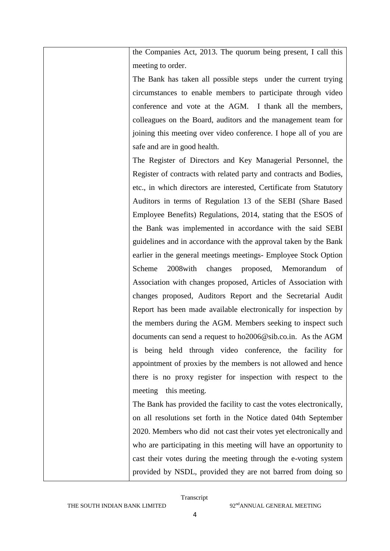the Companies Act, 2013. The quorum being present, I call this meeting to order.

The Bank has taken all possible steps under the current trying circumstances to enable members to participate through video conference and vote at the AGM. I thank all the members, colleagues on the Board, auditors and the management team for joining this meeting over video conference. I hope all of you are safe and are in good health.

The Register of Directors and Key Managerial Personnel, the Register of contracts with related party and contracts and Bodies, etc., in which directors are interested, Certificate from Statutory Auditors in terms of Regulation 13 of the SEBI (Share Based Employee Benefits) Regulations, 2014, stating that the ESOS of the Bank was implemented in accordance with the said SEBI guidelines and in accordance with the approval taken by the Bank earlier in the general meetings meetings- Employee Stock Option Scheme 2008with changes proposed, Memorandum of Association with changes proposed, Articles of Association with changes proposed, Auditors Report and the Secretarial Audit Report has been made available electronically for inspection by the members during the AGM. Members seeking to inspect such documents can send a request to ho2006@sib.co.in. As the AGM is being held through video conference, the facility for appointment of proxies by the members is not allowed and hence there is no proxy register for inspection with respect to the meeting this meeting.

The Bank has provided the facility to cast the votes electronically, on all resolutions set forth in the Notice dated 04th September 2020. Members who did not cast their votes yet electronically and who are participating in this meeting will have an opportunity to cast their votes during the meeting through the e-voting system provided by NSDL, provided they are not barred from doing so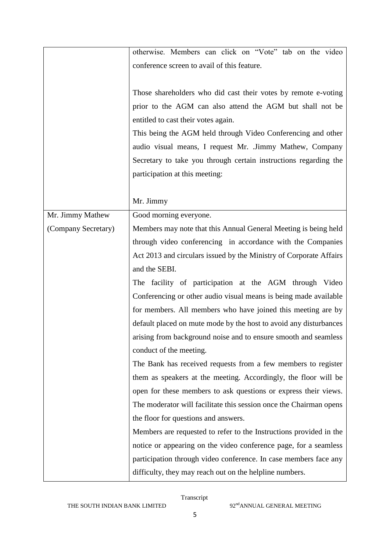|                     | otherwise. Members can click on "Vote" tab on the video            |
|---------------------|--------------------------------------------------------------------|
|                     | conference screen to avail of this feature.                        |
|                     |                                                                    |
|                     | Those shareholders who did cast their votes by remote e-voting     |
|                     | prior to the AGM can also attend the AGM but shall not be          |
|                     | entitled to cast their votes again.                                |
|                     | This being the AGM held through Video Conferencing and other       |
|                     | audio visual means, I request Mr. Jimmy Mathew, Company            |
|                     | Secretary to take you through certain instructions regarding the   |
|                     | participation at this meeting:                                     |
|                     |                                                                    |
|                     | Mr. Jimmy                                                          |
| Mr. Jimmy Mathew    | Good morning everyone.                                             |
| (Company Secretary) | Members may note that this Annual General Meeting is being held    |
|                     | through video conferencing in accordance with the Companies        |
|                     | Act 2013 and circulars issued by the Ministry of Corporate Affairs |
|                     | and the SEBI.                                                      |
|                     | The facility of participation at the AGM through Video             |
|                     | Conferencing or other audio visual means is being made available   |
|                     | for members. All members who have joined this meeting are by       |
|                     | default placed on mute mode by the host to avoid any disturbances  |
|                     | arising from background noise and to ensure smooth and seamless    |
|                     | conduct of the meeting.                                            |
|                     | The Bank has received requests from a few members to register      |
|                     | them as speakers at the meeting. Accordingly, the floor will be    |
|                     | open for these members to ask questions or express their views.    |
|                     | The moderator will facilitate this session once the Chairman opens |
|                     | the floor for questions and answers.                               |
|                     | Members are requested to refer to the Instructions provided in the |
|                     | notice or appearing on the video conference page, for a seamless   |
|                     | participation through video conference. In case members face any   |
|                     | difficulty, they may reach out on the helpline numbers.            |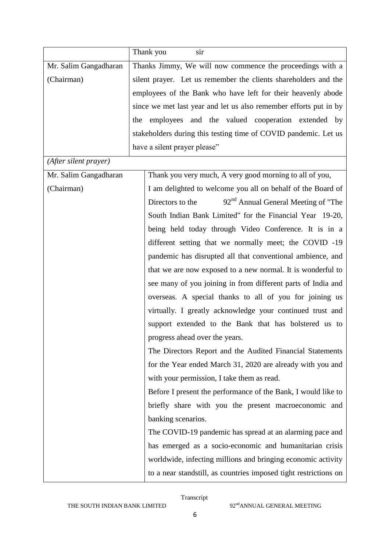|                       | Thank you<br>sir                                                    |
|-----------------------|---------------------------------------------------------------------|
| Mr. Salim Gangadharan | Thanks Jimmy, We will now commence the proceedings with a           |
| (Chairman)            | silent prayer. Let us remember the clients shareholders and the     |
|                       | employees of the Bank who have left for their heavenly abode        |
|                       | since we met last year and let us also remember efforts put in by   |
|                       | the employees and the valued cooperation extended by                |
|                       | stakeholders during this testing time of COVID pandemic. Let us     |
|                       | have a silent prayer please"                                        |
| (After silent prayer) |                                                                     |
| Mr. Salim Gangadharan | Thank you very much, A very good morning to all of you,             |
| (Chairman)            | I am delighted to welcome you all on behalf of the Board of         |
|                       | 92 <sup>nd</sup> Annual General Meeting of "The<br>Directors to the |
|                       | South Indian Bank Limited" for the Financial Year 19-20,            |
|                       | being held today through Video Conference. It is in a               |
|                       | different setting that we normally meet; the COVID -19              |
|                       | pandemic has disrupted all that conventional ambience, and          |
|                       | that we are now exposed to a new normal. It is wonderful to         |
|                       | see many of you joining in from different parts of India and        |
|                       | overseas. A special thanks to all of you for joining us             |
|                       | virtually. I greatly acknowledge your continued trust and           |
|                       | support extended to the Bank that has bolstered us to               |
|                       | progress ahead over the years.                                      |
|                       | The Directors Report and the Audited Financial Statements           |
|                       | for the Year ended March 31, 2020 are already with you and          |
|                       | with your permission, I take them as read.                          |
|                       | Before I present the performance of the Bank, I would like to       |
|                       | briefly share with you the present macroeconomic and                |
|                       | banking scenarios.                                                  |
|                       | The COVID-19 pandemic has spread at an alarming pace and            |
|                       | has emerged as a socio-economic and humanitarian crisis             |
|                       | worldwide, infecting millions and bringing economic activity        |
|                       | to a near standstill, as countries imposed tight restrictions on    |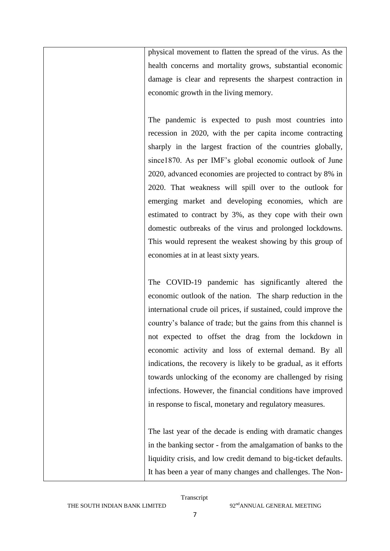physical movement to flatten the spread of the virus. As the health concerns and mortality grows, substantial economic damage is clear and represents the sharpest contraction in economic growth in the living memory.

The pandemic is expected to push most countries into recession in 2020, with the per capita income contracting sharply in the largest fraction of the countries globally, since1870. As per IMF's global economic outlook of June 2020, advanced economies are projected to contract by 8% in 2020. That weakness will spill over to the outlook for emerging market and developing economies, which are estimated to contract by 3%, as they cope with their own domestic outbreaks of the virus and prolonged lockdowns. This would represent the weakest showing by this group of economies at in at least sixty years.

The COVID-19 pandemic has significantly altered the economic outlook of the nation. The sharp reduction in the international crude oil prices, if sustained, could improve the country"s balance of trade; but the gains from this channel is not expected to offset the drag from the lockdown in economic activity and loss of external demand. By all indications, the recovery is likely to be gradual, as it efforts towards unlocking of the economy are challenged by rising infections. However, the financial conditions have improved in response to fiscal, monetary and regulatory measures.

The last year of the decade is ending with dramatic changes in the banking sector - from the amalgamation of banks to the liquidity crisis, and low credit demand to big-ticket defaults. It has been a year of many changes and challenges. The Non-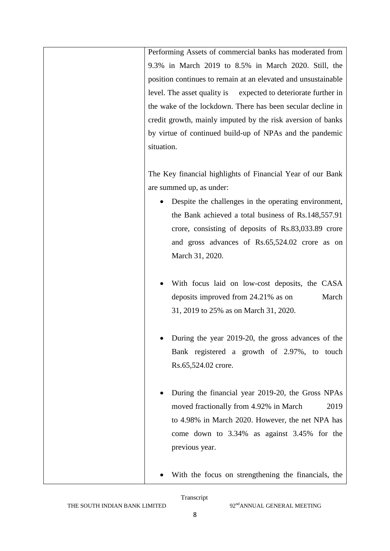Performing Assets of commercial banks has moderated from 9.3% in March 2019 to 8.5% in March 2020. Still, the position continues to remain at an elevated and unsustainable level. The asset quality is expected to deteriorate further in the wake of the lockdown. There has been secular decline in credit growth, mainly imputed by the risk aversion of banks by virtue of continued build-up of NPAs and the pandemic situation.

The Key financial highlights of Financial Year of our Bank are summed up, as under:

- Despite the challenges in the operating environment, the Bank achieved a total business of Rs.148,557.91 crore, consisting of deposits of Rs.83,033.89 crore and gross advances of Rs.65,524.02 crore as on March 31, 2020.
- With focus laid on low-cost deposits, the CASA deposits improved from 24.21% as on March 31, 2019 to 25% as on March 31, 2020.
- During the year 2019-20, the gross advances of the Bank registered a growth of 2.97%, to touch Rs.65,524.02 crore.
- During the financial year 2019-20, the Gross NPAs moved fractionally from 4.92% in March 2019 to 4.98% in March 2020. However, the net NPA has come down to 3.34% as against 3.45% for the previous year.
- With the focus on strengthening the financials, the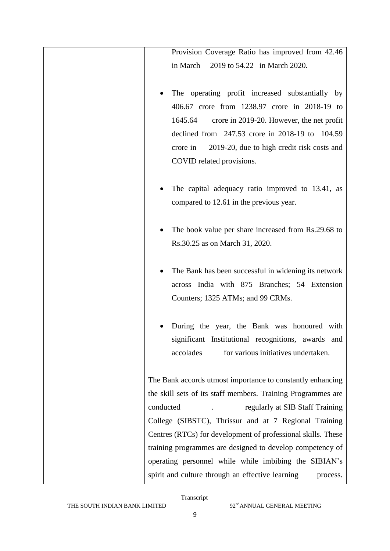| Provision Coverage Ratio has improved from 42.46<br>in March<br>2019 to 54.22 in March 2020.                                                                                                                                                                                                       |
|----------------------------------------------------------------------------------------------------------------------------------------------------------------------------------------------------------------------------------------------------------------------------------------------------|
| The operating profit increased substantially by<br>406.67 crore from 1238.97 crore in 2018-19 to<br>1645.64<br>crore in 2019-20. However, the net profit<br>declined from 247.53 crore in 2018-19 to 104.59<br>2019-20, due to high credit risk costs and<br>crore in<br>COVID related provisions. |
| The capital adequacy ratio improved to 13.41, as<br>compared to 12.61 in the previous year.                                                                                                                                                                                                        |
| The book value per share increased from Rs.29.68 to<br>Rs.30.25 as on March 31, 2020.                                                                                                                                                                                                              |
| The Bank has been successful in widening its network<br>across India with 875 Branches; 54 Extension<br>Counters; 1325 ATMs; and 99 CRMs.                                                                                                                                                          |
| During the year, the Bank was honoured with<br>significant Institutional recognitions, awards and<br>accolades<br>for various initiatives undertaken.                                                                                                                                              |
| The Bank accords utmost importance to constantly enhancing<br>the skill sets of its staff members. Training Programmes are                                                                                                                                                                         |
| conducted<br>regularly at SIB Staff Training<br>College (SIBSTC), Thrissur and at 7 Regional Training<br>Centres (RTCs) for development of professional skills. These                                                                                                                              |
| training programmes are designed to develop competency of<br>operating personnel while while imbibing the SIBIAN's<br>spirit and culture through an effective learning<br>process.                                                                                                                 |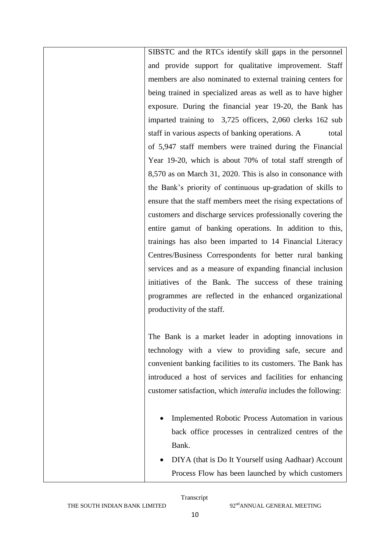SIBSTC and the RTCs identify skill gaps in the personnel and provide support for qualitative improvement. Staff members are also nominated to external training centers for being trained in specialized areas as well as to have higher exposure. During the financial year 19-20, the Bank has imparted training to 3,725 officers, 2,060 clerks 162 sub staff in various aspects of banking operations. A total of 5,947 staff members were trained during the Financial Year 19-20, which is about 70% of total staff strength of 8,570 as on March 31, 2020. This is also in consonance with the Bank"s priority of continuous up-gradation of skills to ensure that the staff members meet the rising expectations of customers and discharge services professionally covering the entire gamut of banking operations. In addition to this, trainings has also been imparted to 14 Financial Literacy Centres/Business Correspondents for better rural banking services and as a measure of expanding financial inclusion initiatives of the Bank. The success of these training programmes are reflected in the enhanced organizational productivity of the staff.

The Bank is a market leader in adopting innovations in technology with a view to providing safe, secure and convenient banking facilities to its customers. The Bank has introduced a host of services and facilities for enhancing customer satisfaction, which *interalia* includes the following:

- Implemented Robotic Process Automation in various back office processes in centralized centres of the Bank.
- DIYA (that is Do It Yourself using Aadhaar) Account Process Flow has been launched by which customers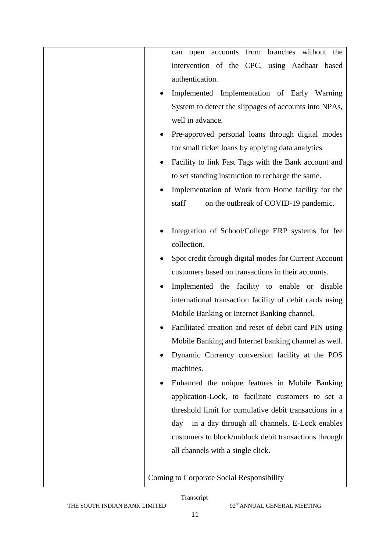| branches<br>from<br>without the<br>open accounts<br>can |
|---------------------------------------------------------|
| intervention of the CPC, using Aadhaar based            |
| authentication.                                         |
| Implemented Implementation of Early Warning             |
| System to detect the slippages of accounts into NPAs,   |
| well in advance.                                        |
| Pre-approved personal loans through digital modes       |
| for small ticket loans by applying data analytics.      |
| Facility to link Fast Tags with the Bank account and    |
| to set standing instruction to recharge the same.       |
| Implementation of Work from Home facility for the       |
| staff<br>on the outbreak of COVID-19 pandemic.          |
|                                                         |
| Integration of School/College ERP systems for fee       |
| collection.                                             |
| Spot credit through digital modes for Current Account   |
| customers based on transactions in their accounts.      |
| Implemented the facility to enable or disable           |
| international transaction facility of debit cards using |
| Mobile Banking or Internet Banking channel.             |
| Facilitated creation and reset of debit card PIN using  |
| Mobile Banking and Internet banking channel as well.    |
| Dynamic Currency conversion facility at the POS         |
| machines.                                               |
| Enhanced the unique features in Mobile Banking          |
| application-Lock, to facilitate customers to set a      |
| threshold limit for cumulative debit transactions in a  |
| in a day through all channels. E-Lock enables<br>day    |
| customers to block/unblock debit transactions through   |
| all channels with a single click.                       |
|                                                         |
| Coming to Corporate Social Responsibility               |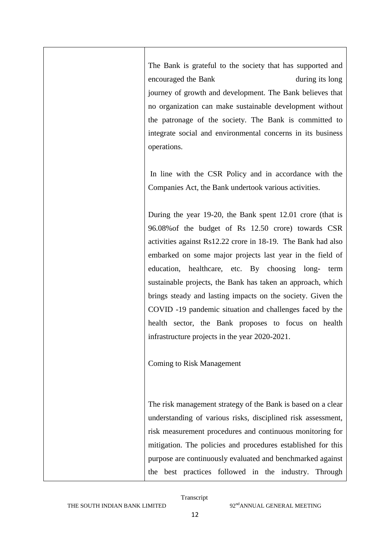The Bank is grateful to the society that has supported and encouraged the Bank during its long journey of growth and development. The Bank believes that no organization can make sustainable development without the patronage of the society. The Bank is committed to integrate social and environmental concerns in its business operations.

In line with the CSR Policy and in accordance with the Companies Act, the Bank undertook various activities.

During the year 19-20, the Bank spent 12.01 crore (that is 96.08%of the budget of Rs 12.50 crore) towards CSR activities against Rs12.22 crore in 18-19. The Bank had also embarked on some major projects last year in the field of education, healthcare, etc. By choosing long- term sustainable projects, the Bank has taken an approach, which brings steady and lasting impacts on the society. Given the COVID -19 pandemic situation and challenges faced by the health sector, the Bank proposes to focus on health infrastructure projects in the year 2020-2021.

Coming to Risk Management

The risk management strategy of the Bank is based on a clear understanding of various risks, disciplined risk assessment, risk measurement procedures and continuous monitoring for mitigation. The policies and procedures established for this purpose are continuously evaluated and benchmarked against the best practices followed in the industry. Through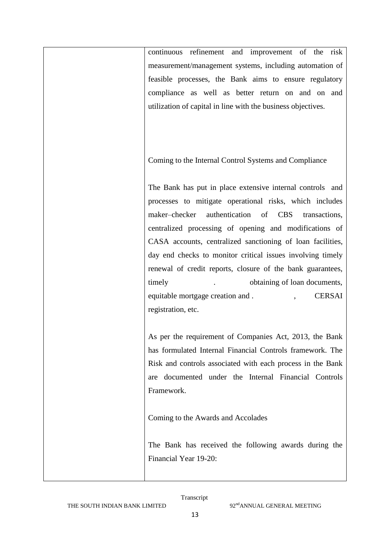continuous refinement and improvement of the risk measurement/management systems, including automation of feasible processes, the Bank aims to ensure regulatory compliance as well as better return on and on and utilization of capital in line with the business objectives.

Coming to the Internal Control Systems and Compliance

The Bank has put in place extensive internal controls and processes to mitigate operational risks, which includes maker–checker authentication of CBS transactions, centralized processing of opening and modifications of CASA accounts, centralized sanctioning of loan facilities, day end checks to monitor critical issues involving timely renewal of credit reports, closure of the bank guarantees, timely . btaining of loan documents, equitable mortgage creation and .  $CERSAI$ registration, etc.

As per the requirement of Companies Act, 2013, the Bank has formulated Internal Financial Controls framework. The Risk and controls associated with each process in the Bank are documented under the Internal Financial Controls Framework.

Coming to the Awards and Accolades

The Bank has received the following awards during the Financial Year 19-20: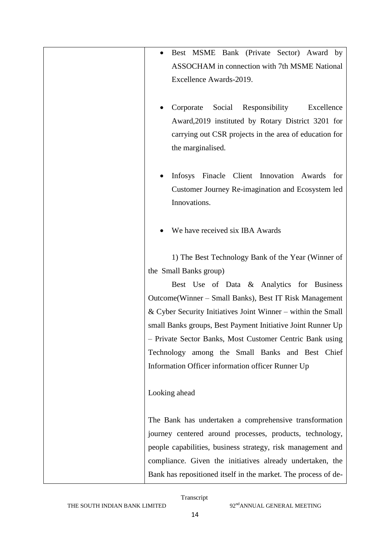| Best MSME Bank (Private Sector) Award by<br>ASSOCHAM in connection with 7th MSME National<br>Excellence Awards-2019.                                                                                                                                                                                                                                                                                                                                                                                     |
|----------------------------------------------------------------------------------------------------------------------------------------------------------------------------------------------------------------------------------------------------------------------------------------------------------------------------------------------------------------------------------------------------------------------------------------------------------------------------------------------------------|
| Social<br>Responsibility<br>Corporate<br>Excellence<br>Award, 2019 instituted by Rotary District 3201 for<br>carrying out CSR projects in the area of education for<br>the marginalised.                                                                                                                                                                                                                                                                                                                 |
| Infosys Finacle Client Innovation Awards<br>for<br>Customer Journey Re-imagination and Ecosystem led<br>Innovations.                                                                                                                                                                                                                                                                                                                                                                                     |
| We have received six IBA Awards                                                                                                                                                                                                                                                                                                                                                                                                                                                                          |
| 1) The Best Technology Bank of the Year (Winner of<br>the Small Banks group)<br>Best Use of Data & Analytics for Business<br>Outcome (Winner – Small Banks), Best IT Risk Management<br>& Cyber Security Initiatives Joint Winner – within the Small<br>small Banks groups, Best Payment Initiative Joint Runner Up<br>- Private Sector Banks, Most Customer Centric Bank using<br>Technology among the Small Banks and Best Chief<br>Information Officer information officer Runner Up<br>Looking ahead |
| The Bank has undertaken a comprehensive transformation<br>journey centered around processes, products, technology,<br>people capabilities, business strategy, risk management and<br>compliance. Given the initiatives already undertaken, the                                                                                                                                                                                                                                                           |
| Bank has repositioned itself in the market. The process of de-                                                                                                                                                                                                                                                                                                                                                                                                                                           |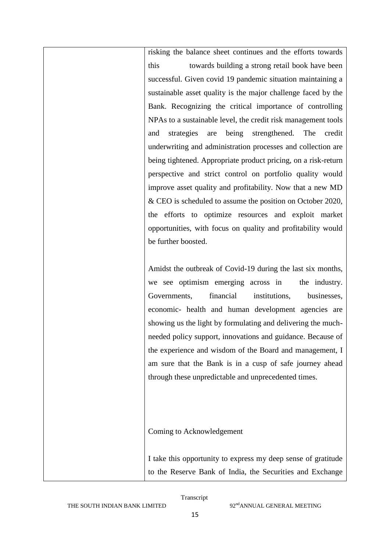risking the balance sheet continues and the efforts towards this towards building a strong retail book have been successful. Given covid 19 pandemic situation maintaining a sustainable asset quality is the major challenge faced by the Bank. Recognizing the critical importance of controlling NPAs to a sustainable level, the credit risk management tools and strategies are being strengthened. The credit underwriting and administration processes and collection are being tightened. Appropriate product pricing, on a risk-return perspective and strict control on portfolio quality would improve asset quality and profitability. Now that a new MD & CEO is scheduled to assume the position on October 2020, the efforts to optimize resources and exploit market opportunities, with focus on quality and profitability would be further boosted.

Amidst the outbreak of Covid-19 during the last six months, we see optimism emerging across in the industry. Governments, financial institutions, businesses, economic- health and human development agencies are showing us the light by formulating and delivering the muchneeded policy support, innovations and guidance. Because of the experience and wisdom of the Board and management, I am sure that the Bank is in a cusp of safe journey ahead through these unpredictable and unprecedented times.

Coming to Acknowledgement

I take this opportunity to express my deep sense of gratitude to the Reserve Bank of India, the Securities and Exchange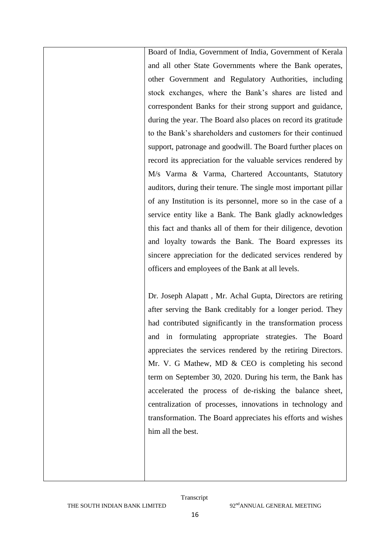Board of India, Government of India, Government of Kerala and all other State Governments where the Bank operates, other Government and Regulatory Authorities, including stock exchanges, where the Bank"s shares are listed and correspondent Banks for their strong support and guidance, during the year. The Board also places on record its gratitude to the Bank"s shareholders and customers for their continued support, patronage and goodwill. The Board further places on record its appreciation for the valuable services rendered by M/s Varma & Varma, Chartered Accountants, Statutory auditors, during their tenure. The single most important pillar of any Institution is its personnel, more so in the case of a service entity like a Bank. The Bank gladly acknowledges this fact and thanks all of them for their diligence, devotion and loyalty towards the Bank. The Board expresses its sincere appreciation for the dedicated services rendered by officers and employees of the Bank at all levels.

Dr. Joseph Alapatt , Mr. Achal Gupta, Directors are retiring after serving the Bank creditably for a longer period. They had contributed significantly in the transformation process and in formulating appropriate strategies. The Board appreciates the services rendered by the retiring Directors. Mr. V. G Mathew, MD & CEO is completing his second term on September 30, 2020. During his term, the Bank has accelerated the process of de-risking the balance sheet, centralization of processes, innovations in technology and transformation. The Board appreciates his efforts and wishes him all the best.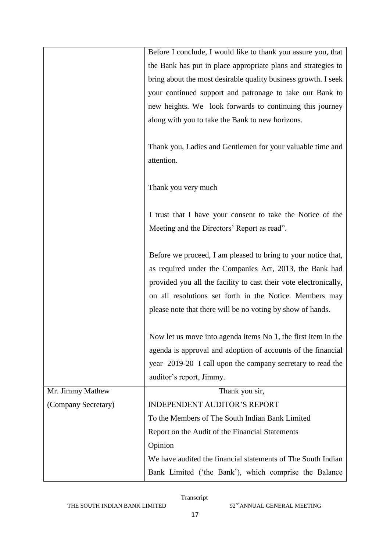|                     | Before I conclude, I would like to thank you assure you, that    |
|---------------------|------------------------------------------------------------------|
|                     | the Bank has put in place appropriate plans and strategies to    |
|                     | bring about the most desirable quality business growth. I seek   |
|                     | your continued support and patronage to take our Bank to         |
|                     | new heights. We look forwards to continuing this journey         |
|                     | along with you to take the Bank to new horizons.                 |
|                     |                                                                  |
|                     | Thank you, Ladies and Gentlemen for your valuable time and       |
|                     | attention.                                                       |
|                     |                                                                  |
|                     | Thank you very much                                              |
|                     |                                                                  |
|                     | I trust that I have your consent to take the Notice of the       |
|                     | Meeting and the Directors' Report as read".                      |
|                     |                                                                  |
|                     | Before we proceed, I am pleased to bring to your notice that,    |
|                     | as required under the Companies Act, 2013, the Bank had          |
|                     | provided you all the facility to cast their vote electronically, |
|                     | on all resolutions set forth in the Notice. Members may          |
|                     | please note that there will be no voting by show of hands.       |
|                     |                                                                  |
|                     | Now let us move into agenda items No 1, the first item in the    |
|                     | agenda is approval and adoption of accounts of the financial     |
|                     | year 2019-20 I call upon the company secretary to read the       |
|                     | auditor's report, Jimmy.                                         |
| Mr. Jimmy Mathew    | Thank you sir,                                                   |
| (Company Secretary) | <b>INDEPENDENT AUDITOR'S REPORT</b>                              |
|                     | To the Members of The South Indian Bank Limited                  |
|                     | Report on the Audit of the Financial Statements                  |
|                     | Opinion                                                          |
|                     | We have audited the financial statements of The South Indian     |
|                     | Bank Limited ('the Bank'), which comprise the Balance            |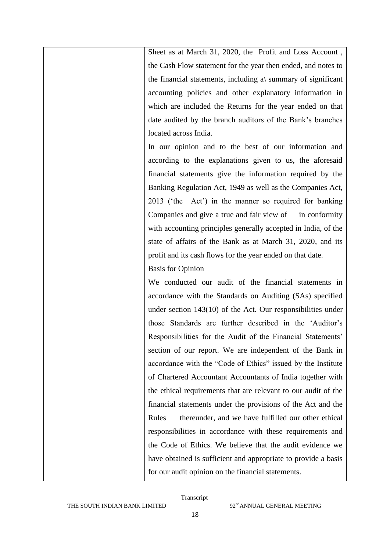Sheet as at March 31, 2020, the Profit and Loss Account , the Cash Flow statement for the year then ended, and notes to the financial statements, including a $\gamma$  summary of significant accounting policies and other explanatory information in which are included the Returns for the year ended on that date audited by the branch auditors of the Bank"s branches located across India.

In our opinion and to the best of our information and according to the explanations given to us, the aforesaid financial statements give the information required by the Banking Regulation Act, 1949 as well as the Companies Act, 2013 ("the Act") in the manner so required for banking Companies and give a true and fair view of in conformity with accounting principles generally accepted in India, of the state of affairs of the Bank as at March 31, 2020, and its profit and its cash flows for the year ended on that date.

### Basis for Opinion

We conducted our audit of the financial statements in accordance with the Standards on Auditing (SAs) specified under section 143(10) of the Act. Our responsibilities under those Standards are further described in the "Auditor"s Responsibilities for the Audit of the Financial Statements' section of our report. We are independent of the Bank in accordance with the "Code of Ethics" issued by the Institute of Chartered Accountant Accountants of India together with the ethical requirements that are relevant to our audit of the financial statements under the provisions of the Act and the Rules thereunder, and we have fulfilled our other ethical responsibilities in accordance with these requirements and the Code of Ethics. We believe that the audit evidence we have obtained is sufficient and appropriate to provide a basis for our audit opinion on the financial statements.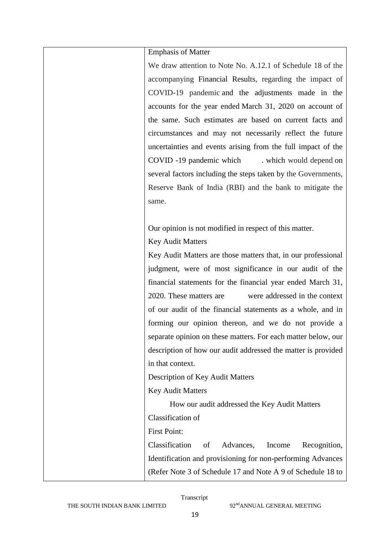| <b>Emphasis of Matter</b>                                     |
|---------------------------------------------------------------|
| We draw attention to Note No. A.12.1 of Schedule 18 of the    |
| accompanying Financial Results, regarding the impact of       |
| COVID-19 pandemic and the adjustments made in the             |
| accounts for the year ended March 31, 2020 on account of      |
| the same. Such estimates are based on current facts and       |
| circumstances and may not necessarily reflect the future      |
| uncertainties and events arising from the full impact of the  |
| COVID -19 pandemic which<br>which would depend on             |
| several factors including the steps taken by the Governments, |
| Reserve Bank of India (RBI) and the bank to mitigate the      |
| same.                                                         |
|                                                               |
| Our opinion is not modified in respect of this matter.        |
| <b>Key Audit Matters</b>                                      |
| Key Audit Matters are those matters that, in our professional |
| judgment, were of most significance in our audit of the       |
| financial statements for the financial year ended March 31,   |
| 2020. These matters are<br>were addressed in the context      |
| of our audit of the financial statements as a whole, and in   |
| forming our opinion thereon, and we do not provide a          |
| separate opinion on these matters. For each matter below, our |
| description of how our audit addressed the matter is provided |
| in that context.                                              |
| Description of Key Audit Matters                              |
| <b>Key Audit Matters</b>                                      |
| How our audit addressed the Key Audit Matters                 |
| Classification of                                             |
| <b>First Point:</b>                                           |
| Classification<br>Advances,<br>of<br>Income<br>Recognition,   |
| Identification and provisioning for non-performing Advances   |
| (Refer Note 3 of Schedule 17 and Note A 9 of Schedule 18 to   |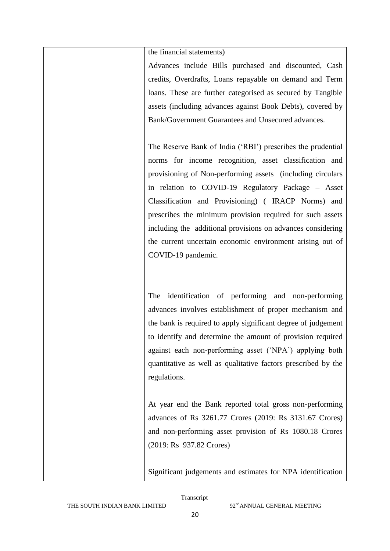the financial statements)

Advances include Bills purchased and discounted, Cash credits, Overdrafts, Loans repayable on demand and Term loans. These are further categorised as secured by Tangible assets (including advances against Book Debts), covered by Bank/Government Guarantees and Unsecured advances.

The Reserve Bank of India ("RBI") prescribes the prudential norms for income recognition, asset classification and provisioning of Non-performing assets (including circulars in relation to COVID-19 Regulatory Package – Asset Classification and Provisioning) ( IRACP Norms) and prescribes the minimum provision required for such assets including the additional provisions on advances considering the current uncertain economic environment arising out of COVID-19 pandemic.

The identification of performing and non-performing advances involves establishment of proper mechanism and the bank is required to apply significant degree of judgement to identify and determine the amount of provision required against each non-performing asset ("NPA") applying both quantitative as well as qualitative factors prescribed by the regulations.

At year end the Bank reported total gross non-performing advances of Rs 3261.77 Crores (2019: Rs 3131.67 Crores) and non-performing asset provision of Rs 1080.18 Crores (2019: Rs 937.82 Crores)

Significant judgements and estimates for NPA identification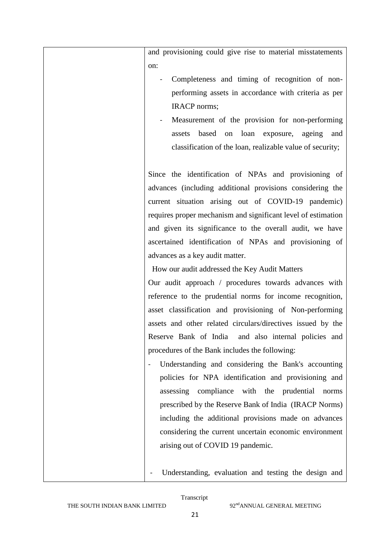and provisioning could give rise to material misstatements on:

- Completeness and timing of recognition of nonperforming assets in accordance with criteria as per IRACP norms;
- Measurement of the provision for non-performing assets based on loan exposure, ageing and classification of the loan, realizable value of security;

Since the identification of NPAs and provisioning of advances (including additional provisions considering the current situation arising out of COVID-19 pandemic) requires proper mechanism and significant level of estimation and given its significance to the overall audit, we have ascertained identification of NPAs and provisioning of advances as a key audit matter.

How our audit addressed the Key Audit Matters

Our audit approach / procedures towards advances with reference to the prudential norms for income recognition, asset classification and provisioning of Non-performing assets and other related circulars/directives issued by the Reserve Bank of India and also internal policies and procedures of the Bank includes the following:

- Understanding and considering the Bank's accounting policies for NPA identification and provisioning and assessing compliance with the prudential norms prescribed by the Reserve Bank of India (IRACP Norms) including the additional provisions made on advances considering the current uncertain economic environment arising out of COVID 19 pandemic.

Understanding, evaluation and testing the design and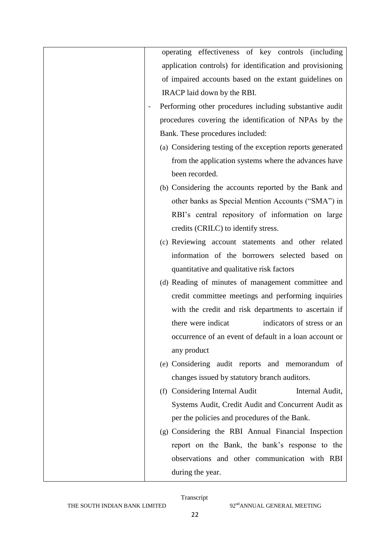| operating effectiveness of key controls (including         |
|------------------------------------------------------------|
| application controls) for identification and provisioning  |
| of impaired accounts based on the extant guidelines on     |
| IRACP laid down by the RBI.                                |
| Performing other procedures including substantive audit    |
| procedures covering the identification of NPAs by the      |
| Bank. These procedures included:                           |
| (a) Considering testing of the exception reports generated |
| from the application systems where the advances have       |
| been recorded.                                             |
| (b) Considering the accounts reported by the Bank and      |
| other banks as Special Mention Accounts ("SMA") in         |
| RBI's central repository of information on large           |
| credits (CRILC) to identify stress.                        |
| (c) Reviewing account statements and other related         |
| information of the borrowers selected based on             |
| quantitative and qualitative risk factors                  |
| (d) Reading of minutes of management committee and         |
| credit committee meetings and performing inquiries         |
| with the credit and risk departments to ascertain if       |
| there were indicat<br>indicators of stress or an           |
| occurrence of an event of default in a loan account or     |
| any product                                                |
| (e) Considering audit reports and memorandum of            |
| changes issued by statutory branch auditors.               |
| (f) Considering Internal Audit<br>Internal Audit,          |
| Systems Audit, Credit Audit and Concurrent Audit as        |
| per the policies and procedures of the Bank.               |
| (g) Considering the RBI Annual Financial Inspection        |
| report on the Bank, the bank's response to the             |
| observations and other communication with RBI              |
| during the year.                                           |
|                                                            |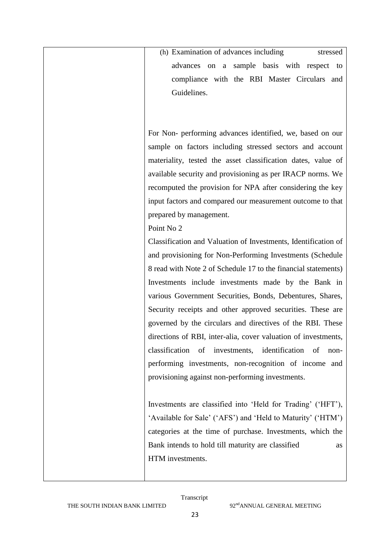(h) Examination of advances including stressed advances on a sample basis with respect to compliance with the RBI Master Circulars and Guidelines.

For Non- performing advances identified, we, based on our sample on factors including stressed sectors and account materiality, tested the asset classification dates, value of available security and provisioning as per IRACP norms. We recomputed the provision for NPA after considering the key input factors and compared our measurement outcome to that prepared by management.

# Point No 2

Classification and Valuation of Investments, Identification of and provisioning for Non-Performing Investments (Schedule 8 read with Note 2 of Schedule 17 to the financial statements) Investments include investments made by the Bank in various Government Securities, Bonds, Debentures, Shares, Security receipts and other approved securities. These are governed by the circulars and directives of the RBI. These directions of RBI, inter-alia, cover valuation of investments, classification of investments, identification of nonperforming investments, non-recognition of income and provisioning against non-performing investments.

Investments are classified into "Held for Trading" ("HFT"), 'Available for Sale' ('AFS') and 'Held to Maturity' ('HTM') categories at the time of purchase. Investments, which the Bank intends to hold till maturity are classified as HTM investments.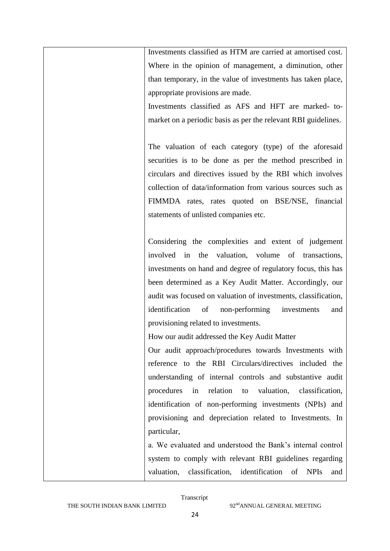Investments classified as HTM are carried at amortised cost. Where in the opinion of management, a diminution, other than temporary, in the value of investments has taken place, appropriate provisions are made.

Investments classified as AFS and HFT are marked- tomarket on a periodic basis as per the relevant RBI guidelines.

The valuation of each category (type) of the aforesaid securities is to be done as per the method prescribed in circulars and directives issued by the RBI which involves collection of data/information from various sources such as FIMMDA rates, rates quoted on BSE/NSE, financial statements of unlisted companies etc.

Considering the complexities and extent of judgement involved in the valuation, volume of transactions, investments on hand and degree of regulatory focus, this has been determined as a Key Audit Matter. Accordingly, our audit was focused on valuation of investments, classification, identification of non-performing investments and provisioning related to investments.

How our audit addressed the Key Audit Matter

Our audit approach/procedures towards Investments with reference to the RBI Circulars/directives included the understanding of internal controls and substantive audit procedures in relation to valuation, classification, identification of non-performing investments (NPIs) and provisioning and depreciation related to Investments. In particular,

a. We evaluated and understood the Bank"s internal control system to comply with relevant RBI guidelines regarding valuation, classification, identification of NPIs and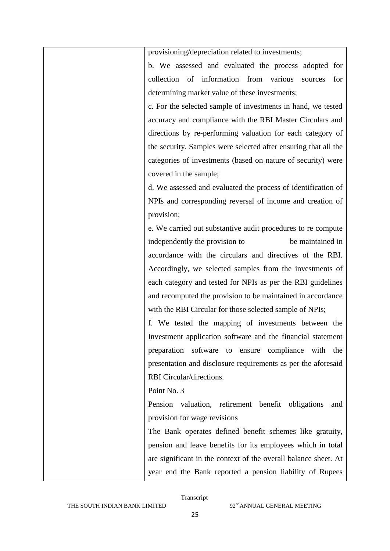| provisioning/depreciation related to investments;               |
|-----------------------------------------------------------------|
| b. We assessed and evaluated the process adopted for            |
| collection of information from various<br>for<br>sources        |
| determining market value of these investments;                  |
| c. For the selected sample of investments in hand, we tested    |
| accuracy and compliance with the RBI Master Circulars and       |
| directions by re-performing valuation for each category of      |
| the security. Samples were selected after ensuring that all the |
| categories of investments (based on nature of security) were    |
| covered in the sample;                                          |
| d. We assessed and evaluated the process of identification of   |
| NPIs and corresponding reversal of income and creation of       |
| provision;                                                      |
| e. We carried out substantive audit procedures to re compute    |
| be maintained in<br>independently the provision to              |
| accordance with the circulars and directives of the RBI.        |
| Accordingly, we selected samples from the investments of        |
| each category and tested for NPIs as per the RBI guidelines     |
| and recomputed the provision to be maintained in accordance     |
| with the RBI Circular for those selected sample of NPIs;        |
| f. We tested the mapping of investments between the             |
| Investment application software and the financial statement     |
| preparation software to ensure compliance with the              |
| presentation and disclosure requirements as per the aforesaid   |
| RBI Circular/directions.                                        |
| Point No. 3                                                     |
| Pension valuation, retirement benefit obligations<br>and        |
| provision for wage revisions                                    |
| The Bank operates defined benefit schemes like gratuity,        |
| pension and leave benefits for its employees which in total     |
| are significant in the context of the overall balance sheet. At |
| year end the Bank reported a pension liability of Rupees        |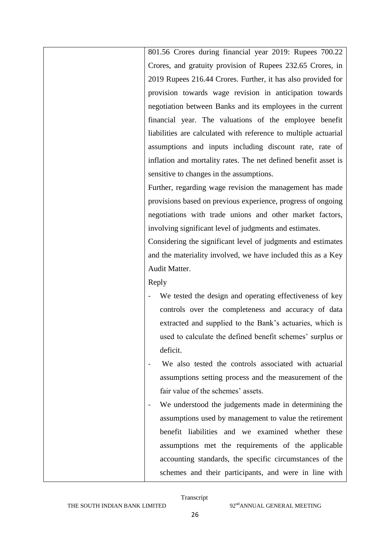801.56 Crores during financial year 2019: Rupees 700.22 Crores, and gratuity provision of Rupees 232.65 Crores, in 2019 Rupees 216.44 Crores. Further, it has also provided for provision towards wage revision in anticipation towards negotiation between Banks and its employees in the current financial year. The valuations of the employee benefit liabilities are calculated with reference to multiple actuarial assumptions and inputs including discount rate, rate of inflation and mortality rates. The net defined benefit asset is sensitive to changes in the assumptions. Further, regarding wage revision the management has made

provisions based on previous experience, progress of ongoing negotiations with trade unions and other market factors, involving significant level of judgments and estimates.

Considering the significant level of judgments and estimates and the materiality involved, we have included this as a Key Audit Matter.

Reply

- We tested the design and operating effectiveness of key controls over the completeness and accuracy of data extracted and supplied to the Bank"s actuaries, which is used to calculate the defined benefit schemes' surplus or deficit.
- We also tested the controls associated with actuarial assumptions setting process and the measurement of the fair value of the schemes' assets.
- We understood the judgements made in determining the assumptions used by management to value the retirement benefit liabilities and we examined whether these assumptions met the requirements of the applicable accounting standards, the specific circumstances of the schemes and their participants, and were in line with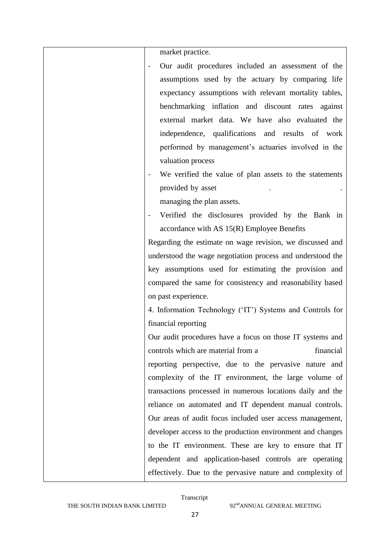| market practice.                                           |
|------------------------------------------------------------|
| Our audit procedures included an assessment of the         |
| assumptions used by the actuary by comparing life          |
| expectancy assumptions with relevant mortality tables,     |
| benchmarking inflation and discount rates against          |
| external market data. We have also evaluated the           |
| independence, qualifications and results of work           |
| performed by management's actuaries involved in the        |
| valuation process                                          |
| We verified the value of plan assets to the statements     |
| provided by asset                                          |
| managing the plan assets.                                  |
| Verified the disclosures provided by the Bank in           |
| accordance with AS $15(R)$ Employee Benefits               |
| Regarding the estimate on wage revision, we discussed and  |
| understood the wage negotiation process and understood the |
| key assumptions used for estimating the provision and      |
| compared the same for consistency and reasonability based  |
| on past experience.                                        |
| 4. Information Technology ('IT') Systems and Controls for  |
| financial reporting                                        |
| Our audit procedures have a focus on those IT systems and  |
| financial<br>controls which are material from a            |
| reporting perspective, due to the pervasive nature and     |
| complexity of the IT environment, the large volume of      |
| transactions processed in numerous locations daily and the |
| reliance on automated and IT dependent manual controls.    |
| Our areas of audit focus included user access management,  |
| developer access to the production environment and changes |
| to the IT environment. These are key to ensure that IT     |
| dependent and application-based controls are operating     |
| effectively. Due to the pervasive nature and complexity of |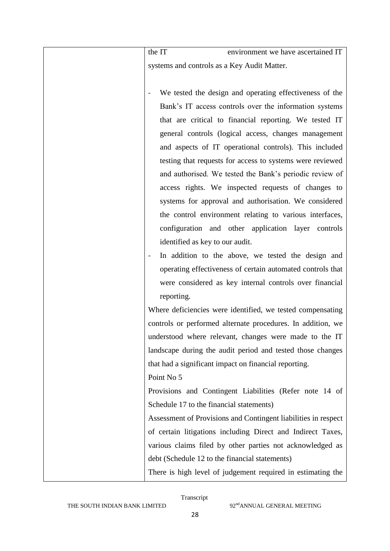the IT environment we have ascertained IT systems and controls as a Key Audit Matter.

We tested the design and operating effectiveness of the Bank"s IT access controls over the information systems that are critical to financial reporting. We tested IT general controls (logical access, changes management and aspects of IT operational controls). This included testing that requests for access to systems were reviewed and authorised. We tested the Bank"s periodic review of access rights. We inspected requests of changes to systems for approval and authorisation. We considered the control environment relating to various interfaces, configuration and other application layer controls identified as key to our audit. In addition to the above, we tested the design and operating effectiveness of certain automated controls that were considered as key internal controls over financial reporting. Where deficiencies were identified, we tested compensating controls or performed alternate procedures. In addition, we understood where relevant, changes were made to the IT landscape during the audit period and tested those changes that had a significant impact on financial reporting. Point No 5 Provisions and Contingent Liabilities (Refer note 14 of Schedule 17 to the financial statements)

> Assessment of Provisions and Contingent liabilities in respect of certain litigations including Direct and Indirect Taxes, various claims filed by other parties not acknowledged as debt (Schedule 12 to the financial statements)

> There is high level of judgement required in estimating the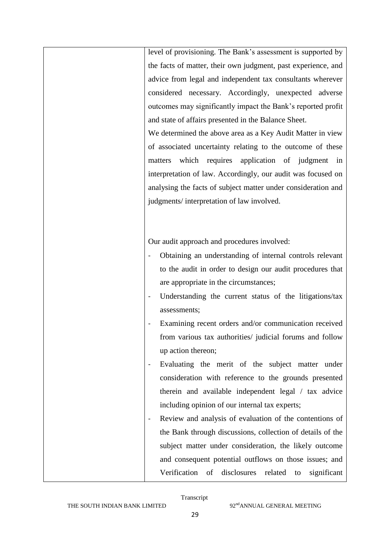| level of provisioning. The Bank's assessment is supported by      |
|-------------------------------------------------------------------|
| the facts of matter, their own judgment, past experience, and     |
| advice from legal and independent tax consultants wherever        |
| considered necessary. Accordingly, unexpected adverse             |
| outcomes may significantly impact the Bank's reported profit      |
| and state of affairs presented in the Balance Sheet.              |
| We determined the above area as a Key Audit Matter in view        |
| of associated uncertainty relating to the outcome of these        |
| which requires application of judgment in<br>matters              |
| interpretation of law. Accordingly, our audit was focused on      |
| analysing the facts of subject matter under consideration and     |
| judgments/interpretation of law involved.                         |
|                                                                   |
|                                                                   |
| Our audit approach and procedures involved:                       |
| Obtaining an understanding of internal controls relevant          |
| to the audit in order to design our audit procedures that         |
| are appropriate in the circumstances;                             |
| Understanding the current status of the litigations/tax           |
| assessments;                                                      |
| Examining recent orders and/or communication received             |
| from various tax authorities/ judicial forums and follow          |
| up action thereon;                                                |
| Evaluating the merit of the subject matter under                  |
| consideration with reference to the grounds presented             |
| therein and available independent legal / tax advice              |
| including opinion of our internal tax experts;                    |
| Review and analysis of evaluation of the contentions of           |
| the Bank through discussions, collection of details of the        |
| subject matter under consideration, the likely outcome            |
| and consequent potential outflows on those issues; and            |
| Verification<br>disclosures<br>related<br>of<br>significant<br>to |
|                                                                   |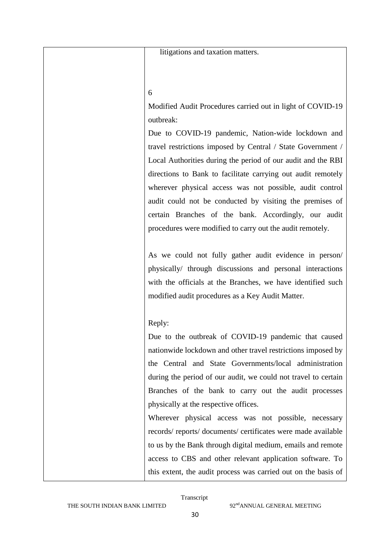litigations and taxation matters.

#### 6

Modified Audit Procedures carried out in light of COVID-19 outbreak:

Due to COVID-19 pandemic, Nation-wide lockdown and travel restrictions imposed by Central / State Government / Local Authorities during the period of our audit and the RBI directions to Bank to facilitate carrying out audit remotely wherever physical access was not possible, audit control audit could not be conducted by visiting the premises of certain Branches of the bank. Accordingly, our audit procedures were modified to carry out the audit remotely.

As we could not fully gather audit evidence in person/ physically/ through discussions and personal interactions with the officials at the Branches, we have identified such modified audit procedures as a Key Audit Matter.

## Reply:

Due to the outbreak of COVID-19 pandemic that caused nationwide lockdown and other travel restrictions imposed by the Central and State Governments/local administration during the period of our audit, we could not travel to certain Branches of the bank to carry out the audit processes physically at the respective offices.

Wherever physical access was not possible, necessary records/ reports/ documents/ certificates were made available to us by the Bank through digital medium, emails and remote access to CBS and other relevant application software. To this extent, the audit process was carried out on the basis of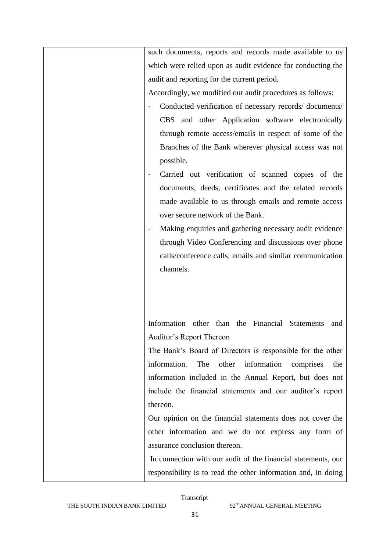| such documents, reports and records made available to us         |
|------------------------------------------------------------------|
| which were relied upon as audit evidence for conducting the      |
| audit and reporting for the current period.                      |
| Accordingly, we modified our audit procedures as follows:        |
| Conducted verification of necessary records/documents/           |
| CBS and other Application software electronically                |
| through remote access/emails in respect of some of the           |
| Branches of the Bank wherever physical access was not            |
| possible.                                                        |
| Carried out verification of scanned copies of the                |
| documents, deeds, certificates and the related records           |
| made available to us through emails and remote access            |
| over secure network of the Bank.                                 |
| Making enquiries and gathering necessary audit evidence          |
| through Video Conferencing and discussions over phone            |
| calls/conference calls, emails and similar communication         |
| channels.                                                        |
|                                                                  |
|                                                                  |
|                                                                  |
| Information other than the Financial<br><b>Statements</b><br>and |
| Auditor's Report Thereon                                         |
| The Bank's Board of Directors is responsible for the other       |
| information<br>information.<br>The<br>other<br>comprises<br>the  |
| information included in the Annual Report, but does not          |
| include the financial statements and our auditor's report        |
| thereon.                                                         |
| Our opinion on the financial statements does not cover the       |
| other information and we do not express any form of              |
| assurance conclusion thereon.                                    |
| In connection with our audit of the financial statements, our    |
|                                                                  |
|                                                                  |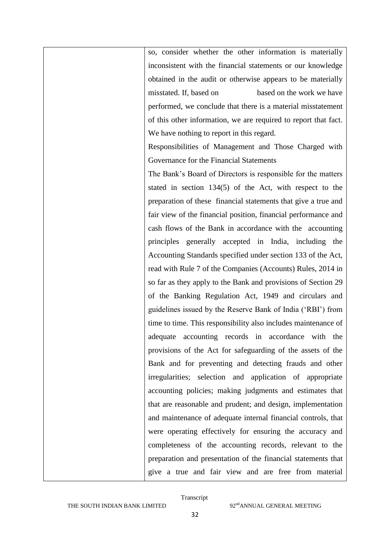so, consider whether the other information is materially inconsistent with the financial statements or our knowledge obtained in the audit or otherwise appears to be materially misstated. If, based on based on the work we have performed, we conclude that there is a material misstatement of this other information, we are required to report that fact. We have nothing to report in this regard.

Responsibilities of Management and Those Charged with Governance for the Financial Statements

The Bank"s Board of Directors is responsible for the matters stated in section 134(5) of the Act, with respect to the preparation of these financial statements that give a true and fair view of the financial position, financial performance and cash flows of the Bank in accordance with the accounting principles generally accepted in India, including the Accounting Standards specified under section 133 of the Act, read with Rule 7 of the Companies (Accounts) Rules, 2014 in so far as they apply to the Bank and provisions of Section 29 of the Banking Regulation Act, 1949 and circulars and guidelines issued by the Reserve Bank of India ("RBI") from time to time. This responsibility also includes maintenance of adequate accounting records in accordance with the provisions of the Act for safeguarding of the assets of the Bank and for preventing and detecting frauds and other irregularities; selection and application of appropriate accounting policies; making judgments and estimates that that are reasonable and prudent; and design, implementation and maintenance of adequate internal financial controls, that were operating effectively for ensuring the accuracy and completeness of the accounting records, relevant to the preparation and presentation of the financial statements that give a true and fair view and are free from material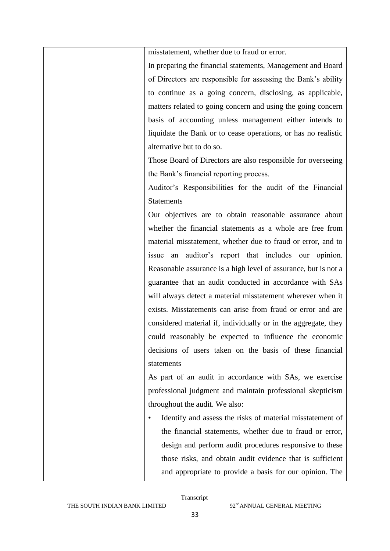|           | misstatement, whether due to fraud or error.                    |
|-----------|-----------------------------------------------------------------|
|           | In preparing the financial statements, Management and Board     |
|           | of Directors are responsible for assessing the Bank's ability   |
|           | to continue as a going concern, disclosing, as applicable,      |
|           | matters related to going concern and using the going concern    |
|           | basis of accounting unless management either intends to         |
|           | liquidate the Bank or to cease operations, or has no realistic  |
|           | alternative but to do so.                                       |
|           | Those Board of Directors are also responsible for overseeing    |
|           | the Bank's financial reporting process.                         |
|           | Auditor's Responsibilities for the audit of the Financial       |
|           | <b>Statements</b>                                               |
|           | Our objectives are to obtain reasonable assurance about         |
|           | whether the financial statements as a whole are free from       |
|           | material misstatement, whether due to fraud or error, and to    |
|           | auditor's report that includes our opinion.<br>issue<br>an      |
|           | Reasonable assurance is a high level of assurance, but is not a |
|           | guarantee that an audit conducted in accordance with SAs        |
|           | will always detect a material misstatement wherever when it     |
|           | exists. Misstatements can arise from fraud or error and are     |
|           | considered material if, individually or in the aggregate, they  |
|           | could reasonably be expected to influence the economic          |
|           | decisions of users taken on the basis of these financial        |
|           | statements                                                      |
|           | As part of an audit in accordance with SAs, we exercise         |
|           | professional judgment and maintain professional skepticism      |
|           | throughout the audit. We also:                                  |
| $\bullet$ | Identify and assess the risks of material misstatement of       |
|           | the financial statements, whether due to fraud or error,        |
|           | design and perform audit procedures responsive to these         |
|           | those risks, and obtain audit evidence that is sufficient       |
|           | and appropriate to provide a basis for our opinion. The         |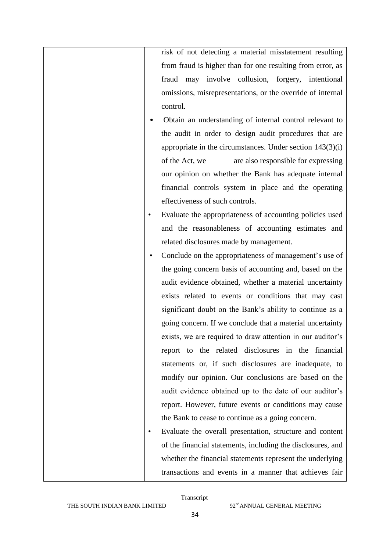risk of not detecting a material misstatement resulting from fraud is higher than for one resulting from error, as fraud may involve collusion, forgery, intentional omissions, misrepresentations, or the override of internal control.

- Obtain an understanding of internal control relevant to the audit in order to design audit procedures that are appropriate in the circumstances. Under section 143(3)(i) of the Act, we are also responsible for expressing our opinion on whether the Bank has adequate internal financial controls system in place and the operating effectiveness of such controls.
- Evaluate the appropriateness of accounting policies used and the reasonableness of accounting estimates and related disclosures made by management.
- Conclude on the appropriateness of management's use of the going concern basis of accounting and, based on the audit evidence obtained, whether a material uncertainty exists related to events or conditions that may cast significant doubt on the Bank"s ability to continue as a going concern. If we conclude that a material uncertainty exists, we are required to draw attention in our auditor's report to the related disclosures in the financial statements or, if such disclosures are inadequate, to modify our opinion. Our conclusions are based on the audit evidence obtained up to the date of our auditor's report. However, future events or conditions may cause the Bank to cease to continue as a going concern.
- Evaluate the overall presentation, structure and content of the financial statements, including the disclosures, and whether the financial statements represent the underlying transactions and events in a manner that achieves fair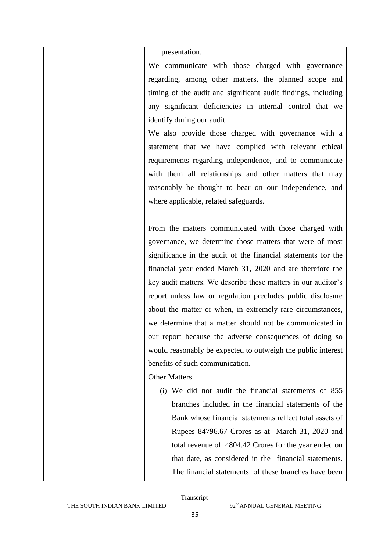presentation.

We communicate with those charged with governance regarding, among other matters, the planned scope and timing of the audit and significant audit findings, including any significant deficiencies in internal control that we identify during our audit.

We also provide those charged with governance with a statement that we have complied with relevant ethical requirements regarding independence, and to communicate with them all relationships and other matters that may reasonably be thought to bear on our independence, and where applicable, related safeguards.

From the matters communicated with those charged with governance, we determine those matters that were of most significance in the audit of the financial statements for the financial year ended March 31, 2020 and are therefore the key audit matters. We describe these matters in our auditor's report unless law or regulation precludes public disclosure about the matter or when, in extremely rare circumstances, we determine that a matter should not be communicated in our report because the adverse consequences of doing so would reasonably be expected to outweigh the public interest benefits of such communication.

#### Other Matters

(i) We did not audit the financial statements of 855 branches included in the financial statements of the Bank whose financial statements reflect total assets of Rupees 84796.67 Crores as at March 31, 2020 and total revenue of 4804.42 Crores for the year ended on that date, as considered in the financial statements. The financial statements of these branches have been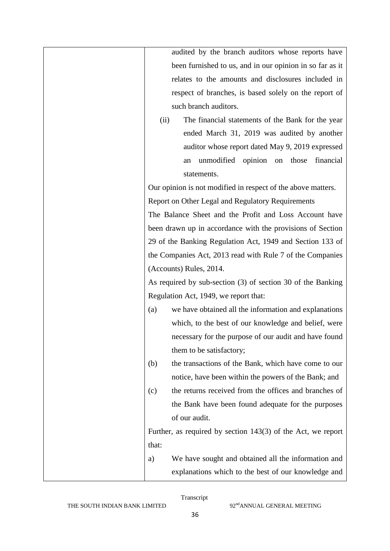| audited by the branch auditors whose reports have              |
|----------------------------------------------------------------|
| been furnished to us, and in our opinion in so far as it       |
| relates to the amounts and disclosures included in             |
| respect of branches, is based solely on the report of          |
| such branch auditors.                                          |
| The financial statements of the Bank for the year<br>(ii)      |
| ended March 31, 2019 was audited by another                    |
| auditor whose report dated May 9, 2019 expressed               |
| unmodified opinion on those<br>financial<br>an                 |
| statements.                                                    |
| Our opinion is not modified in respect of the above matters.   |
| Report on Other Legal and Regulatory Requirements              |
| The Balance Sheet and the Profit and Loss Account have         |
| been drawn up in accordance with the provisions of Section     |
| 29 of the Banking Regulation Act, 1949 and Section 133 of      |
| the Companies Act, 2013 read with Rule 7 of the Companies      |
| (Accounts) Rules, 2014.                                        |
| As required by sub-section (3) of section 30 of the Banking    |
| Regulation Act, 1949, we report that:                          |
| we have obtained all the information and explanations<br>(a)   |
| which, to the best of our knowledge and belief, were           |
| necessary for the purpose of our audit and have found          |
| them to be satisfactory;                                       |
| the transactions of the Bank, which have come to our<br>(b)    |
| notice, have been within the powers of the Bank; and           |
| the returns received from the offices and branches of<br>(c)   |
| the Bank have been found adequate for the purposes             |
| of our audit.                                                  |
| Further, as required by section $143(3)$ of the Act, we report |
| that:                                                          |
| We have sought and obtained all the information and<br>a)      |
| explanations which to the best of our knowledge and            |
|                                                                |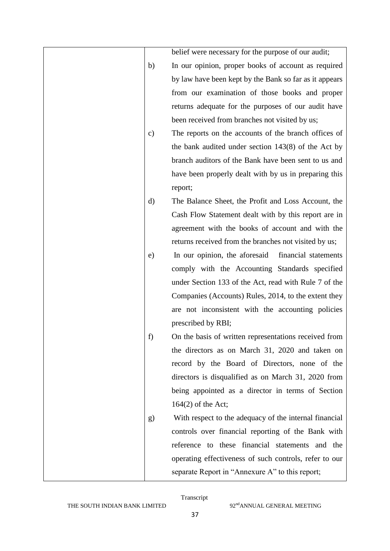|               | belief were necessary for the purpose of our audit;    |
|---------------|--------------------------------------------------------|
| b)            | In our opinion, proper books of account as required    |
|               | by law have been kept by the Bank so far as it appears |
|               | from our examination of those books and proper         |
|               | returns adequate for the purposes of our audit have    |
|               | been received from branches not visited by us;         |
| $\mathbf{c})$ | The reports on the accounts of the branch offices of   |
|               | the bank audited under section $143(8)$ of the Act by  |
|               | branch auditors of the Bank have been sent to us and   |
|               | have been properly dealt with by us in preparing this  |
|               | report;                                                |
| d)            | The Balance Sheet, the Profit and Loss Account, the    |
|               | Cash Flow Statement dealt with by this report are in   |
|               | agreement with the books of account and with the       |
|               | returns received from the branches not visited by us;  |
| e)            | In our opinion, the aforesaid<br>financial statements  |
|               | comply with the Accounting Standards specified         |
|               | under Section 133 of the Act, read with Rule 7 of the  |
|               | Companies (Accounts) Rules, 2014, to the extent they   |
|               | are not inconsistent with the accounting policies      |
|               | prescribed by RBI;                                     |
| f             | On the basis of written representations received from  |
|               | the directors as on March 31, 2020 and taken on        |
|               | record by the Board of Directors, none of the          |
|               | directors is disqualified as on March 31, 2020 from    |
|               | being appointed as a director in terms of Section      |
|               | $164(2)$ of the Act;                                   |
| g)            | With respect to the adequacy of the internal financial |
|               | controls over financial reporting of the Bank with     |
|               | reference to these financial statements and the        |
|               | operating effectiveness of such controls, refer to our |
|               | separate Report in "Annexure A" to this report;        |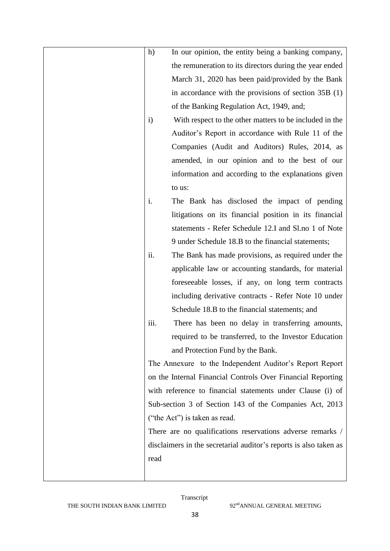| h)           | In our opinion, the entity being a banking company,               |
|--------------|-------------------------------------------------------------------|
|              | the remuneration to its directors during the year ended           |
|              | March 31, 2020 has been paid/provided by the Bank                 |
|              | in accordance with the provisions of section $35B(1)$             |
|              | of the Banking Regulation Act, 1949, and;                         |
| $\mathbf{i}$ | With respect to the other matters to be included in the           |
|              | Auditor's Report in accordance with Rule 11 of the                |
|              | Companies (Audit and Auditors) Rules, 2014, as                    |
|              | amended, in our opinion and to the best of our                    |
|              | information and according to the explanations given               |
|              | to us:                                                            |
| i.           | The Bank has disclosed the impact of pending                      |
|              | litigations on its financial position in its financial            |
|              | statements - Refer Schedule 12.I and Sl.no 1 of Note              |
|              | 9 under Schedule 18.B to the financial statements;                |
| ii.          | The Bank has made provisions, as required under the               |
|              | applicable law or accounting standards, for material              |
|              | foreseeable losses, if any, on long term contracts                |
|              | including derivative contracts - Refer Note 10 under              |
|              | Schedule 18.B to the financial statements; and                    |
| iii.         | There has been no delay in transferring amounts,                  |
|              | required to be transferred, to the Investor Education             |
|              | and Protection Fund by the Bank.                                  |
|              | The Annexure to the Independent Auditor's Report Report           |
|              | on the Internal Financial Controls Over Financial Reporting       |
|              | with reference to financial statements under Clause (i) of        |
|              | Sub-section 3 of Section 143 of the Companies Act, 2013           |
|              | ("the Act") is taken as read.                                     |
|              | There are no qualifications reservations adverse remarks /        |
|              | disclaimers in the secretarial auditor's reports is also taken as |
| read         |                                                                   |
|              |                                                                   |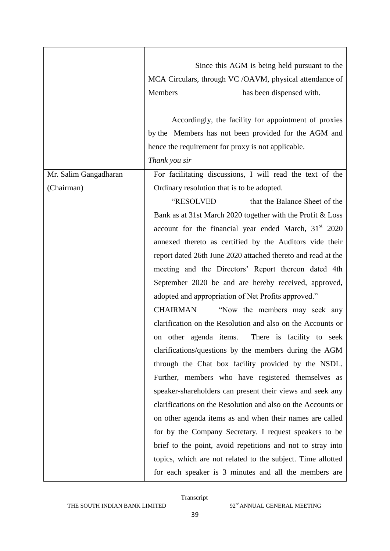|                       | Since this AGM is being held pursuant to the                      |
|-----------------------|-------------------------------------------------------------------|
|                       | MCA Circulars, through VC /OAVM, physical attendance of           |
|                       | Members<br>has been dispensed with.                               |
|                       |                                                                   |
|                       | Accordingly, the facility for appointment of proxies              |
|                       | by the Members has not been provided for the AGM and              |
|                       | hence the requirement for proxy is not applicable.                |
|                       | Thank you sir                                                     |
| Mr. Salim Gangadharan | For facilitating discussions, I will read the text of the         |
| (Chairman)            | Ordinary resolution that is to be adopted.                        |
|                       | "RESOLVED<br>that the Balance Sheet of the                        |
|                       | Bank as at 31st March 2020 together with the Profit & Loss        |
|                       | account for the financial year ended March, 31 <sup>st</sup> 2020 |
|                       | annexed thereto as certified by the Auditors vide their           |
|                       | report dated 26th June 2020 attached thereto and read at the      |
|                       | meeting and the Directors' Report thereon dated 4th               |
|                       | September 2020 be and are hereby received, approved,              |
|                       | adopted and appropriation of Net Profits approved."               |
|                       | <b>CHAIRMAN</b><br>"Now the members may seek any                  |
|                       | clarification on the Resolution and also on the Accounts or       |
|                       | There is facility to seek<br>on other agenda items.               |
|                       | clarifications/questions by the members during the AGM            |
|                       | through the Chat box facility provided by the NSDL.               |
|                       | Further, members who have registered themselves as                |
|                       |                                                                   |
|                       | speaker-shareholders can present their views and seek any         |
|                       | clarifications on the Resolution and also on the Accounts or      |
|                       | on other agenda items as and when their names are called          |
|                       | for by the Company Secretary. I request speakers to be            |
|                       | brief to the point, avoid repetitions and not to stray into       |
|                       | topics, which are not related to the subject. Time allotted       |
|                       | for each speaker is 3 minutes and all the members are             |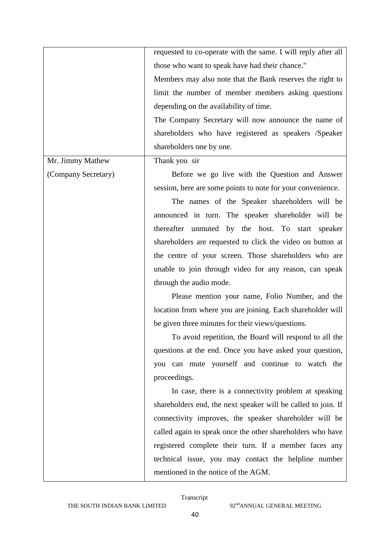|                     | requested to co-operate with the same. I will reply after all |
|---------------------|---------------------------------------------------------------|
|                     | those who want to speak have had their chance."               |
|                     | Members may also note that the Bank reserves the right to     |
|                     | limit the number of member members asking questions           |
|                     | depending on the availability of time.                        |
|                     | The Company Secretary will now announce the name of           |
|                     | shareholders who have registered as speakers /Speaker         |
|                     | shareholders one by one.                                      |
| Mr. Jimmy Mathew    | Thank you sir                                                 |
| (Company Secretary) | Before we go live with the Question and Answer                |
|                     | session, here are some points to note for your convenience.   |
|                     | The names of the Speaker shareholders will be                 |
|                     | announced in turn. The speaker shareholder will be            |
|                     | thereafter unmuted by the host. To start speaker              |
|                     | shareholders are requested to click the video on button at    |
|                     | the centre of your screen. Those shareholders who are         |
|                     | unable to join through video for any reason, can speak        |
|                     | through the audio mode.                                       |
|                     | Please mention your name, Folio Number, and the               |
|                     | location from where you are joining. Each shareholder will    |
|                     | be given three minutes for their views/questions.             |
|                     | To avoid repetition, the Board will respond to all the        |
|                     | questions at the end. Once you have asked your question,      |
|                     | you can mute yourself and continue to watch the               |
|                     | proceedings.                                                  |
|                     | In case, there is a connectivity problem at speaking          |
|                     | shareholders end, the next speaker will be called to join. If |
|                     | connectivity improves, the speaker shareholder will be        |
|                     | called again to speak once the other shareholders who have    |
|                     | registered complete their turn. If a member faces any         |
|                     | technical issue, you may contact the helpline number          |
|                     | mentioned in the notice of the AGM.                           |
|                     |                                                               |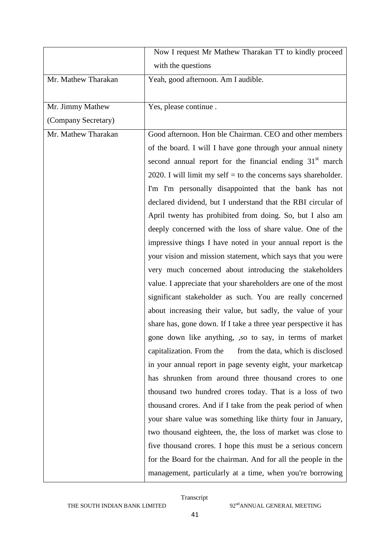|                     | Now I request Mr Mathew Tharakan TT to kindly proceed            |
|---------------------|------------------------------------------------------------------|
|                     | with the questions                                               |
| Mr. Mathew Tharakan | Yeah, good afternoon. Am I audible.                              |
|                     |                                                                  |
| Mr. Jimmy Mathew    | Yes, please continue.                                            |
| (Company Secretary) |                                                                  |
| Mr. Mathew Tharakan | Good afternoon. Hon ble Chairman. CEO and other members          |
|                     | of the board. I will I have gone through your annual ninety      |
|                     | second annual report for the financial ending $31st$ march       |
|                     | 2020. I will limit my self $=$ to the concerns says shareholder. |
|                     | I'm I'm personally disappointed that the bank has not            |
|                     | declared dividend, but I understand that the RBI circular of     |
|                     | April twenty has prohibited from doing. So, but I also am        |
|                     | deeply concerned with the loss of share value. One of the        |
|                     | impressive things I have noted in your annual report is the      |
|                     | your vision and mission statement, which says that you were      |
|                     | very much concerned about introducing the stakeholders           |
|                     | value. I appreciate that your shareholders are one of the most   |
|                     | significant stakeholder as such. You are really concerned        |
|                     | about increasing their value, but sadly, the value of your       |
|                     | share has, gone down. If I take a three year perspective it has  |
|                     | gone down like anything, , so to say, in terms of market         |
|                     | capitalization. From the<br>from the data, which is disclosed    |
|                     | in your annual report in page seventy eight, your marketcap      |
|                     | has shrunken from around three thousand crores to one            |
|                     | thousand two hundred crores today. That is a loss of two         |
|                     | thousand crores. And if I take from the peak period of when      |
|                     | your share value was something like thirty four in January,      |
|                     | two thousand eighteen, the, the loss of market was close to      |
|                     | five thousand crores. I hope this must be a serious concern      |
|                     | for the Board for the chairman. And for all the people in the    |
|                     | management, particularly at a time, when you're borrowing        |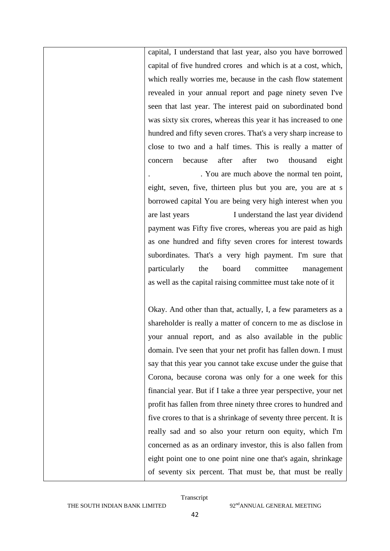capital, I understand that last year, also you have borrowed capital of five hundred crores and which is at a cost, which, which really worries me, because in the cash flow statement revealed in your annual report and page ninety seven I've seen that last year. The interest paid on subordinated bond was sixty six crores, whereas this year it has increased to one hundred and fifty seven crores. That's a very sharp increase to close to two and a half times. This is really a matter of concern because after after two thousand eight . . You are much above the normal ten point, eight, seven, five, thirteen plus but you are, you are at s borrowed capital You are being very high interest when you are last years I understand the last year dividend payment was Fifty five crores, whereas you are paid as high as one hundred and fifty seven crores for interest towards subordinates. That's a very high payment. I'm sure that particularly the board committee management as well as the capital raising committee must take note of it

Okay. And other than that, actually, I, a few parameters as a shareholder is really a matter of concern to me as disclose in your annual report, and as also available in the public domain. I've seen that your net profit has fallen down. I must say that this year you cannot take excuse under the guise that Corona, because corona was only for a one week for this financial year. But if I take a three year perspective, your net profit has fallen from three ninety three crores to hundred and five crores to that is a shrinkage of seventy three percent. It is really sad and so also your return oon equity, which I'm concerned as as an ordinary investor, this is also fallen from eight point one to one point nine one that's again, shrinkage of seventy six percent. That must be, that must be really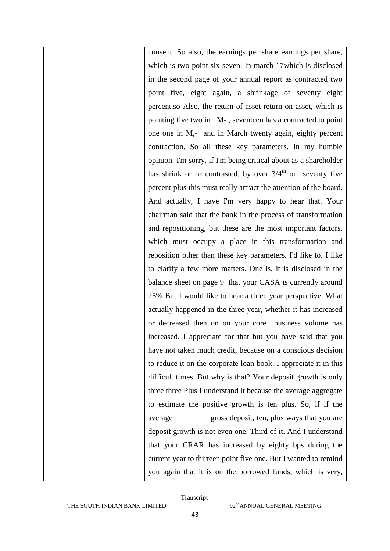consent. So also, the earnings per share earnings per share, which is two point six seven. In march 17which is disclosed in the second page of your annual report as contracted two point five, eight again, a shrinkage of seventy eight percent.so Also, the return of asset return on asset, which is pointing five two in M- , seventeen has a contracted to point one one in M,- and in March twenty again, eighty percent contraction. So all these key parameters. In my humble opinion. I'm sorry, if I'm being critical about as a shareholder has shrink or or contrasted, by over  $3/4^{th}$  or seventy five percent plus this must really attract the attention of the board. And actually, I have I'm very happy to hear that. Your chairman said that the bank in the process of transformation and repositioning, but these are the most important factors, which must occupy a place in this transformation and reposition other than these key parameters. I'd like to. I like to clarify a few more matters. One is, it is disclosed in the balance sheet on page 9 that your CASA is currently around 25% But I would like to hear a three year perspective. What actually happened in the three year, whether it has increased or decreased then on on your core business volume has increased. I appreciate for that but you have said that you have not taken much credit, because on a conscious decision to reduce it on the corporate loan book. I appreciate it in this difficult times. But why is that? Your deposit growth is only three three Plus I understand it because the average aggregate to estimate the positive growth is ten plus. So, if if the average gross deposit, ten, plus ways that you are deposit growth is not even one. Third of it. And I understand that your CRAR has increased by eighty bps during the current year to thirteen point five one. But I wanted to remind you again that it is on the borrowed funds, which is very,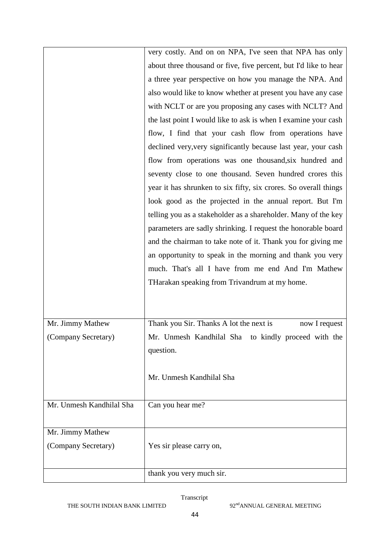|                          | very costly. And on on NPA, I've seen that NPA has only          |
|--------------------------|------------------------------------------------------------------|
|                          | about three thousand or five, five percent, but I'd like to hear |
|                          | a three year perspective on how you manage the NPA. And          |
|                          | also would like to know whether at present you have any case     |
|                          | with NCLT or are you proposing any cases with NCLT? And          |
|                          | the last point I would like to ask is when I examine your cash   |
|                          | flow, I find that your cash flow from operations have            |
|                          | declined very, very significantly because last year, your cash   |
|                          | flow from operations was one thousand, six hundred and           |
|                          | seventy close to one thousand. Seven hundred crores this         |
|                          | year it has shrunken to six fifty, six crores. So overall things |
|                          | look good as the projected in the annual report. But I'm         |
|                          | telling you as a stakeholder as a shareholder. Many of the key   |
|                          | parameters are sadly shrinking. I request the honorable board    |
|                          | and the chairman to take note of it. Thank you for giving me     |
|                          | an opportunity to speak in the morning and thank you very        |
|                          | much. That's all I have from me end And I'm Mathew               |
|                          | THarakan speaking from Trivandrum at my home.                    |
|                          |                                                                  |
|                          |                                                                  |
| Mr. Jimmy Mathew         | Thank you Sir. Thanks A lot the next is<br>now I request         |
| (Company Secretary)      | Mr. Unmesh Kandhilal Sha to kindly proceed with the              |
|                          | question.                                                        |
|                          |                                                                  |
|                          | Mr. Unmesh Kandhilal Sha                                         |
|                          |                                                                  |
| Mr. Unmesh Kandhilal Sha | Can you hear me?                                                 |
|                          |                                                                  |
| Mr. Jimmy Mathew         |                                                                  |
| (Company Secretary)      | Yes sir please carry on,                                         |
|                          |                                                                  |
|                          | thank you very much sir.                                         |
|                          |                                                                  |

THE SOUTH INDIAN BANK LIMITED 92<sup>nd</sup>ANNUAL GENERAL MEETING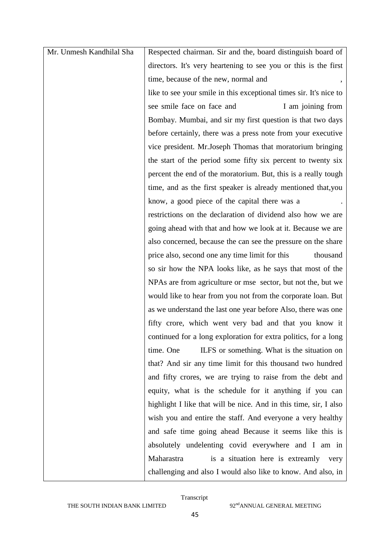| Mr. Unmesh Kandhilal Sha | Respected chairman. Sir and the, board distinguish board of        |
|--------------------------|--------------------------------------------------------------------|
|                          | directors. It's very heartening to see you or this is the first    |
|                          | time, because of the new, normal and                               |
|                          | like to see your smile in this exceptional times sir. It's nice to |
|                          | see smile face on face and<br>I am joining from                    |
|                          | Bombay. Mumbai, and sir my first question is that two days         |
|                          | before certainly, there was a press note from your executive       |
|                          | vice president. Mr. Joseph Thomas that moratorium bringing         |
|                          | the start of the period some fifty six percent to twenty six       |
|                          | percent the end of the moratorium. But, this is a really tough     |
|                          | time, and as the first speaker is already mentioned that, you      |
|                          | know, a good piece of the capital there was a                      |
|                          | restrictions on the declaration of dividend also how we are        |
|                          | going ahead with that and how we look at it. Because we are        |
|                          | also concerned, because the can see the pressure on the share      |
|                          | price also, second one any time limit for this<br>thousand         |
|                          | so sir how the NPA looks like, as he says that most of the         |
|                          | NPAs are from agriculture or mse sector, but not the, but we       |
|                          | would like to hear from you not from the corporate loan. But       |
|                          | as we understand the last one year before Also, there was one      |
|                          | fifty crore, which went very bad and that you know it              |
|                          | continued for a long exploration for extra politics, for a long    |
|                          | time. One<br>ILFS or something. What is the situation on           |
|                          | that? And sir any time limit for this thousand two hundred         |
|                          | and fifty crores, we are trying to raise from the debt and         |
|                          | equity, what is the schedule for it anything if you can            |
|                          | highlight I like that will be nice. And in this time, sir, I also  |
|                          | wish you and entire the staff. And everyone a very healthy         |
|                          | and safe time going ahead Because it seems like this is            |
|                          | absolutely undelenting covid everywhere and I am in                |
|                          | Maharastra<br>is a situation here is extreamly<br>very             |
|                          | challenging and also I would also like to know. And also, in       |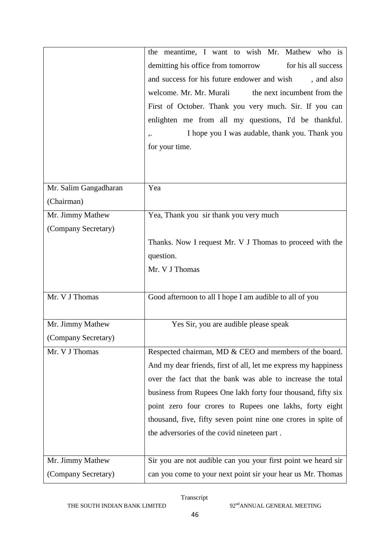|                       | the meantime, I want to wish Mr. Mathew who is                 |
|-----------------------|----------------------------------------------------------------|
|                       | demitting his office from tomorrow<br>for his all success      |
|                       | and success for his future endower and wish<br>, and also      |
|                       | welcome. Mr. Mr. Murali<br>the next incumbent from the         |
|                       | First of October. Thank you very much. Sir. If you can         |
|                       | enlighten me from all my questions, I'd be thankful.           |
|                       | I hope you I was audable, thank you. Thank you<br>$, \cdot$    |
|                       | for your time.                                                 |
|                       |                                                                |
|                       |                                                                |
| Mr. Salim Gangadharan | Yea                                                            |
| (Chairman)            |                                                                |
| Mr. Jimmy Mathew      | Yea, Thank you sir thank you very much                         |
| (Company Secretary)   |                                                                |
|                       | Thanks. Now I request Mr. V J Thomas to proceed with the       |
|                       | question.                                                      |
|                       | Mr. V J Thomas                                                 |
|                       |                                                                |
| Mr. V J Thomas        | Good afternoon to all I hope I am audible to all of you        |
|                       |                                                                |
| Mr. Jimmy Mathew      | Yes Sir, you are audible please speak                          |
| (Company Secretary)   |                                                                |
| Mr. V J Thomas        | Respected chairman, MD & CEO and members of the board.         |
|                       | And my dear friends, first of all, let me express my happiness |
|                       | over the fact that the bank was able to increase the total     |
|                       | business from Rupees One lakh forty four thousand, fifty six   |
|                       | point zero four crores to Rupees one lakhs, forty eight        |
|                       | thousand, five, fifty seven point nine one crores in spite of  |
|                       | the adversories of the covid nineteen part.                    |
|                       |                                                                |
| Mr. Jimmy Mathew      | Sir you are not audible can you your first point we heard sir  |
| (Company Secretary)   | can you come to your next point sir your hear us Mr. Thomas    |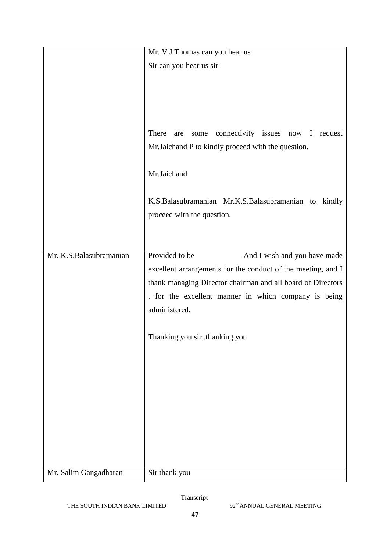|                         | Mr. V J Thomas can you hear us                               |
|-------------------------|--------------------------------------------------------------|
|                         | Sir can you hear us sir                                      |
|                         |                                                              |
|                         |                                                              |
|                         |                                                              |
|                         |                                                              |
|                         | There<br>connectivity issues now I<br>request<br>are<br>some |
|                         | Mr.Jaichand P to kindly proceed with the question.           |
|                         |                                                              |
|                         | Mr.Jaichand                                                  |
|                         |                                                              |
|                         | K.S.Balasubramanian Mr.K.S.Balasubramanian to<br>kindly      |
|                         | proceed with the question.                                   |
|                         |                                                              |
|                         |                                                              |
| Mr. K.S.Balasubramanian | Provided to be<br>And I wish and you have made               |
|                         | excellent arrangements for the conduct of the meeting, and I |
|                         | thank managing Director chairman and all board of Directors  |
|                         | . for the excellent manner in which company is being         |
|                         | administered.                                                |
|                         |                                                              |
|                         | Thanking you sir .thanking you                               |
|                         |                                                              |
|                         |                                                              |
|                         |                                                              |
|                         |                                                              |
|                         |                                                              |
|                         |                                                              |
|                         |                                                              |
|                         |                                                              |
|                         |                                                              |
|                         |                                                              |
| Mr. Salim Gangadharan   | Sir thank you                                                |

THE SOUTH INDIAN BANK LIMITED 92<sup>nd</sup>ANNUAL GENERAL MEETING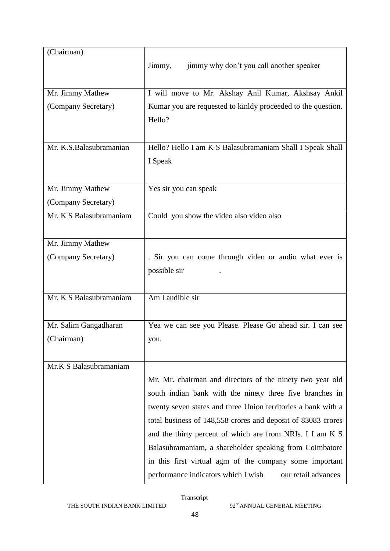| jimmy why don't you call another speaker<br>Jimmy,            |
|---------------------------------------------------------------|
|                                                               |
| I will move to Mr. Akshay Anil Kumar, Akshsay Ankil           |
| Kumar you are requested to kinldy proceeded to the question.  |
| Hello?                                                        |
|                                                               |
|                                                               |
| Hello? Hello I am K S Balasubramaniam Shall I Speak Shall     |
| I Speak                                                       |
|                                                               |
| Yes sir you can speak                                         |
|                                                               |
| Could you show the video also video also                      |
|                                                               |
|                                                               |
| . Sir you can come through video or audio what ever is        |
| possible sir                                                  |
|                                                               |
| Am I audible sir                                              |
|                                                               |
| Yea we can see you Please. Please Go ahead sir. I can see     |
| you.                                                          |
|                                                               |
|                                                               |
|                                                               |
| Mr. Mr. chairman and directors of the ninety two year old     |
| south indian bank with the ninety three five branches in      |
| twenty seven states and three Union territories a bank with a |
| total business of 148,558 crores and deposit of 83083 crores  |
| and the thirty percent of which are from NRIs. I I am K S     |
| Balasubramaniam, a shareholder speaking from Coimbatore       |
| in this first virtual agm of the company some important       |
| performance indicators which I wish<br>our retail advances    |
|                                                               |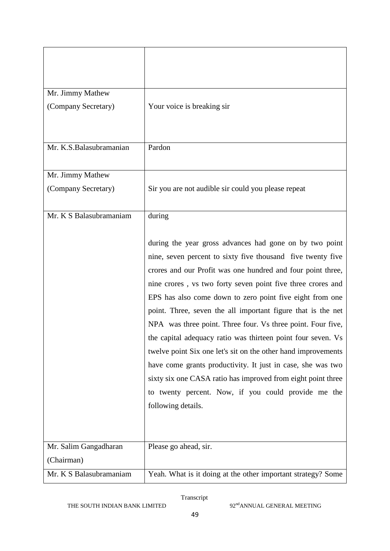| Mr. Jimmy Mathew        |                                                                                                                                                                                                                                                                                                                                                                                                                                                                                                                                                                                                                                                                                                                                                                                              |
|-------------------------|----------------------------------------------------------------------------------------------------------------------------------------------------------------------------------------------------------------------------------------------------------------------------------------------------------------------------------------------------------------------------------------------------------------------------------------------------------------------------------------------------------------------------------------------------------------------------------------------------------------------------------------------------------------------------------------------------------------------------------------------------------------------------------------------|
| (Company Secretary)     | Your voice is breaking sir                                                                                                                                                                                                                                                                                                                                                                                                                                                                                                                                                                                                                                                                                                                                                                   |
| Mr. K.S.Balasubramanian | Pardon                                                                                                                                                                                                                                                                                                                                                                                                                                                                                                                                                                                                                                                                                                                                                                                       |
|                         |                                                                                                                                                                                                                                                                                                                                                                                                                                                                                                                                                                                                                                                                                                                                                                                              |
| Mr. Jimmy Mathew        |                                                                                                                                                                                                                                                                                                                                                                                                                                                                                                                                                                                                                                                                                                                                                                                              |
| (Company Secretary)     | Sir you are not audible sir could you please repeat                                                                                                                                                                                                                                                                                                                                                                                                                                                                                                                                                                                                                                                                                                                                          |
| Mr. K S Balasubramaniam | during                                                                                                                                                                                                                                                                                                                                                                                                                                                                                                                                                                                                                                                                                                                                                                                       |
|                         | during the year gross advances had gone on by two point<br>nine, seven percent to sixty five thousand five twenty five<br>crores and our Profit was one hundred and four point three,<br>nine crores, vs two forty seven point five three crores and<br>EPS has also come down to zero point five eight from one<br>point. Three, seven the all important figure that is the net<br>NPA was three point. Three four. Vs three point. Four five,<br>the capital adequacy ratio was thirteen point four seven. Vs<br>twelve point Six one let's sit on the other hand improvements<br>have come grants productivity. It just in case, she was two<br>sixty six one CASA ratio has improved from eight point three<br>to twenty percent. Now, if you could provide me the<br>following details. |
| Mr. Salim Gangadharan   | Please go ahead, sir.                                                                                                                                                                                                                                                                                                                                                                                                                                                                                                                                                                                                                                                                                                                                                                        |
| (Chairman)              |                                                                                                                                                                                                                                                                                                                                                                                                                                                                                                                                                                                                                                                                                                                                                                                              |
| Mr. K S Balasubramaniam | Yeah. What is it doing at the other important strategy? Some                                                                                                                                                                                                                                                                                                                                                                                                                                                                                                                                                                                                                                                                                                                                 |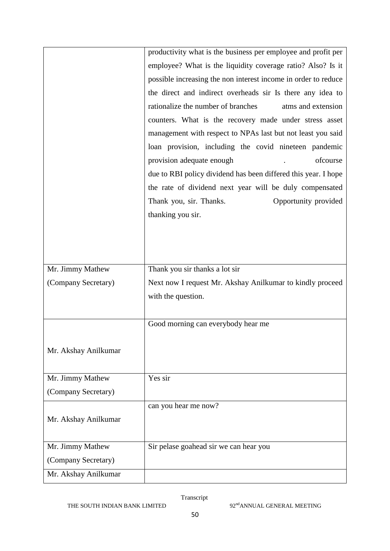|                      | productivity what is the business per employee and profit per  |
|----------------------|----------------------------------------------------------------|
|                      | employee? What is the liquidity coverage ratio? Also? Is it    |
|                      | possible increasing the non interest income in order to reduce |
|                      | the direct and indirect overheads sir Is there any idea to     |
|                      | rationalize the number of branches<br>atms and extension       |
|                      | counters. What is the recovery made under stress asset         |
|                      | management with respect to NPAs last but not least you said    |
|                      | loan provision, including the covid nineteen pandemic          |
|                      | provision adequate enough<br>ofcourse                          |
|                      | due to RBI policy dividend has been differed this year. I hope |
|                      | the rate of dividend next year will be duly compensated        |
|                      | Thank you, sir. Thanks.<br>Opportunity provided                |
|                      | thanking you sir.                                              |
|                      |                                                                |
|                      |                                                                |
|                      |                                                                |
| Mr. Jimmy Mathew     | Thank you sir thanks a lot sir                                 |
| (Company Secretary)  | Next now I request Mr. Akshay Anilkumar to kindly proceed      |
|                      | with the question.                                             |
|                      |                                                                |
|                      | Good morning can everybody hear me                             |
|                      |                                                                |
| Mr. Akshay Anilkumar |                                                                |
|                      |                                                                |
| Mr. Jimmy Mathew     | Yes sir                                                        |
| (Company Secretary)  |                                                                |
|                      | can you hear me now?                                           |
| Mr. Akshay Anilkumar |                                                                |
|                      |                                                                |
| Mr. Jimmy Mathew     | Sir pelase goahead sir we can hear you                         |
| (Company Secretary)  |                                                                |
| Mr. Akshay Anilkumar |                                                                |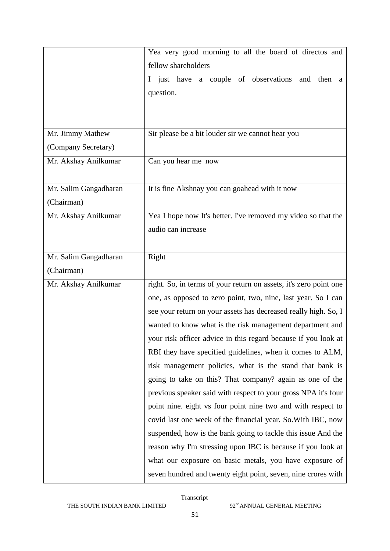|                       | Yea very good morning to all the board of directos and            |
|-----------------------|-------------------------------------------------------------------|
|                       | fellow shareholders                                               |
|                       | I just have a couple of observations and then a                   |
|                       | question.                                                         |
|                       |                                                                   |
|                       |                                                                   |
| Mr. Jimmy Mathew      | Sir please be a bit louder sir we cannot hear you                 |
| (Company Secretary)   |                                                                   |
| Mr. Akshay Anilkumar  | Can you hear me now                                               |
|                       |                                                                   |
| Mr. Salim Gangadharan | It is fine Akshnay you can goahead with it now                    |
| (Chairman)            |                                                                   |
| Mr. Akshay Anilkumar  | Yea I hope now It's better. I've removed my video so that the     |
|                       | audio can increase                                                |
|                       |                                                                   |
| Mr. Salim Gangadharan | Right                                                             |
| (Chairman)            |                                                                   |
| Mr. Akshay Anilkumar  | right. So, in terms of your return on assets, it's zero point one |
|                       | one, as opposed to zero point, two, nine, last year. So I can     |
|                       | see your return on your assets has decreased really high. So, I   |
|                       | wanted to know what is the risk management department and         |
|                       | your risk officer advice in this regard because if you look at    |
|                       | RBI they have specified guidelines, when it comes to ALM,         |
|                       | risk management policies, what is the stand that bank is          |
|                       | going to take on this? That company? again as one of the          |
|                       | previous speaker said with respect to your gross NPA it's four    |
|                       | point nine. eight vs four point nine two and with respect to      |
|                       | covid last one week of the financial year. So. With IBC, now      |
|                       | suspended, how is the bank going to tackle this issue And the     |
|                       | reason why I'm stressing upon IBC is because if you look at       |
|                       | what our exposure on basic metals, you have exposure of           |
|                       | seven hundred and twenty eight point, seven, nine crores with     |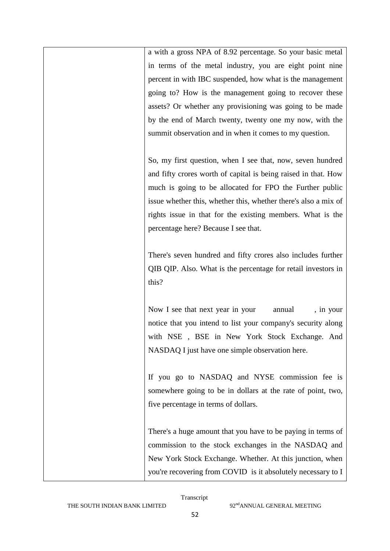a with a gross NPA of 8.92 percentage. So your basic metal in terms of the metal industry, you are eight point nine percent in with IBC suspended, how what is the management going to? How is the management going to recover these assets? Or whether any provisioning was going to be made by the end of March twenty, twenty one my now, with the summit observation and in when it comes to my question.

So, my first question, when I see that, now, seven hundred and fifty crores worth of capital is being raised in that. How much is going to be allocated for FPO the Further public issue whether this, whether this, whether there's also a mix of rights issue in that for the existing members. What is the percentage here? Because I see that.

There's seven hundred and fifty crores also includes further QIB QIP. Also. What is the percentage for retail investors in this?

Now I see that next year in your annual, in your notice that you intend to list your company's security along with NSE , BSE in New York Stock Exchange. And NASDAQ I just have one simple observation here.

If you go to NASDAQ and NYSE commission fee is somewhere going to be in dollars at the rate of point, two, five percentage in terms of dollars.

There's a huge amount that you have to be paying in terms of commission to the stock exchanges in the NASDAQ and New York Stock Exchange. Whether. At this junction, when you're recovering from COVID is it absolutely necessary to I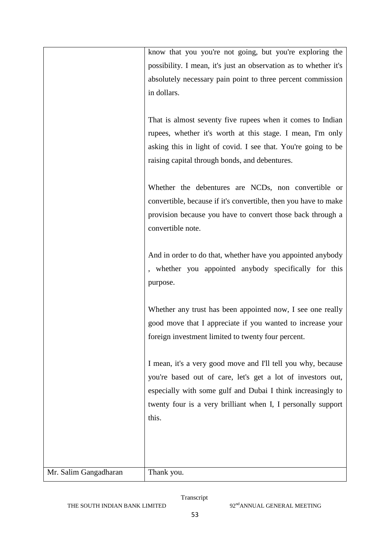|                       | know that you you're not going, but you're exploring the<br>possibility. I mean, it's just an observation as to whether it's<br>absolutely necessary pain point to three percent commission<br>in dollars.                                                          |
|-----------------------|---------------------------------------------------------------------------------------------------------------------------------------------------------------------------------------------------------------------------------------------------------------------|
|                       | That is almost seventy five rupees when it comes to Indian<br>rupees, whether it's worth at this stage. I mean, I'm only<br>asking this in light of covid. I see that. You're going to be<br>raising capital through bonds, and debentures.                         |
|                       | Whether the debentures are NCDs, non convertible or<br>convertible, because if it's convertible, then you have to make<br>provision because you have to convert those back through a<br>convertible note.                                                           |
|                       | And in order to do that, whether have you appointed anybody<br>, whether you appointed anybody specifically for this<br>purpose.                                                                                                                                    |
|                       | Whether any trust has been appointed now, I see one really<br>good move that I appreciate if you wanted to increase your<br>foreign investment limited to twenty four percent.                                                                                      |
|                       | I mean, it's a very good move and I'll tell you why, because<br>you're based out of care, let's get a lot of investors out,<br>especially with some gulf and Dubai I think increasingly to<br>twenty four is a very brilliant when I, I personally support<br>this. |
| Mr. Salim Gangadharan | Thank you.                                                                                                                                                                                                                                                          |

THE SOUTH INDIAN BANK LIMITED 92<sup>nd</sup>ANNUAL GENERAL MEETING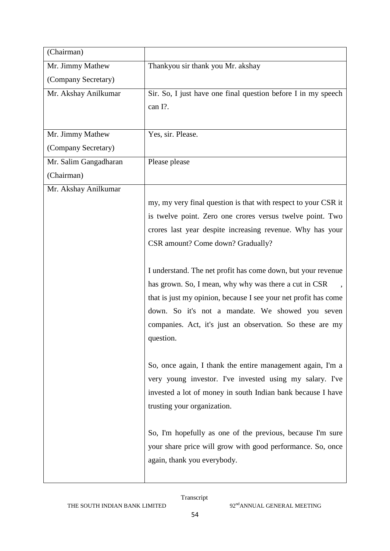| (Chairman)            |                                                                 |
|-----------------------|-----------------------------------------------------------------|
| Mr. Jimmy Mathew      | Thankyou sir thank you Mr. akshay                               |
| (Company Secretary)   |                                                                 |
| Mr. Akshay Anilkumar  | Sir. So, I just have one final question before I in my speech   |
|                       | can I?.                                                         |
|                       |                                                                 |
| Mr. Jimmy Mathew      | Yes, sir. Please.                                               |
| (Company Secretary)   |                                                                 |
| Mr. Salim Gangadharan | Please please                                                   |
| (Chairman)            |                                                                 |
| Mr. Akshay Anilkumar  |                                                                 |
|                       | my, my very final question is that with respect to your CSR it  |
|                       | is twelve point. Zero one crores versus twelve point. Two       |
|                       | crores last year despite increasing revenue. Why has your       |
|                       | CSR amount? Come down? Gradually?                               |
|                       |                                                                 |
|                       | I understand. The net profit has come down, but your revenue    |
|                       | has grown. So, I mean, why why was there a cut in CSR           |
|                       | that is just my opinion, because I see your net profit has come |
|                       | down. So it's not a mandate. We showed you seven                |
|                       | companies. Act, it's just an observation. So these are my       |
|                       | question.                                                       |
|                       |                                                                 |
|                       | So, once again, I thank the entire management again, I'm a      |
|                       | very young investor. I've invested using my salary. I've        |
|                       | invested a lot of money in south Indian bank because I have     |
|                       | trusting your organization.                                     |
|                       |                                                                 |
|                       | So, I'm hopefully as one of the previous, because I'm sure      |
|                       | your share price will grow with good performance. So, once      |
|                       | again, thank you everybody.                                     |
|                       |                                                                 |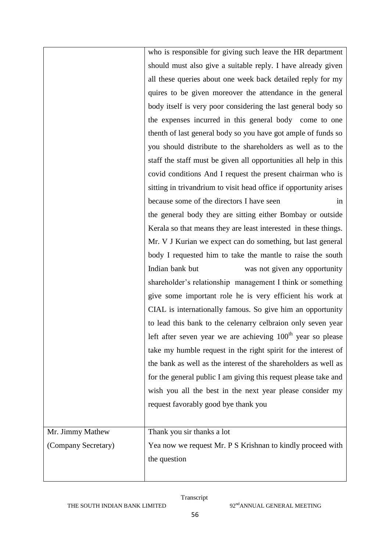|                     | who is responsible for giving such leave the HR department        |
|---------------------|-------------------------------------------------------------------|
|                     | should must also give a suitable reply. I have already given      |
|                     | all these queries about one week back detailed reply for my       |
|                     | quires to be given moreover the attendance in the general         |
|                     | body itself is very poor considering the last general body so     |
|                     | the expenses incurred in this general body come to one            |
|                     | thenth of last general body so you have got ample of funds so     |
|                     | you should distribute to the shareholders as well as to the       |
|                     | staff the staff must be given all opportunities all help in this  |
|                     | covid conditions And I request the present chairman who is        |
|                     | sitting in trivandrium to visit head office if opportunity arises |
|                     | because some of the directors I have seen<br>in                   |
|                     | the general body they are sitting either Bombay or outside        |
|                     | Kerala so that means they are least interested in these things.   |
|                     | Mr. V J Kurian we expect can do something, but last general       |
|                     | body I requested him to take the mantle to raise the south        |
|                     | Indian bank but<br>was not given any opportunity                  |
|                     | shareholder's relationship management I think or something        |
|                     | give some important role he is very efficient his work at         |
|                     | CIAL is internationally famous. So give him an opportunity        |
|                     | to lead this bank to the celenarry celbraion only seven year      |
|                     | left after seven year we are achieving $100th$ year so please     |
|                     | take my humble request in the right spirit for the interest of    |
|                     | the bank as well as the interest of the shareholders as well as   |
|                     | for the general public I am giving this request please take and   |
|                     | wish you all the best in the next year please consider my         |
|                     | request favorably good bye thank you                              |
|                     |                                                                   |
| Mr. Jimmy Mathew    | Thank you sir thanks a lot                                        |
| (Company Secretary) | Yea now we request Mr. P S Krishnan to kindly proceed with        |
|                     | the question                                                      |
|                     |                                                                   |
|                     |                                                                   |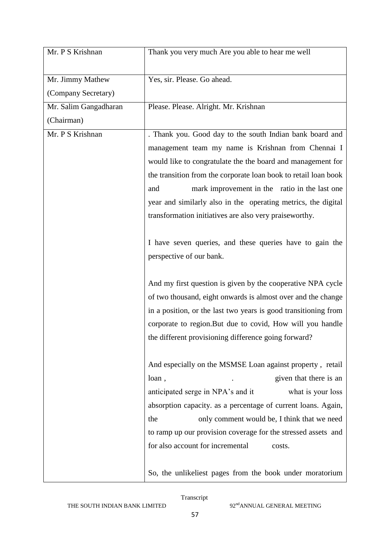| Mr. P S Krishnan      | Thank you very much Are you able to hear me well                |
|-----------------------|-----------------------------------------------------------------|
| Mr. Jimmy Mathew      | Yes, sir. Please. Go ahead.                                     |
| (Company Secretary)   |                                                                 |
| Mr. Salim Gangadharan | Please. Please. Alright. Mr. Krishnan                           |
| (Chairman)            |                                                                 |
| Mr. P S Krishnan      | . Thank you. Good day to the south Indian bank board and        |
|                       | management team my name is Krishnan from Chennai I              |
|                       | would like to congratulate the the board and management for     |
|                       | the transition from the corporate loan book to retail loan book |
|                       | mark improvement in the ratio in the last one<br>and            |
|                       | year and similarly also in the operating metrics, the digital   |
|                       | transformation initiatives are also very praiseworthy.          |
|                       |                                                                 |
|                       | I have seven queries, and these queries have to gain the        |
|                       | perspective of our bank.                                        |
|                       |                                                                 |
|                       | And my first question is given by the cooperative NPA cycle     |
|                       | of two thousand, eight onwards is almost over and the change    |
|                       | in a position, or the last two years is good transitioning from |
|                       | corporate to region. But due to covid, How will you handle      |
|                       | the different provisioning difference going forward?            |
|                       |                                                                 |
|                       | And especially on the MSMSE Loan against property, retail       |
|                       | given that there is an<br>loan,                                 |
|                       | anticipated serge in NPA's and it<br>what is your loss          |
|                       | absorption capacity. as a percentage of current loans. Again,   |
|                       | only comment would be, I think that we need<br>the              |
|                       | to ramp up our provision coverage for the stressed assets and   |
|                       | for also account for incremental<br>costs.                      |
|                       | So, the unlikeliest pages from the book under moratorium        |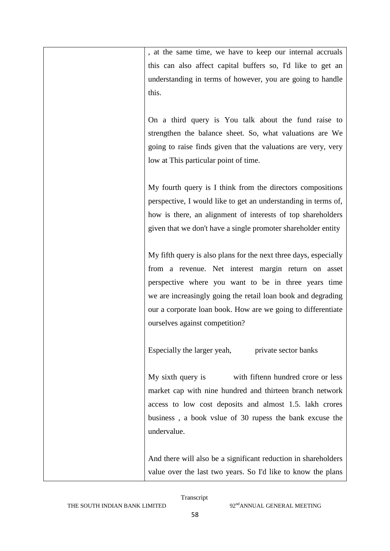, at the same time, we have to keep our internal accruals this can also affect capital buffers so, I'd like to get an understanding in terms of however, you are going to handle this.

On a third query is You talk about the fund raise to strengthen the balance sheet. So, what valuations are We going to raise finds given that the valuations are very, very low at This particular point of time.

My fourth query is I think from the directors compositions perspective, I would like to get an understanding in terms of, how is there, an alignment of interests of top shareholders given that we don't have a single promoter shareholder entity

My fifth query is also plans for the next three days, especially from a revenue. Net interest margin return on asset perspective where you want to be in three years time we are increasingly going the retail loan book and degrading our a corporate loan book. How are we going to differentiate ourselves against competition?

Especially the larger yeah, private sector banks

My sixth query is with fiftenn hundred crore or less market cap with nine hundred and thirteen branch network access to low cost deposits and almost 1.5. lakh crores business , a book vslue of 30 rupess the bank excuse the undervalue.

And there will also be a significant reduction in shareholders value over the last two years. So I'd like to know the plans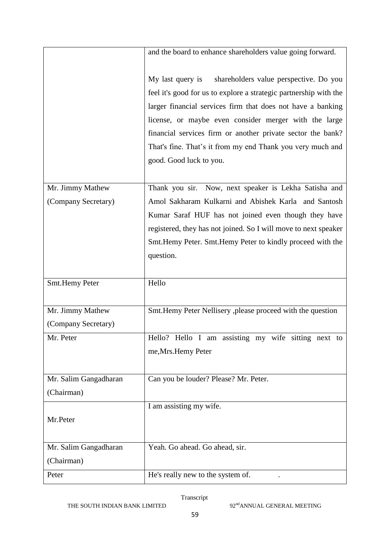|                       | and the board to enhance shareholders value going forward.                                                                                                                                                                                                                                                                                                                                                      |
|-----------------------|-----------------------------------------------------------------------------------------------------------------------------------------------------------------------------------------------------------------------------------------------------------------------------------------------------------------------------------------------------------------------------------------------------------------|
|                       | My last query is<br>shareholders value perspective. Do you<br>feel it's good for us to explore a strategic partnership with the<br>larger financial services firm that does not have a banking<br>license, or maybe even consider merger with the large<br>financial services firm or another private sector the bank?<br>That's fine. That's it from my end Thank you very much and<br>good. Good luck to you. |
| Mr. Jimmy Mathew      | Thank you sir. Now, next speaker is Lekha Satisha and                                                                                                                                                                                                                                                                                                                                                           |
| (Company Secretary)   | Amol Sakharam Kulkarni and Abishek Karla and Santosh                                                                                                                                                                                                                                                                                                                                                            |
|                       | Kumar Saraf HUF has not joined even though they have                                                                                                                                                                                                                                                                                                                                                            |
|                       | registered, they has not joined. So I will move to next speaker                                                                                                                                                                                                                                                                                                                                                 |
|                       | Smt. Hemy Peter. Smt. Hemy Peter to kindly proceed with the                                                                                                                                                                                                                                                                                                                                                     |
|                       | question.                                                                                                                                                                                                                                                                                                                                                                                                       |
| Smt.Hemy Peter        | Hello                                                                                                                                                                                                                                                                                                                                                                                                           |
| Mr. Jimmy Mathew      | Smt.Hemy Peter Nellisery ,please proceed with the question                                                                                                                                                                                                                                                                                                                                                      |
| (Company Secretary)   |                                                                                                                                                                                                                                                                                                                                                                                                                 |
| Mr. Peter             | Hello? Hello I am assisting my wife sitting next to                                                                                                                                                                                                                                                                                                                                                             |
|                       | me, Mrs. Hemy Peter                                                                                                                                                                                                                                                                                                                                                                                             |
| Mr. Salim Gangadharan | Can you be louder? Please? Mr. Peter.                                                                                                                                                                                                                                                                                                                                                                           |
| (Chairman)            |                                                                                                                                                                                                                                                                                                                                                                                                                 |
| Mr.Peter              | I am assisting my wife.                                                                                                                                                                                                                                                                                                                                                                                         |
|                       |                                                                                                                                                                                                                                                                                                                                                                                                                 |
| Mr. Salim Gangadharan | Yeah. Go ahead. Go ahead, sir.                                                                                                                                                                                                                                                                                                                                                                                  |
| (Chairman)            |                                                                                                                                                                                                                                                                                                                                                                                                                 |
| Peter                 | He's really new to the system of.                                                                                                                                                                                                                                                                                                                                                                               |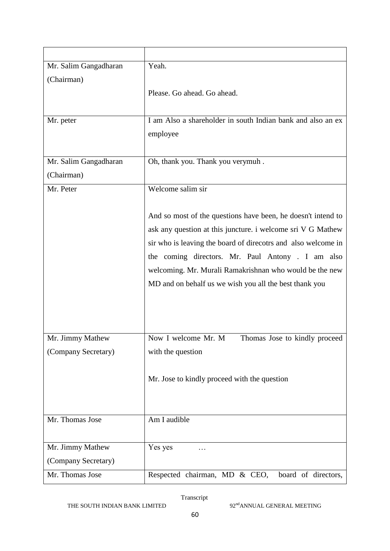| Mr. Salim Gangadharan                   | Yeah.                                                                                                                                                                                                                                                                                                                                                                  |
|-----------------------------------------|------------------------------------------------------------------------------------------------------------------------------------------------------------------------------------------------------------------------------------------------------------------------------------------------------------------------------------------------------------------------|
| (Chairman)                              | Please. Go ahead. Go ahead.                                                                                                                                                                                                                                                                                                                                            |
| Mr. peter                               | I am Also a shareholder in south Indian bank and also an ex<br>employee                                                                                                                                                                                                                                                                                                |
| Mr. Salim Gangadharan<br>(Chairman)     | Oh, thank you. Thank you verymuh.                                                                                                                                                                                                                                                                                                                                      |
| Mr. Peter                               | Welcome salim sir                                                                                                                                                                                                                                                                                                                                                      |
|                                         | And so most of the questions have been, he doesn't intend to<br>ask any question at this juncture. i welcome sri V G Mathew<br>sir who is leaving the board of direcotrs and also welcome in<br>the coming directors. Mr. Paul Antony . I am also<br>welcoming. Mr. Murali Ramakrishnan who would be the new<br>MD and on behalf us we wish you all the best thank you |
| Mr. Jimmy Mathew<br>(Company Secretary) | Thomas Jose to kindly proceed<br>Now I welcome Mr. M<br>with the question                                                                                                                                                                                                                                                                                              |
|                                         | Mr. Jose to kindly proceed with the question                                                                                                                                                                                                                                                                                                                           |
| Mr. Thomas Jose                         | Am I audible                                                                                                                                                                                                                                                                                                                                                           |
| Mr. Jimmy Mathew                        | Yes yes                                                                                                                                                                                                                                                                                                                                                                |
| (Company Secretary)                     |                                                                                                                                                                                                                                                                                                                                                                        |
| Mr. Thomas Jose                         | Respected chairman, MD & CEO,<br>board of directors,                                                                                                                                                                                                                                                                                                                   |

THE SOUTH INDIAN BANK LIMITED 92<sup>nd</sup>ANNUAL GENERAL MEETING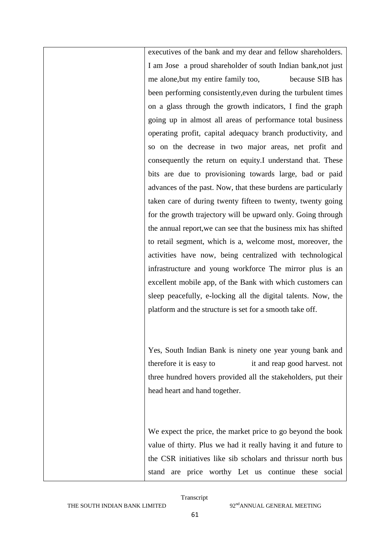executives of the bank and my dear and fellow shareholders. I am Jose a proud shareholder of south Indian bank,not just me alone,but my entire family too, because SIB has been performing consistently,even during the turbulent times on a glass through the growth indicators, I find the graph going up in almost all areas of performance total business operating profit, capital adequacy branch productivity, and so on the decrease in two major areas, net profit and consequently the return on equity.I understand that. These bits are due to provisioning towards large, bad or paid advances of the past. Now, that these burdens are particularly taken care of during twenty fifteen to twenty, twenty going for the growth trajectory will be upward only. Going through the annual report,we can see that the business mix has shifted to retail segment, which is a, welcome most, moreover, the activities have now, being centralized with technological infrastructure and young workforce The mirror plus is an excellent mobile app, of the Bank with which customers can sleep peacefully, e-locking all the digital talents. Now, the platform and the structure is set for a smooth take off.

Yes, South Indian Bank is ninety one year young bank and therefore it is easy to it and reap good harvest. not three hundred hovers provided all the stakeholders, put their head heart and hand together.

We expect the price, the market price to go beyond the book value of thirty. Plus we had it really having it and future to the CSR initiatives like sib scholars and thrissur north bus stand are price worthy Let us continue these social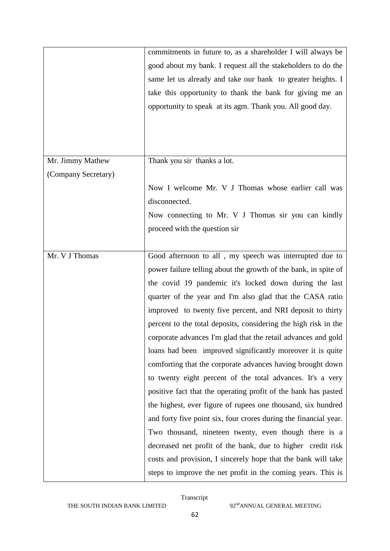|                     | commitments in future to, as a shareholder I will always be      |
|---------------------|------------------------------------------------------------------|
|                     | good about my bank. I request all the stakeholders to do the     |
|                     | same let us already and take our bank to greater heights. I      |
|                     | take this opportunity to thank the bank for giving me an         |
|                     | opportunity to speak at its agm. Thank you. All good day.        |
|                     |                                                                  |
|                     |                                                                  |
|                     |                                                                  |
| Mr. Jimmy Mathew    | Thank you sir thanks a lot.                                      |
| (Company Secretary) |                                                                  |
|                     | Now I welcome Mr. V J Thomas whose earlier call was              |
|                     | disconnected.                                                    |
|                     | Now connecting to Mr. V J Thomas sir you can kindly              |
|                     | proceed with the question sir                                    |
|                     |                                                                  |
| Mr. V J Thomas      | Good afternoon to all, my speech was interrupted due to          |
|                     | power failure telling about the growth of the bank, in spite of  |
|                     | the covid 19 pandemic it's locked down during the last           |
|                     | quarter of the year and I'm also glad that the CASA ratio        |
|                     | improved to twenty five percent, and NRI deposit to thirty       |
|                     | percent to the total deposits, considering the high risk in the  |
|                     | corporate advances I'm glad that the retail advances and gold    |
|                     | loans had been improved significantly moreover it is quite       |
|                     | comforting that the corporate advances having brought down       |
|                     | to twenty eight percent of the total advances. It's a very       |
|                     | positive fact that the operating profit of the bank has pasted   |
|                     | the highest, ever figure of rupees one thousand, six hundred     |
|                     | and forty five point six, four crores during the financial year. |
|                     | Two thousand, nineteen twenty, even though there is a            |
|                     | decreased net profit of the bank, due to higher credit risk      |
|                     | costs and provision, I sincerely hope that the bank will take    |
|                     |                                                                  |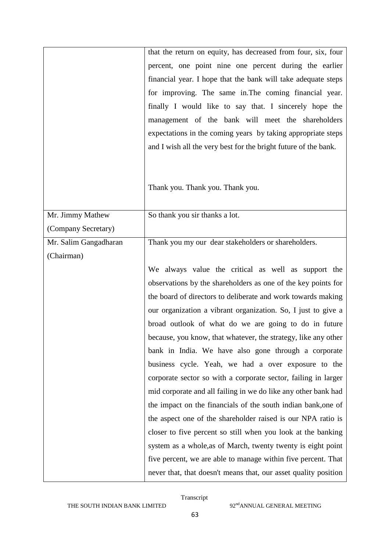|                       | that the return on equity, has decreased from four, six, four                                                                    |
|-----------------------|----------------------------------------------------------------------------------------------------------------------------------|
|                       | percent, one point nine one percent during the earlier                                                                           |
|                       | financial year. I hope that the bank will take adequate steps                                                                    |
|                       |                                                                                                                                  |
|                       | for improving. The same in. The coming financial year.                                                                           |
|                       | finally I would like to say that. I sincerely hope the                                                                           |
|                       | management of the bank will meet the shareholders                                                                                |
|                       | expectations in the coming years by taking appropriate steps                                                                     |
|                       | and I wish all the very best for the bright future of the bank.                                                                  |
|                       |                                                                                                                                  |
|                       |                                                                                                                                  |
|                       | Thank you. Thank you. Thank you.                                                                                                 |
|                       |                                                                                                                                  |
| Mr. Jimmy Mathew      | So thank you sir thanks a lot.                                                                                                   |
| (Company Secretary)   |                                                                                                                                  |
| Mr. Salim Gangadharan | Thank you my our dear stakeholders or shareholders.                                                                              |
| (Chairman)            |                                                                                                                                  |
|                       |                                                                                                                                  |
|                       | We always value the critical as well as support the                                                                              |
|                       | observations by the shareholders as one of the key points for                                                                    |
|                       | the board of directors to deliberate and work towards making                                                                     |
|                       | our organization a vibrant organization. So, I just to give a                                                                    |
|                       | broad outlook of what do we are going to do in future                                                                            |
|                       | because, you know, that whatever, the strategy, like any other                                                                   |
|                       | bank in India. We have also gone through a corporate                                                                             |
|                       | business cycle. Yeah, we had a over exposure to the                                                                              |
|                       | corporate sector so with a corporate sector, failing in larger                                                                   |
|                       | mid corporate and all failing in we do like any other bank had                                                                   |
|                       | the impact on the financials of the south indian bank, one of                                                                    |
|                       | the aspect one of the shareholder raised is our NPA ratio is                                                                     |
|                       | closer to five percent so still when you look at the banking                                                                     |
|                       |                                                                                                                                  |
|                       |                                                                                                                                  |
|                       | system as a whole, as of March, twenty twenty is eight point                                                                     |
|                       | five percent, we are able to manage within five percent. That<br>never that, that doesn't means that, our asset quality position |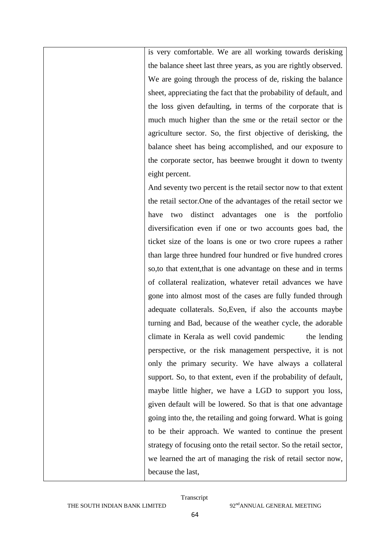is very comfortable. We are all working towards derisking the balance sheet last three years, as you are rightly observed. We are going through the process of de, risking the balance sheet, appreciating the fact that the probability of default, and the loss given defaulting, in terms of the corporate that is much much higher than the sme or the retail sector or the agriculture sector. So, the first objective of derisking, the balance sheet has being accomplished, and our exposure to the corporate sector, has beenwe brought it down to twenty eight percent.

And seventy two percent is the retail sector now to that extent the retail sector.One of the advantages of the retail sector we have two distinct advantages one is the portfolio diversification even if one or two accounts goes bad, the ticket size of the loans is one or two crore rupees a rather than large three hundred four hundred or five hundred crores so,to that extent,that is one advantage on these and in terms of collateral realization, whatever retail advances we have gone into almost most of the cases are fully funded through adequate collaterals. So,Even, if also the accounts maybe turning and Bad, because of the weather cycle, the adorable climate in Kerala as well covid pandemic the lending perspective, or the risk management perspective, it is not only the primary security. We have always a collateral support. So, to that extent, even if the probability of default, maybe little higher, we have a LGD to support you loss, given default will be lowered. So that is that one advantage going into the, the retailing and going forward. What is going to be their approach. We wanted to continue the present strategy of focusing onto the retail sector. So the retail sector, we learned the art of managing the risk of retail sector now, because the last,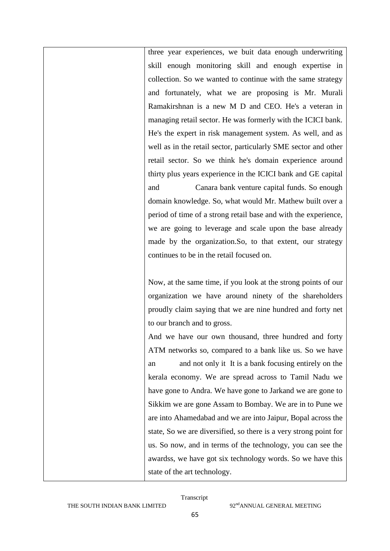three year experiences, we buit data enough underwriting skill enough monitoring skill and enough expertise in collection. So we wanted to continue with the same strategy and fortunately, what we are proposing is Mr. Murali Ramakirshnan is a new M D and CEO. He's a veteran in managing retail sector. He was formerly with the ICICI bank. He's the expert in risk management system. As well, and as well as in the retail sector, particularly SME sector and other retail sector. So we think he's domain experience around thirty plus years experience in the ICICI bank and GE capital and Canara bank venture capital funds. So enough domain knowledge. So, what would Mr. Mathew built over a period of time of a strong retail base and with the experience, we are going to leverage and scale upon the base already made by the organization.So, to that extent, our strategy continues to be in the retail focused on.

Now, at the same time, if you look at the strong points of our organization we have around ninety of the shareholders proudly claim saying that we are nine hundred and forty net to our branch and to gross.

And we have our own thousand, three hundred and forty ATM networks so, compared to a bank like us. So we have an and not only it It is a bank focusing entirely on the kerala economy. We are spread across to Tamil Nadu we have gone to Andra. We have gone to Jarkand we are gone to Sikkim we are gone Assam to Bombay. We are in to Pune we are into Ahamedabad and we are into Jaipur, Bopal across the state, So we are diversified, so there is a very strong point for us. So now, and in terms of the technology, you can see the awardss, we have got six technology words. So we have this state of the art technology.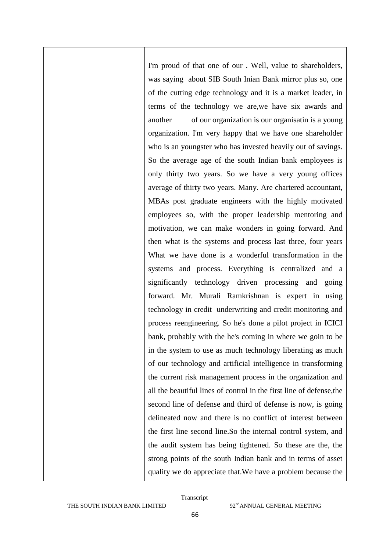I'm proud of that one of our . Well, value to shareholders, was saying about SIB South Inian Bank mirror plus so, one of the cutting edge technology and it is a market leader, in terms of the technology we are,we have six awards and another of our organization is our organisatin is a young organization. I'm very happy that we have one shareholder who is an youngster who has invested heavily out of savings. So the average age of the south Indian bank employees is only thirty two years. So we have a very young offices average of thirty two years. Many. Are chartered accountant, MBAs post graduate engineers with the highly motivated employees so, with the proper leadership mentoring and motivation, we can make wonders in going forward. And then what is the systems and process last three, four years What we have done is a wonderful transformation in the systems and process. Everything is centralized and a significantly technology driven processing and going forward. Mr. Murali Ramkrishnan is expert in using technology in credit underwriting and credit monitoring and process reengineering. So he's done a pilot project in ICICI bank, probably with the he's coming in where we goin to be in the system to use as much technology liberating as much of our technology and artificial intelligence in transforming the current risk management process in the organization and all the beautiful lines of control in the first line of defense,the second line of defense and third of defense is now, is going delineated now and there is no conflict of interest between the first line second line.So the internal control system, and the audit system has being tightened. So these are the, the strong points of the south Indian bank and in terms of asset quality we do appreciate that.We have a problem because the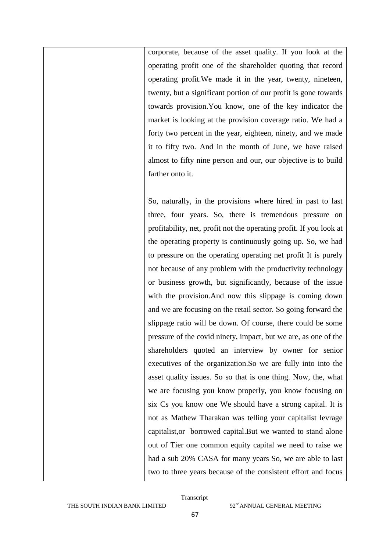corporate, because of the asset quality. If you look at the operating profit one of the shareholder quoting that record operating profit.We made it in the year, twenty, nineteen, twenty, but a significant portion of our profit is gone towards towards provision.You know, one of the key indicator the market is looking at the provision coverage ratio. We had a forty two percent in the year, eighteen, ninety, and we made it to fifty two. And in the month of June, we have raised almost to fifty nine person and our, our objective is to build farther onto it.

So, naturally, in the provisions where hired in past to last three, four years. So, there is tremendous pressure on profitability, net, profit not the operating profit. If you look at the operating property is continuously going up. So, we had to pressure on the operating operating net profit It is purely not because of any problem with the productivity technology or business growth, but significantly, because of the issue with the provision.And now this slippage is coming down and we are focusing on the retail sector. So going forward the slippage ratio will be down. Of course, there could be some pressure of the covid ninety, impact, but we are, as one of the shareholders quoted an interview by owner for senior executives of the organization.So we are fully into into the asset quality issues. So so that is one thing. Now, the, what we are focusing you know properly, you know focusing on six Cs you know one We should have a strong capital. It is not as Mathew Tharakan was telling your capitalist levrage capitalist,or borrowed capital.But we wanted to stand alone out of Tier one common equity capital we need to raise we had a sub 20% CASA for many years So, we are able to last two to three years because of the consistent effort and focus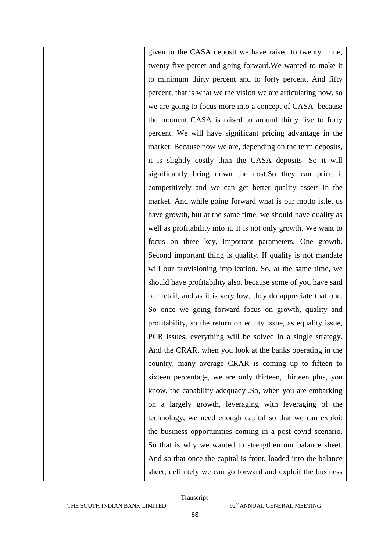given to the CASA deposit we have raised to twenty nine, twenty five percet and going forward.We wanted to make it to minimum thirty percent and to forty percent. And fifty percent, that is what we the vision we are articulating now, so we are going to focus more into a concept of CASA because the moment CASA is raised to around thirty five to forty percent. We will have significant pricing advantage in the market. Because now we are, depending on the term deposits, it is slightly costly than the CASA deposits. So it will significantly bring down the cost.So they can price it competitively and we can get better quality assets in the market. And while going forward what is our motto is.let us have growth, but at the same time, we should have quality as well as profitability into it. It is not only growth. We want to focus on three key, important parameters. One growth. Second important thing is quality. If quality is not mandate will our provisioning implication. So, at the same time, we should have profitability also, because some of you have said our retail, and as it is very low, they do appreciate that one. So once we going forward focus on growth, quality and profitability, so the return on equity issue, as equality issue, PCR issues, everything will be solved in a single strategy. And the CRAR, when you look at the banks operating in the country, many average CRAR is coming up to fifteen to sixteen percentage, we are only thirteen, thirteen plus, you know, the capability adequacy .So, when you are embarking on a largely growth, leveraging with leveraging of the technology, we need enough capital so that we can exploit the business opportunities coming in a post covid scenario. So that is why we wanted to strengthen our balance sheet. And so that once the capital is front, loaded into the balance sheet, definitely we can go forward and exploit the business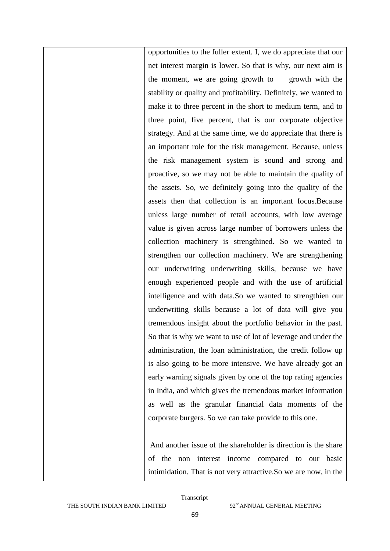opportunities to the fuller extent. I, we do appreciate that our net interest margin is lower. So that is why, our next aim is the moment, we are going growth to growth with the stability or quality and profitability. Definitely, we wanted to make it to three percent in the short to medium term, and to three point, five percent, that is our corporate objective strategy. And at the same time, we do appreciate that there is an important role for the risk management. Because, unless the risk management system is sound and strong and proactive, so we may not be able to maintain the quality of the assets. So, we definitely going into the quality of the assets then that collection is an important focus.Because unless large number of retail accounts, with low average value is given across large number of borrowers unless the collection machinery is strengthined. So we wanted to strengthen our collection machinery. We are strengthening our underwriting underwriting skills, because we have enough experienced people and with the use of artificial intelligence and with data.So we wanted to strengthien our underwriting skills because a lot of data will give you tremendous insight about the portfolio behavior in the past. So that is why we want to use of lot of leverage and under the administration, the loan administration, the credit follow up is also going to be more intensive. We have already got an early warning signals given by one of the top rating agencies in India, and which gives the tremendous market information as well as the granular financial data moments of the corporate burgers. So we can take provide to this one.

And another issue of the shareholder is direction is the share of the non interest income compared to our basic intimidation. That is not very attractive.So we are now, in the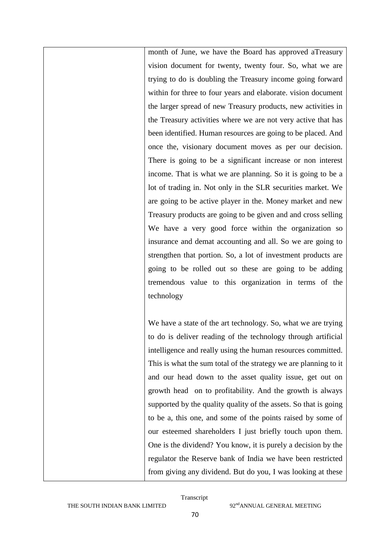month of June, we have the Board has approved aTreasury vision document for twenty, twenty four. So, what we are trying to do is doubling the Treasury income going forward within for three to four years and elaborate. vision document the larger spread of new Treasury products, new activities in the Treasury activities where we are not very active that has been identified. Human resources are going to be placed. And once the, visionary document moves as per our decision. There is going to be a significant increase or non interest income. That is what we are planning. So it is going to be a lot of trading in. Not only in the SLR securities market. We are going to be active player in the. Money market and new Treasury products are going to be given and and cross selling We have a very good force within the organization so insurance and demat accounting and all. So we are going to strengthen that portion. So, a lot of investment products are going to be rolled out so these are going to be adding tremendous value to this organization in terms of the technology

We have a state of the art technology. So, what we are trying to do is deliver reading of the technology through artificial intelligence and really using the human resources committed. This is what the sum total of the strategy we are planning to it and our head down to the asset quality issue, get out on growth head on to profitability. And the growth is always supported by the quality quality of the assets. So that is going to be a, this one, and some of the points raised by some of our esteemed shareholders I just briefly touch upon them. One is the dividend? You know, it is purely a decision by the regulator the Reserve bank of India we have been restricted from giving any dividend. But do you, I was looking at these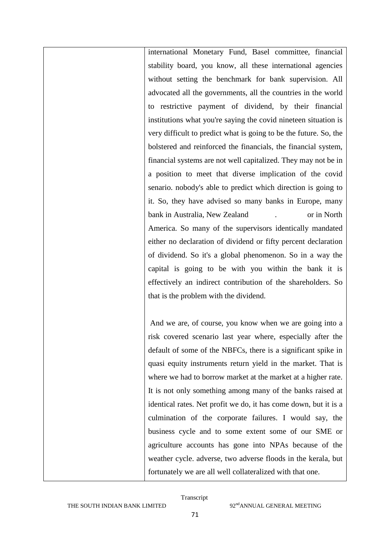international Monetary Fund, Basel committee, financial stability board, you know, all these international agencies without setting the benchmark for bank supervision. All advocated all the governments, all the countries in the world to restrictive payment of dividend, by their financial institutions what you're saying the covid nineteen situation is very difficult to predict what is going to be the future. So, the bolstered and reinforced the financials, the financial system, financial systems are not well capitalized. They may not be in a position to meet that diverse implication of the covid senario. nobody's able to predict which direction is going to it. So, they have advised so many banks in Europe, many bank in Australia, New Zealand . or in North America. So many of the supervisors identically mandated either no declaration of dividend or fifty percent declaration of dividend. So it's a global phenomenon. So in a way the capital is going to be with you within the bank it is effectively an indirect contribution of the shareholders. So that is the problem with the dividend.

And we are, of course, you know when we are going into a risk covered scenario last year where, especially after the default of some of the NBFCs, there is a significant spike in quasi equity instruments return yield in the market. That is where we had to borrow market at the market at a higher rate. It is not only something among many of the banks raised at identical rates. Net profit we do, it has come down, but it is a culmination of the corporate failures. I would say, the business cycle and to some extent some of our SME or agriculture accounts has gone into NPAs because of the weather cycle. adverse, two adverse floods in the kerala, but fortunately we are all well collateralized with that one.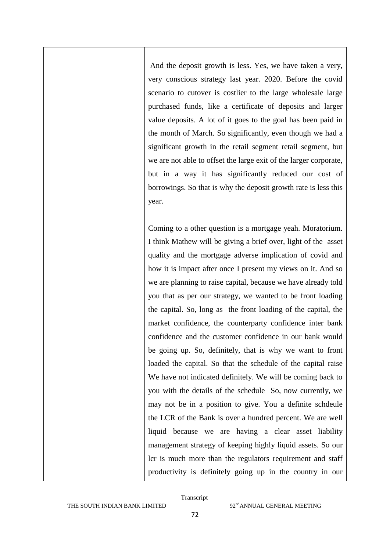And the deposit growth is less. Yes, we have taken a very, very conscious strategy last year. 2020. Before the covid scenario to cutover is costlier to the large wholesale large purchased funds, like a certificate of deposits and larger value deposits. A lot of it goes to the goal has been paid in the month of March. So significantly, even though we had a significant growth in the retail segment retail segment, but we are not able to offset the large exit of the larger corporate, but in a way it has significantly reduced our cost of borrowings. So that is why the deposit growth rate is less this year.

Coming to a other question is a mortgage yeah. Moratorium. I think Mathew will be giving a brief over, light of the asset quality and the mortgage adverse implication of covid and how it is impact after once I present my views on it. And so we are planning to raise capital, because we have already told you that as per our strategy, we wanted to be front loading the capital. So, long as the front loading of the capital, the market confidence, the counterparty confidence inter bank confidence and the customer confidence in our bank would be going up. So, definitely, that is why we want to front loaded the capital. So that the schedule of the capital raise We have not indicated definitely. We will be coming back to you with the details of the schedule So, now currently, we may not be in a position to give. You a definite schdeule the LCR of the Bank is over a hundred percent. We are well liquid because we are having a clear asset liability management strategy of keeping highly liquid assets. So our lcr is much more than the regulators requirement and staff productivity is definitely going up in the country in our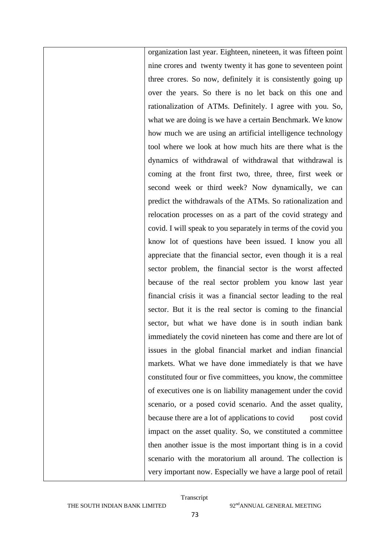organization last year. Eighteen, nineteen, it was fifteen point nine crores and twenty twenty it has gone to seventeen point three crores. So now, definitely it is consistently going up over the years. So there is no let back on this one and rationalization of ATMs. Definitely. I agree with you. So, what we are doing is we have a certain Benchmark. We know how much we are using an artificial intelligence technology tool where we look at how much hits are there what is the dynamics of withdrawal of withdrawal that withdrawal is coming at the front first two, three, three, first week or second week or third week? Now dynamically, we can predict the withdrawals of the ATMs. So rationalization and relocation processes on as a part of the covid strategy and covid. I will speak to you separately in terms of the covid you know lot of questions have been issued. I know you all appreciate that the financial sector, even though it is a real sector problem, the financial sector is the worst affected because of the real sector problem you know last year financial crisis it was a financial sector leading to the real sector. But it is the real sector is coming to the financial sector, but what we have done is in south indian bank immediately the covid nineteen has come and there are lot of issues in the global financial market and indian financial markets. What we have done immediately is that we have constituted four or five committees, you know, the committee of executives one is on liability management under the covid scenario, or a posed covid scenario. And the asset quality, because there are a lot of applications to covid post covid impact on the asset quality. So, we constituted a committee then another issue is the most important thing is in a covid scenario with the moratorium all around. The collection is very important now. Especially we have a large pool of retail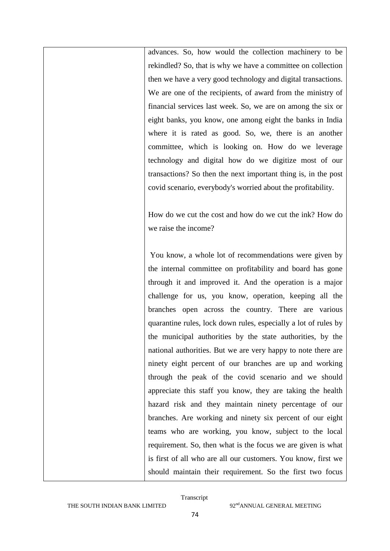advances. So, how would the collection machinery to be rekindled? So, that is why we have a committee on collection then we have a very good technology and digital transactions. We are one of the recipients, of award from the ministry of financial services last week. So, we are on among the six or eight banks, you know, one among eight the banks in India where it is rated as good. So, we, there is an another committee, which is looking on. How do we leverage technology and digital how do we digitize most of our transactions? So then the next important thing is, in the post covid scenario, everybody's worried about the profitability.

How do we cut the cost and how do we cut the ink? How do we raise the income?

You know, a whole lot of recommendations were given by the internal committee on profitability and board has gone through it and improved it. And the operation is a major challenge for us, you know, operation, keeping all the branches open across the country. There are various quarantine rules, lock down rules, especially a lot of rules by the municipal authorities by the state authorities, by the national authorities. But we are very happy to note there are ninety eight percent of our branches are up and working through the peak of the covid scenario and we should appreciate this staff you know, they are taking the health hazard risk and they maintain ninety percentage of our branches. Are working and ninety six percent of our eight teams who are working, you know, subject to the local requirement. So, then what is the focus we are given is what is first of all who are all our customers. You know, first we should maintain their requirement. So the first two focus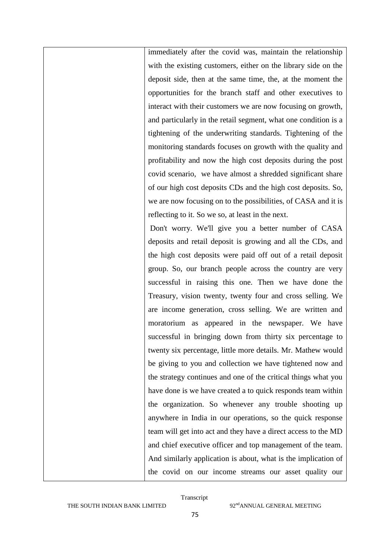immediately after the covid was, maintain the relationship with the existing customers, either on the library side on the deposit side, then at the same time, the, at the moment the opportunities for the branch staff and other executives to interact with their customers we are now focusing on growth, and particularly in the retail segment, what one condition is a tightening of the underwriting standards. Tightening of the monitoring standards focuses on growth with the quality and profitability and now the high cost deposits during the post covid scenario, we have almost a shredded significant share of our high cost deposits CDs and the high cost deposits. So, we are now focusing on to the possibilities, of CASA and it is reflecting to it. So we so, at least in the next.

Don't worry. We'll give you a better number of CASA deposits and retail deposit is growing and all the CDs, and the high cost deposits were paid off out of a retail deposit group. So, our branch people across the country are very successful in raising this one. Then we have done the Treasury, vision twenty, twenty four and cross selling. We are income generation, cross selling. We are written and moratorium as appeared in the newspaper. We have successful in bringing down from thirty six percentage to twenty six percentage, little more details. Mr. Mathew would be giving to you and collection we have tightened now and the strategy continues and one of the critical things what you have done is we have created a to quick responds team within the organization. So whenever any trouble shooting up anywhere in India in our operations, so the quick response team will get into act and they have a direct access to the MD and chief executive officer and top management of the team. And similarly application is about, what is the implication of the covid on our income streams our asset quality our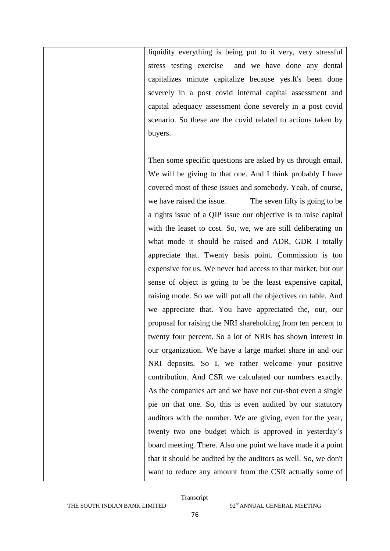liquidity everything is being put to it very, very stressful stress testing exercise and we have done any dental capitalizes minute capitalize because yes.It's been done severely in a post covid internal capital assessment and capital adequacy assessment done severely in a post covid scenario. So these are the covid related to actions taken by buyers.

Then some specific questions are asked by us through email. We will be giving to that one. And I think probably I have covered most of these issues and somebody. Yeah, of course, we have raised the issue. The seven fifty is going to be a rights issue of a QIP issue our objective is to raise capital with the leaset to cost. So, we, we are still deliberating on what mode it should be raised and ADR, GDR I totally appreciate that. Twenty basis point. Commission is too expensive for us. We never had access to that market, but our sense of object is going to be the least expensive capital, raising mode. So we will put all the objectives on table. And we appreciate that. You have appreciated the, our, our proposal for raising the NRI shareholding from ten percent to twenty four percent. So a lot of NRIs has shown interest in our organization. We have a large market share in and our NRI deposits. So I, we rather welcome your positive contribution. And CSR we calculated our numbers exactly. As the companies act and we have not cut-shot even a single pie on that one. So, this is even audited by our statutory auditors with the number. We are giving, even for the year, twenty two one budget which is approved in yesterday"s board meeting. There. Also one point we have made it a point that it should be audited by the auditors as well. So, we don't want to reduce any amount from the CSR actually some of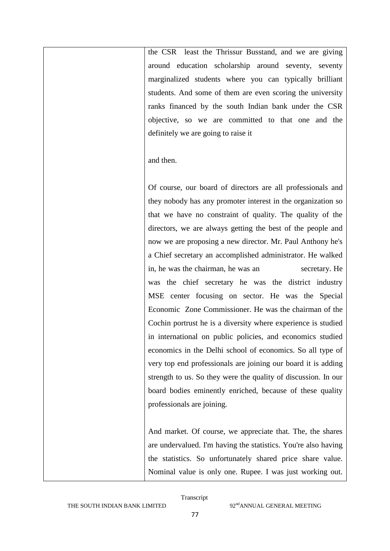the CSR least the Thrissur Busstand, and we are giving around education scholarship around seventy, seventy marginalized students where you can typically brilliant students. And some of them are even scoring the university ranks financed by the south Indian bank under the CSR objective, so we are committed to that one and the definitely we are going to raise it

and then.

Of course, our board of directors are all professionals and they nobody has any promoter interest in the organization so that we have no constraint of quality. The quality of the directors, we are always getting the best of the people and now we are proposing a new director. Mr. Paul Anthony he's a Chief secretary an accomplished administrator. He walked in, he was the chairman, he was an secretary. He was the chief secretary he was the district industry MSE center focusing on sector. He was the Special Economic Zone Commissioner. He was the chairman of the Cochin portrust he is a diversity where experience is studied in international on public policies, and economics studied economics in the Delhi school of economics. So all type of very top end professionals are joining our board it is adding strength to us. So they were the quality of discussion. In our board bodies eminently enriched, because of these quality professionals are joining.

And market. Of course, we appreciate that. The, the shares are undervalued. I'm having the statistics. You're also having the statistics. So unfortunately shared price share value. Nominal value is only one. Rupee. I was just working out.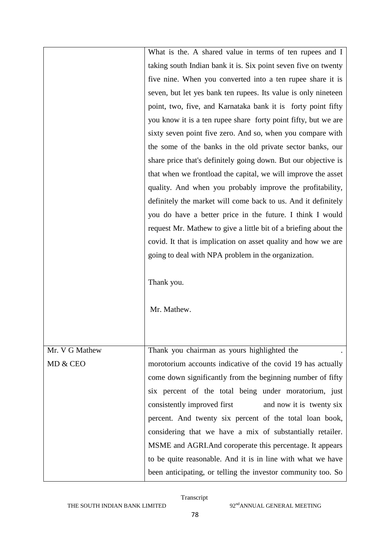|                | What is the. A shared value in terms of ten rupees and I        |
|----------------|-----------------------------------------------------------------|
|                | taking south Indian bank it is. Six point seven five on twenty  |
|                | five nine. When you converted into a ten rupee share it is      |
|                | seven, but let yes bank ten rupees. Its value is only nineteen  |
|                | point, two, five, and Karnataka bank it is forty point fifty    |
|                | you know it is a ten rupee share forty point fifty, but we are  |
|                | sixty seven point five zero. And so, when you compare with      |
|                | the some of the banks in the old private sector banks, our      |
|                | share price that's definitely going down. But our objective is  |
|                | that when we frontload the capital, we will improve the asset   |
|                | quality. And when you probably improve the profitability,       |
|                | definitely the market will come back to us. And it definitely   |
|                | you do have a better price in the future. I think I would       |
|                | request Mr. Mathew to give a little bit of a briefing about the |
|                | covid. It that is implication on asset quality and how we are   |
|                | going to deal with NPA problem in the organization.             |
|                |                                                                 |
|                | Thank you.                                                      |
|                |                                                                 |
|                | Mr. Mathew.                                                     |
|                |                                                                 |
|                |                                                                 |
| Mr. V G Mathew | Thank you chairman as yours highlighted the                     |
| MD & CEO       | morotorium accounts indicative of the covid 19 has actually     |
|                | come down significantly from the beginning number of fifty      |
|                | six percent of the total being under moratorium, just           |
|                | consistently improved first<br>and now it is twenty six         |
|                | percent. And twenty six percent of the total loan book,         |
|                | considering that we have a mix of substantially retailer.       |
|                | MSME and AGRI. And coroperate this percentage. It appears       |
|                | to be quite reasonable. And it is in line with what we have     |
|                | been anticipating, or telling the investor community too. So    |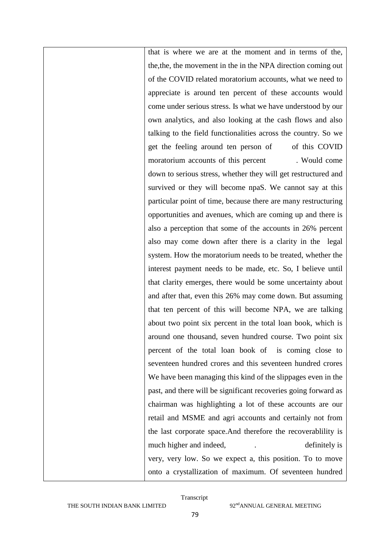that is where we are at the moment and in terms of the, the,the, the movement in the in the NPA direction coming out of the COVID related moratorium accounts, what we need to appreciate is around ten percent of these accounts would come under serious stress. Is what we have understood by our own analytics, and also looking at the cash flows and also talking to the field functionalities across the country. So we get the feeling around ten person of of this COVID moratorium accounts of this percent . Would come down to serious stress, whether they will get restructured and survived or they will become npaS. We cannot say at this particular point of time, because there are many restructuring opportunities and avenues, which are coming up and there is also a perception that some of the accounts in 26% percent also may come down after there is a clarity in the legal system. How the moratorium needs to be treated, whether the interest payment needs to be made, etc. So, I believe until that clarity emerges, there would be some uncertainty about and after that, even this 26% may come down. But assuming that ten percent of this will become NPA, we are talking about two point six percent in the total loan book, which is around one thousand, seven hundred course. Two point six percent of the total loan book of is coming close to seventeen hundred crores and this seventeen hundred crores We have been managing this kind of the slippages even in the past, and there will be significant recoveries going forward as chairman was highlighting a lot of these accounts are our retail and MSME and agri accounts and certainly not from the last corporate space.And therefore the recoverablility is much higher and indeed, help is definitely is very, very low. So we expect a, this position. To to move onto a crystallization of maximum. Of seventeen hundred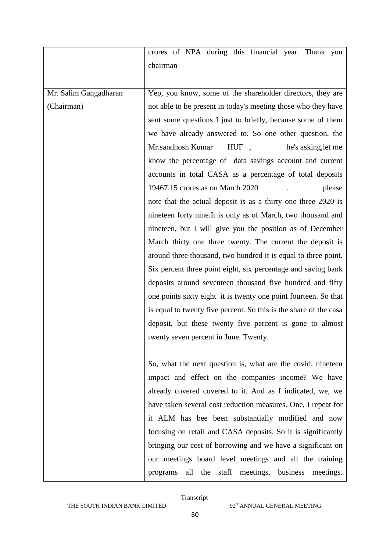|                       | crores of NPA during this financial year. Thank you               |
|-----------------------|-------------------------------------------------------------------|
|                       | chairman                                                          |
|                       |                                                                   |
| Mr. Salim Gangadharan | Yep, you know, some of the shareholder directors, they are        |
| (Chairman)            | not able to be present in today's meeting those who they have     |
|                       | sent some questions I just to briefly, because some of them       |
|                       | we have already answered to. So one other question, the           |
|                       | Mr.sandhosh Kumar<br>HUF,<br>he's asking, let me                  |
|                       | know the percentage of data savings account and current           |
|                       | accounts in total CASA as a percentage of total deposits          |
|                       | 19467.15 crores as on March 2020<br>please                        |
|                       | note that the actual deposit is as a thirty one three 2020 is     |
|                       | nineteen forty nine. It is only as of March, two thousand and     |
|                       | nineteen, but I will give you the position as of December         |
|                       | March thirty one three twenty. The current the deposit is         |
|                       | around three thousand, two hundred it is equal to three point.    |
|                       | Six percent three point eight, six percentage and saving bank     |
|                       | deposits around seventeen thousand five hundred and fifty         |
|                       | one points sixty eight it is twenty one point fourteen. So that   |
|                       | is equal to twenty five percent. So this is the share of the casa |
|                       | deposit, but these twenty five percent is gone to almost          |
|                       | twenty seven percent in June. Twenty.                             |
|                       |                                                                   |
|                       | So, what the next question is, what are the covid, nineteen       |
|                       | impact and effect on the companies income? We have                |
|                       | already covered covered to it. And as I indicated, we, we         |
|                       | have taken several cost reduction measures. One, I repeat for     |
|                       | it ALM has bee been substantially modified and now                |
|                       | focusing on retail and CASA deposits. So it is significantly      |
|                       | bringing our cost of borrowing and we have a significant on       |
|                       | our meetings board level meetings and all the training            |
|                       | programs all the staff meetings, business meetings.               |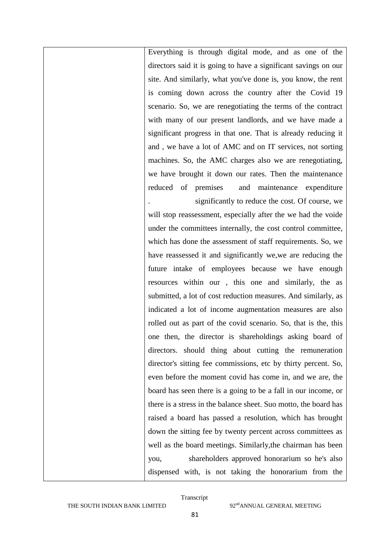Everything is through digital mode, and as one of the directors said it is going to have a significant savings on our site. And similarly, what you've done is, you know, the rent is coming down across the country after the Covid 19 scenario. So, we are renegotiating the terms of the contract with many of our present landlords, and we have made a significant progress in that one. That is already reducing it and , we have a lot of AMC and on IT services, not sorting machines. So, the AMC charges also we are renegotiating, we have brought it down our rates. Then the maintenance reduced of premises and maintenance expenditure significantly to reduce the cost. Of course, we will stop reassessment, especially after the we had the voide under the committees internally, the cost control committee, which has done the assessment of staff requirements. So, we

have reassessed it and significantly we,we are reducing the future intake of employees because we have enough resources within our , this one and similarly, the as submitted, a lot of cost reduction measures. And similarly, as indicated a lot of income augmentation measures are also rolled out as part of the covid scenario. So, that is the, this one then, the director is shareholdings asking board of directors. should thing about cutting the remuneration director's sitting fee commissions, etc by thirty percent. So, even before the moment covid has come in, and we are, the board has seen there is a going to be a fall in our income, or there is a stress in the balance sheet. Suo motto, the board has raised a board has passed a resolution, which has brought down the sitting fee by twenty percent across committees as well as the board meetings. Similarly,the chairman has been you, shareholders approved honorarium so he's also dispensed with, is not taking the honorarium from the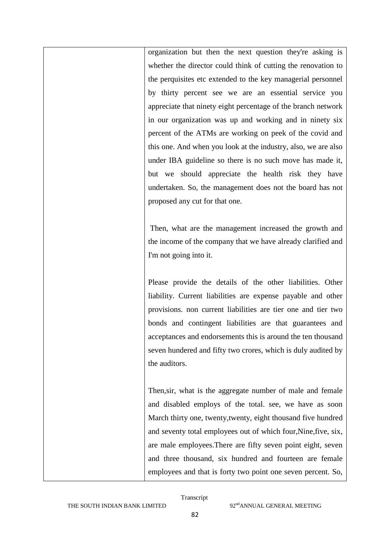organization but then the next question they're asking is whether the director could think of cutting the renovation to the perquisites etc extended to the key managerial personnel by thirty percent see we are an essential service you appreciate that ninety eight percentage of the branch network in our organization was up and working and in ninety six percent of the ATMs are working on peek of the covid and this one. And when you look at the industry, also, we are also under IBA guideline so there is no such move has made it, but we should appreciate the health risk they have undertaken. So, the management does not the board has not proposed any cut for that one.

Then, what are the management increased the growth and the income of the company that we have already clarified and I'm not going into it.

Please provide the details of the other liabilities. Other liability. Current liabilities are expense payable and other provisions. non current liabilities are tier one and tier two bonds and contingent liabilities are that guarantees and acceptances and endorsements this is around the ten thousand seven hundered and fifty two crores, which is duly audited by the auditors.

Then,sir, what is the aggregate number of male and female and disabled employs of the total. see, we have as soon March thirty one, twenty,twenty, eight thousand five hundred and seventy total employees out of which four,Nine,five, six, are male employees.There are fifty seven point eight, seven and three thousand, six hundred and fourteen are female employees and that is forty two point one seven percent. So,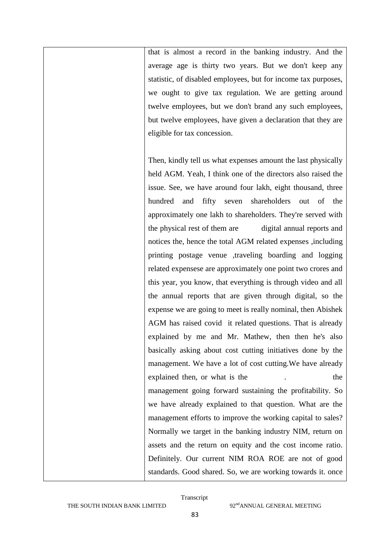that is almost a record in the banking industry. And the average age is thirty two years. But we don't keep any statistic, of disabled employees, but for income tax purposes, we ought to give tax regulation. We are getting around twelve employees, but we don't brand any such employees, but twelve employees, have given a declaration that they are eligible for tax concession.

Then, kindly tell us what expenses amount the last physically held AGM. Yeah, I think one of the directors also raised the issue. See, we have around four lakh, eight thousand, three hundred and fifty seven shareholders out of the approximately one lakh to shareholders. They're served with the physical rest of them are digital annual reports and notices the, hence the total AGM related expenses ,including printing postage venue ,traveling boarding and logging related expensese are approximately one point two crores and this year, you know, that everything is through video and all the annual reports that are given through digital, so the expense we are going to meet is really nominal, then Abishek AGM has raised covid it related questions. That is already explained by me and Mr. Mathew, then then he's also basically asking about cost cutting initiatives done by the management. We have a lot of cost cutting.We have already explained then, or what is the . the the management going forward sustaining the profitability. So we have already explained to that question. What are the management efforts to improve the working capital to sales? Normally we target in the banking industry NIM, return on assets and the return on equity and the cost income ratio. Definitely. Our current NIM ROA ROE are not of good standards. Good shared. So, we are working towards it. once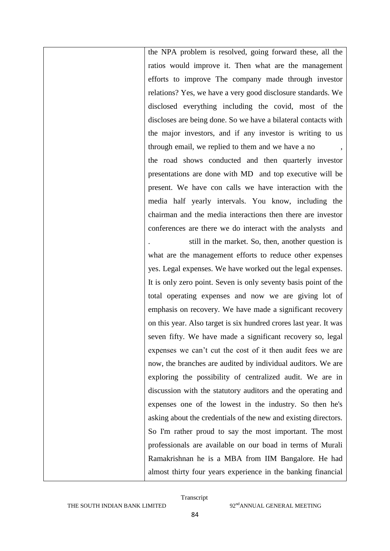the NPA problem is resolved, going forward these, all the ratios would improve it. Then what are the management efforts to improve The company made through investor relations? Yes, we have a very good disclosure standards. We disclosed everything including the covid, most of the discloses are being done. So we have a bilateral contacts with the major investors, and if any investor is writing to us through email, we replied to them and we have a no , the road shows conducted and then quarterly investor presentations are done with MD and top executive will be present. We have con calls we have interaction with the media half yearly intervals. You know, including the chairman and the media interactions then there are investor conferences are there we do interact with the analysts and . still in the market. So, then, another question is

what are the management efforts to reduce other expenses yes. Legal expenses. We have worked out the legal expenses. It is only zero point. Seven is only seventy basis point of the total operating expenses and now we are giving lot of emphasis on recovery. We have made a significant recovery on this year. Also target is six hundred crores last year. It was seven fifty. We have made a significant recovery so, legal expenses we can't cut the cost of it then audit fees we are now, the branches are audited by individual auditors. We are exploring the possibility of centralized audit. We are in discussion with the statutory auditors and the operating and expenses one of the lowest in the industry. So then he's asking about the credentials of the new and existing directors. So I'm rather proud to say the most important. The most professionals are available on our boad in terms of Murali Ramakrishnan he is a MBA from IIM Bangalore. He had almost thirty four years experience in the banking financial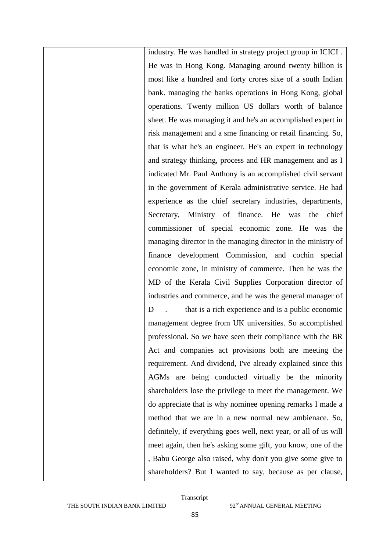industry. He was handled in strategy project group in ICICI . He was in Hong Kong. Managing around twenty billion is most like a hundred and forty crores sixe of a south Indian bank. managing the banks operations in Hong Kong, global operations. Twenty million US dollars worth of balance sheet. He was managing it and he's an accomplished expert in risk management and a sme financing or retail financing. So, that is what he's an engineer. He's an expert in technology and strategy thinking, process and HR management and as I indicated Mr. Paul Anthony is an accomplished civil servant in the government of Kerala administrative service. He had experience as the chief secretary industries, departments, Secretary, Ministry of finance. He was the chief commissioner of special economic zone. He was the managing director in the managing director in the ministry of finance development Commission, and cochin special economic zone, in ministry of commerce. Then he was the MD of the Kerala Civil Supplies Corporation director of industries and commerce, and he was the general manager of D . that is a rich experience and is a public economic management degree from UK universities. So accomplished professional. So we have seen their compliance with the BR Act and companies act provisions both are meeting the requirement. And dividend, I've already explained since this AGMs are being conducted virtually be the minority shareholders lose the privilege to meet the management. We do appreciate that is why nominee opening remarks I made a method that we are in a new normal new ambienace. So, definitely, if everything goes well, next year, or all of us will meet again, then he's asking some gift, you know, one of the , Babu George also raised, why don't you give some give to shareholders? But I wanted to say, because as per clause,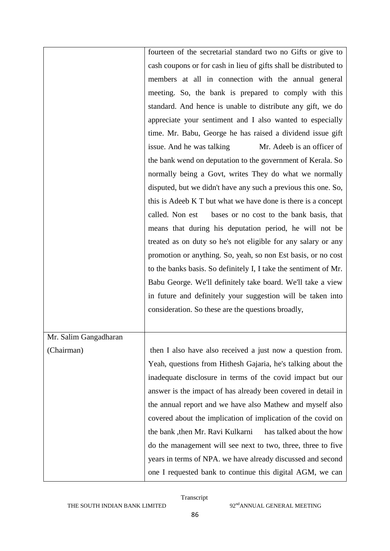|                       | fourteen of the secretarial standard two no Gifts or give to      |
|-----------------------|-------------------------------------------------------------------|
|                       | cash coupons or for cash in lieu of gifts shall be distributed to |
|                       | members at all in connection with the annual general              |
|                       | meeting. So, the bank is prepared to comply with this             |
|                       | standard. And hence is unable to distribute any gift, we do       |
|                       | appreciate your sentiment and I also wanted to especially         |
|                       | time. Mr. Babu, George he has raised a dividend issue gift        |
|                       | issue. And he was talking<br>Mr. Adeeb is an officer of           |
|                       | the bank wend on deputation to the government of Kerala. So       |
|                       | normally being a Govt, writes They do what we normally            |
|                       | disputed, but we didn't have any such a previous this one. So,    |
|                       | this is Adeeb K T but what we have done is there is a concept     |
|                       | called. Non est<br>bases or no cost to the bank basis, that       |
|                       | means that during his deputation period, he will not be           |
|                       | treated as on duty so he's not eligible for any salary or any     |
|                       | promotion or anything. So, yeah, so non Est basis, or no cost     |
|                       | to the banks basis. So definitely I, I take the sentiment of Mr.  |
|                       | Babu George. We'll definitely take board. We'll take a view       |
|                       | in future and definitely your suggestion will be taken into       |
|                       | consideration. So these are the questions broadly,                |
|                       |                                                                   |
| Mr. Salim Gangadharan |                                                                   |
| (Chairman)            | then I also have also received a just now a question from.        |
|                       | Yeah, questions from Hithesh Gajaria, he's talking about the      |
|                       | inadequate disclosure in terms of the covid impact but our        |
|                       | answer is the impact of has already been covered in detail in     |
|                       | the annual report and we have also Mathew and myself also         |
|                       | covered about the implication of implication of the covid on      |
|                       | the bank, then Mr. Ravi Kulkarni<br>has talked about the how      |
|                       | do the management will see next to two, three, three to five      |
|                       | years in terms of NPA. we have already discussed and second       |
|                       | one I requested bank to continue this digital AGM, we can         |
|                       |                                                                   |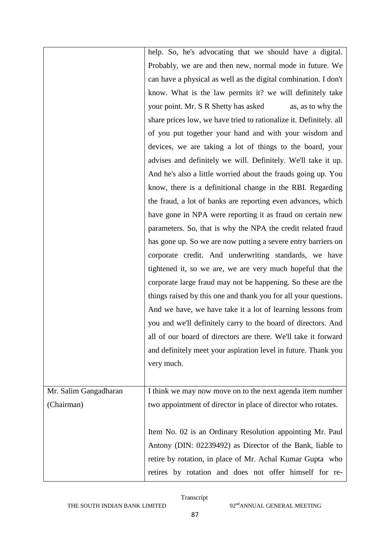|                       | help. So, he's advocating that we should have a digital.           |
|-----------------------|--------------------------------------------------------------------|
|                       | Probably, we are and then new, normal mode in future. We           |
|                       | can have a physical as well as the digital combination. I don't    |
|                       | know. What is the law permits it? we will definitely take          |
|                       | your point. Mr. S R Shetty has asked<br>as, as to why the          |
|                       | share prices low, we have tried to rationalize it. Definitely. all |
|                       | of you put together your hand and with your wisdom and             |
|                       | devices, we are taking a lot of things to the board, your          |
|                       | advises and definitely we will. Definitely. We'll take it up.      |
|                       | And he's also a little worried about the frauds going up. You      |
|                       | know, there is a definitional change in the RBI. Regarding         |
|                       | the fraud, a lot of banks are reporting even advances, which       |
|                       | have gone in NPA were reporting it as fraud on certain new         |
|                       | parameters. So, that is why the NPA the credit related fraud       |
|                       | has gone up. So we are now putting a severe entry barriers on      |
|                       | corporate credit. And underwriting standards, we have              |
|                       | tightened it, so we are, we are very much hopeful that the         |
|                       | corporate large fraud may not be happening. So these are the       |
|                       | things raised by this one and thank you for all your questions.    |
|                       | And we have, we have take it a lot of learning lessons from        |
|                       | you and we'll definitely carry to the board of directors. And      |
|                       | all of our board of directors are there. We'll take it forward     |
|                       | and definitely meet your aspiration level in future. Thank you     |
|                       | very much.                                                         |
|                       |                                                                    |
| Mr. Salim Gangadharan | I think we may now move on to the next agenda item number          |
| (Chairman)            | two appointment of director in place of director who rotates.      |
|                       |                                                                    |
|                       | Item No. 02 is an Ordinary Resolution appointing Mr. Paul          |
|                       | Antony (DIN: 02239492) as Director of the Bank, liable to          |
|                       | retire by rotation, in place of Mr. Achal Kumar Gupta who          |
|                       | retires by rotation and does not offer himself for re-             |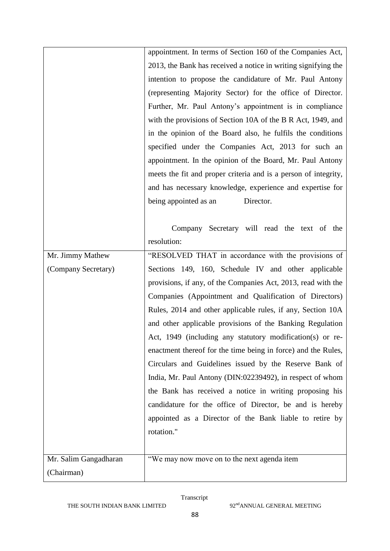|                       | appointment. In terms of Section 160 of the Companies Act,      |
|-----------------------|-----------------------------------------------------------------|
|                       | 2013, the Bank has received a notice in writing signifying the  |
|                       | intention to propose the candidature of Mr. Paul Antony         |
|                       | (representing Majority Sector) for the office of Director.      |
|                       | Further, Mr. Paul Antony's appointment is in compliance         |
|                       | with the provisions of Section 10A of the B R Act, 1949, and    |
|                       | in the opinion of the Board also, he fulfils the conditions     |
|                       | specified under the Companies Act, 2013 for such an             |
|                       | appointment. In the opinion of the Board, Mr. Paul Antony       |
|                       | meets the fit and proper criteria and is a person of integrity, |
|                       | and has necessary knowledge, experience and expertise for       |
|                       | being appointed as an<br>Director.                              |
|                       |                                                                 |
|                       | Company Secretary will read the text of the                     |
|                       | resolution:                                                     |
| Mr. Jimmy Mathew      | "RESOLVED THAT in accordance with the provisions of             |
| (Company Secretary)   | Sections 149, 160, Schedule IV and other applicable             |
|                       | provisions, if any, of the Companies Act, 2013, read with the   |
|                       | Companies (Appointment and Qualification of Directors)          |
|                       | Rules, 2014 and other applicable rules, if any, Section 10A     |
|                       | and other applicable provisions of the Banking Regulation       |
|                       | Act, 1949 (including any statutory modification(s) or re-       |
|                       | enactment thereof for the time being in force) and the Rules,   |
|                       | Circulars and Guidelines issued by the Reserve Bank of          |
|                       | India, Mr. Paul Antony (DIN:02239492), in respect of whom       |
|                       | the Bank has received a notice in writing proposing his         |
|                       | candidature for the office of Director, be and is hereby        |
|                       | appointed as a Director of the Bank liable to retire by         |
|                       | rotation."                                                      |
|                       |                                                                 |
| Mr. Salim Gangadharan | "We may now move on to the next agenda item                     |
|                       |                                                                 |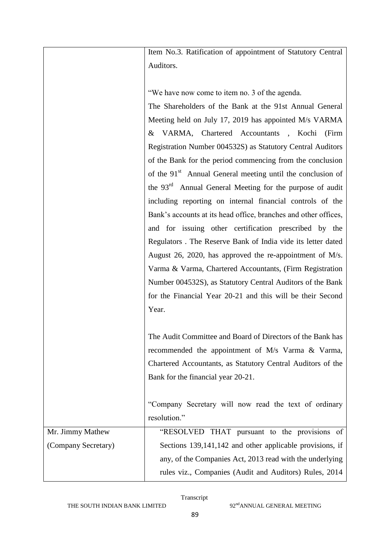Item No.3. Ratification of appointment of Statutory Central Auditors.

"We have now come to item no. 3 of the agenda.

The Shareholders of the Bank at the 91st Annual General Meeting held on July 17, 2019 has appointed M/s VARMA & VARMA, Chartered Accountants , Kochi (Firm Registration Number 004532S) as Statutory Central Auditors of the Bank for the period commencing from the conclusion of the 91<sup>st</sup> Annual General meeting until the conclusion of the 93<sup>rd</sup> Annual General Meeting for the purpose of audit including reporting on internal financial controls of the Bank's accounts at its head office, branches and other offices, and for issuing other certification prescribed by the Regulators . The Reserve Bank of India vide its letter dated August 26, 2020, has approved the re-appointment of M/s. Varma & Varma, Chartered Accountants, (Firm Registration Number 004532S), as Statutory Central Auditors of the Bank for the Financial Year 20-21 and this will be their Second Year.

The Audit Committee and Board of Directors of the Bank has recommended the appointment of M/s Varma & Varma, Chartered Accountants, as Statutory Central Auditors of the Bank for the financial year 20-21.

"Company Secretary will now read the text of ordinary resolution."

| Mr. Jimmy Mathew    | "RESOLVED THAT pursuant to the provisions of             |
|---------------------|----------------------------------------------------------|
| (Company Secretary) | Sections 139,141,142 and other applicable provisions, if |
|                     | any, of the Companies Act, 2013 read with the underlying |
|                     | rules viz., Companies (Audit and Auditors) Rules, 2014   |
|                     |                                                          |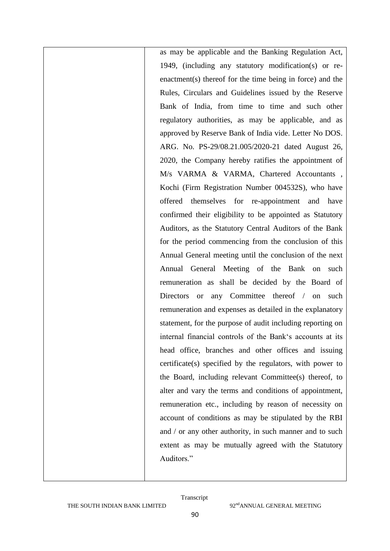as may be applicable and the Banking Regulation Act, 1949, (including any statutory modification(s) or reenactment(s) thereof for the time being in force) and the Rules, Circulars and Guidelines issued by the Reserve Bank of India, from time to time and such other regulatory authorities, as may be applicable, and as approved by Reserve Bank of India vide. Letter No DOS. ARG. No. PS-29/08.21.005/2020-21 dated August 26, 2020, the Company hereby ratifies the appointment of M/s VARMA & VARMA, Chartered Accountants , Kochi (Firm Registration Number 004532S), who have offered themselves for re-appointment and have confirmed their eligibility to be appointed as Statutory Auditors, as the Statutory Central Auditors of the Bank for the period commencing from the conclusion of this Annual General meeting until the conclusion of the next Annual General Meeting of the Bank on such remuneration as shall be decided by the Board of Directors or any Committee thereof / on such remuneration and expenses as detailed in the explanatory statement, for the purpose of audit including reporting on internal financial controls of the Bank's accounts at its head office, branches and other offices and issuing certificate(s) specified by the regulators, with power to the Board, including relevant Committee(s) thereof, to alter and vary the terms and conditions of appointment, remuneration etc., including by reason of necessity on account of conditions as may be stipulated by the RBI and / or any other authority, in such manner and to such extent as may be mutually agreed with the Statutory Auditors."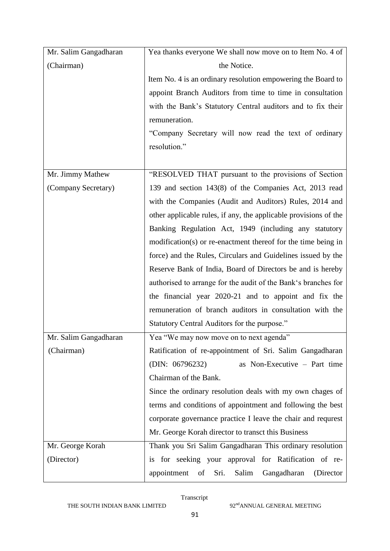| Mr. Salim Gangadharan | Yea thanks everyone We shall now move on to Item No. 4 of        |
|-----------------------|------------------------------------------------------------------|
| (Chairman)            | the Notice.                                                      |
|                       | Item No. 4 is an ordinary resolution empowering the Board to     |
|                       | appoint Branch Auditors from time to time in consultation        |
|                       | with the Bank's Statutory Central auditors and to fix their      |
|                       | remuneration.                                                    |
|                       | "Company Secretary will now read the text of ordinary            |
|                       | resolution."                                                     |
|                       |                                                                  |
| Mr. Jimmy Mathew      | "RESOLVED THAT pursuant to the provisions of Section             |
| (Company Secretary)   | 139 and section 143(8) of the Companies Act, 2013 read           |
|                       | with the Companies (Audit and Auditors) Rules, 2014 and          |
|                       | other applicable rules, if any, the applicable provisions of the |
|                       | Banking Regulation Act, 1949 (including any statutory            |
|                       | modification(s) or re-enactment thereof for the time being in    |
|                       | force) and the Rules, Circulars and Guidelines issued by the     |
|                       | Reserve Bank of India, Board of Directors be and is hereby       |
|                       | authorised to arrange for the audit of the Bank's branches for   |
|                       | the financial year 2020-21 and to appoint and fix the            |
|                       | remuneration of branch auditors in consultation with the         |
|                       | Statutory Central Auditors for the purpose."                     |
| Mr. Salim Gangadharan | Yea "We may now move on to next agenda"                          |
| (Chairman)            | Ratification of re-appointment of Sri. Salim Gangadharan         |
|                       | as Non-Executive - Part time<br>(DIN: 06796232)                  |
|                       | Chairman of the Bank.                                            |
|                       | Since the ordinary resolution deals with my own chages of        |
|                       | terms and conditions of appointment and following the best       |
|                       | corporate governance practice I leave the chair and requrest     |
|                       | Mr. George Korah director to transct this Business               |
| Mr. George Korah      | Thank you Sri Salim Gangadharan This ordinary resolution         |
| (Director)            | is for seeking your approval for Ratification of re-             |
|                       | Sri.<br>(Director)<br>appointment<br>of<br>Salim<br>Gangadharan  |

THE SOUTH INDIAN BANK LIMITED 92<sup>nd</sup>ANNUAL GENERAL MEETING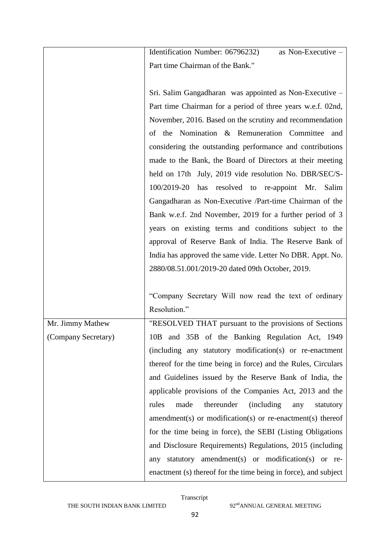|                     | Identification Number: 06796232)<br>as Non-Executive -                |
|---------------------|-----------------------------------------------------------------------|
|                     | Part time Chairman of the Bank."                                      |
|                     |                                                                       |
|                     | Sri. Salim Gangadharan was appointed as Non-Executive –               |
|                     | Part time Chairman for a period of three years w.e.f. 02nd,           |
|                     | November, 2016. Based on the scrutiny and recommendation              |
|                     | of the Nomination & Remuneration Committee<br>and                     |
|                     | considering the outstanding performance and contributions             |
|                     | made to the Bank, the Board of Directors at their meeting             |
|                     | held on 17th July, 2019 vide resolution No. DBR/SEC/S-                |
|                     | 100/2019-20 has resolved to re-appoint Mr.<br>Salim                   |
|                     | Gangadharan as Non-Executive /Part-time Chairman of the               |
|                     | Bank w.e.f. 2nd November, 2019 for a further period of 3              |
|                     | years on existing terms and conditions subject to the                 |
|                     | approval of Reserve Bank of India. The Reserve Bank of                |
|                     | India has approved the same vide. Letter No DBR. Appt. No.            |
|                     | 2880/08.51.001/2019-20 dated 09th October, 2019.                      |
|                     |                                                                       |
|                     | "Company Secretary Will now read the text of ordinary                 |
|                     | Resolution."                                                          |
| Mr. Jimmy Mathew    | "RESOLVED THAT pursuant to the provisions of Sections                 |
| (Company Secretary) | 10B and 35B of the Banking Regulation Act, 1949                       |
|                     | (including any statutory modification(s) or re-enactment              |
|                     | thereof for the time being in force) and the Rules, Circulars         |
|                     | and Guidelines issued by the Reserve Bank of India, the               |
|                     | applicable provisions of the Companies Act, 2013 and the              |
|                     | thereunder<br>rules<br>made<br><i>(including)</i><br>statutory<br>any |
|                     | $a$ mendment(s) or modification(s) or re-enactment(s) thereof         |
|                     | for the time being in force), the SEBI (Listing Obligations           |
|                     | and Disclosure Requirements) Regulations, 2015 (including             |
|                     | statutory amendment(s) or modification(s) or re-<br>any               |
|                     | enactment (s) thereof for the time being in force), and subject       |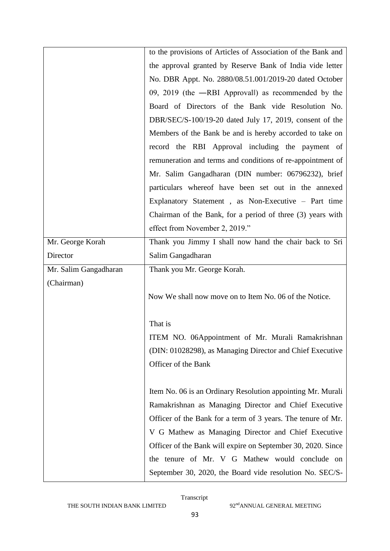|                       | to the provisions of Articles of Association of the Bank and |
|-----------------------|--------------------------------------------------------------|
|                       | the approval granted by Reserve Bank of India vide letter    |
|                       | No. DBR Appt. No. 2880/08.51.001/2019-20 dated October       |
|                       | 09, 2019 (the -RBI Approvall) as recommended by the          |
|                       | Board of Directors of the Bank vide Resolution No.           |
|                       | DBR/SEC/S-100/19-20 dated July 17, 2019, consent of the      |
|                       | Members of the Bank be and is hereby accorded to take on     |
|                       | record the RBI Approval including the payment of             |
|                       | remuneration and terms and conditions of re-appointment of   |
|                       | Mr. Salim Gangadharan (DIN number: 06796232), brief          |
|                       | particulars whereof have been set out in the annexed         |
|                       | Explanatory Statement, as Non-Executive - Part time          |
|                       | Chairman of the Bank, for a period of three (3) years with   |
|                       | effect from November 2, 2019."                               |
| Mr. George Korah      | Thank you Jimmy I shall now hand the chair back to Sri       |
| Director              | Salim Gangadharan                                            |
|                       |                                                              |
| Mr. Salim Gangadharan | Thank you Mr. George Korah.                                  |
| (Chairman)            |                                                              |
|                       | Now We shall now move on to Item No. 06 of the Notice.       |
|                       |                                                              |
|                       | That is                                                      |
|                       | ITEM NO. 06Appointment of Mr. Murali Ramakrishnan            |
|                       | (DIN: 01028298), as Managing Director and Chief Executive    |
|                       | Officer of the Bank                                          |
|                       |                                                              |
|                       | Item No. 06 is an Ordinary Resolution appointing Mr. Murali  |
|                       | Ramakrishnan as Managing Director and Chief Executive        |
|                       | Officer of the Bank for a term of 3 years. The tenure of Mr. |
|                       | V G Mathew as Managing Director and Chief Executive          |
|                       | Officer of the Bank will expire on September 30, 2020. Since |
|                       | the tenure of Mr. V G Mathew would conclude on               |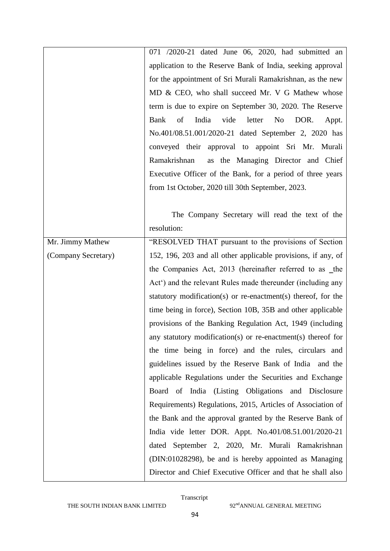| 071 /2020-21 dated June 06, 2020, had submitted an<br>application to the Reserve Bank of India, seeking approval<br>for the appointment of Sri Murali Ramakrishnan, as the new<br>MD & CEO, who shall succeed Mr. V G Mathew whose<br>term is due to expire on September 30, 2020. The Reserve<br>Bank<br>of<br>India<br>vide<br>letter<br>N <sub>o</sub><br>DOR.<br>Appt.<br>No.401/08.51.001/2020-21 dated September 2, 2020 has<br>conveyed their approval to appoint Sri Mr. Murali<br>as the Managing Director and Chief<br>Ramakrishnan<br>Executive Officer of the Bank, for a period of three years<br>from 1st October, 2020 till 30th September, 2023. |
|------------------------------------------------------------------------------------------------------------------------------------------------------------------------------------------------------------------------------------------------------------------------------------------------------------------------------------------------------------------------------------------------------------------------------------------------------------------------------------------------------------------------------------------------------------------------------------------------------------------------------------------------------------------|
|                                                                                                                                                                                                                                                                                                                                                                                                                                                                                                                                                                                                                                                                  |
|                                                                                                                                                                                                                                                                                                                                                                                                                                                                                                                                                                                                                                                                  |
|                                                                                                                                                                                                                                                                                                                                                                                                                                                                                                                                                                                                                                                                  |
|                                                                                                                                                                                                                                                                                                                                                                                                                                                                                                                                                                                                                                                                  |
|                                                                                                                                                                                                                                                                                                                                                                                                                                                                                                                                                                                                                                                                  |
|                                                                                                                                                                                                                                                                                                                                                                                                                                                                                                                                                                                                                                                                  |
|                                                                                                                                                                                                                                                                                                                                                                                                                                                                                                                                                                                                                                                                  |
|                                                                                                                                                                                                                                                                                                                                                                                                                                                                                                                                                                                                                                                                  |
|                                                                                                                                                                                                                                                                                                                                                                                                                                                                                                                                                                                                                                                                  |
|                                                                                                                                                                                                                                                                                                                                                                                                                                                                                                                                                                                                                                                                  |
|                                                                                                                                                                                                                                                                                                                                                                                                                                                                                                                                                                                                                                                                  |
|                                                                                                                                                                                                                                                                                                                                                                                                                                                                                                                                                                                                                                                                  |
| The Company Secretary will read the text of the                                                                                                                                                                                                                                                                                                                                                                                                                                                                                                                                                                                                                  |
| resolution:                                                                                                                                                                                                                                                                                                                                                                                                                                                                                                                                                                                                                                                      |
| "RESOLVED THAT pursuant to the provisions of Section<br>Mr. Jimmy Mathew                                                                                                                                                                                                                                                                                                                                                                                                                                                                                                                                                                                         |
| (Company Secretary)<br>152, 196, 203 and all other applicable provisions, if any, of                                                                                                                                                                                                                                                                                                                                                                                                                                                                                                                                                                             |
| the Companies Act, 2013 (hereinafter referred to as _the                                                                                                                                                                                                                                                                                                                                                                                                                                                                                                                                                                                                         |
| Act <sup>o</sup> ) and the relevant Rules made thereunder (including any                                                                                                                                                                                                                                                                                                                                                                                                                                                                                                                                                                                         |
| statutory modification(s) or re-enactment(s) thereof, for the                                                                                                                                                                                                                                                                                                                                                                                                                                                                                                                                                                                                    |
| time being in force), Section 10B, 35B and other applicable                                                                                                                                                                                                                                                                                                                                                                                                                                                                                                                                                                                                      |
| provisions of the Banking Regulation Act, 1949 (including                                                                                                                                                                                                                                                                                                                                                                                                                                                                                                                                                                                                        |
| any statutory modification(s) or re-enactment(s) thereof for                                                                                                                                                                                                                                                                                                                                                                                                                                                                                                                                                                                                     |
| the time being in force) and the rules, circulars and                                                                                                                                                                                                                                                                                                                                                                                                                                                                                                                                                                                                            |
| guidelines issued by the Reserve Bank of India and the                                                                                                                                                                                                                                                                                                                                                                                                                                                                                                                                                                                                           |
| applicable Regulations under the Securities and Exchange                                                                                                                                                                                                                                                                                                                                                                                                                                                                                                                                                                                                         |
| Board of India (Listing Obligations and Disclosure                                                                                                                                                                                                                                                                                                                                                                                                                                                                                                                                                                                                               |
| Requirements) Regulations, 2015, Articles of Association of                                                                                                                                                                                                                                                                                                                                                                                                                                                                                                                                                                                                      |
| the Bank and the approval granted by the Reserve Bank of                                                                                                                                                                                                                                                                                                                                                                                                                                                                                                                                                                                                         |
| India vide letter DOR. Appt. No.401/08.51.001/2020-21                                                                                                                                                                                                                                                                                                                                                                                                                                                                                                                                                                                                            |
|                                                                                                                                                                                                                                                                                                                                                                                                                                                                                                                                                                                                                                                                  |
| dated September 2, 2020, Mr. Murali Ramakrishnan                                                                                                                                                                                                                                                                                                                                                                                                                                                                                                                                                                                                                 |
| (DIN:01028298), be and is hereby appointed as Managing                                                                                                                                                                                                                                                                                                                                                                                                                                                                                                                                                                                                           |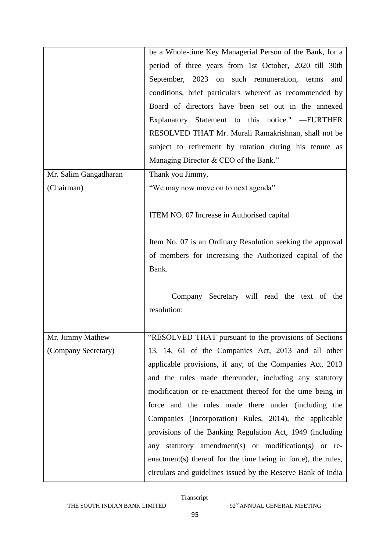|                       | be a Whole-time Key Managerial Person of the Bank, for a      |
|-----------------------|---------------------------------------------------------------|
|                       | period of three years from 1st October, 2020 till 30th        |
|                       | September, 2023 on such remuneration, terms<br>and            |
|                       | conditions, brief particulars whereof as recommended by       |
|                       | Board of directors have been set out in the annexed           |
|                       | Explanatory Statement to this notice." -FURTHER               |
|                       | RESOLVED THAT Mr. Murali Ramakrishnan, shall not be           |
|                       | subject to retirement by rotation during his tenure as        |
|                       | Managing Director & CEO of the Bank."                         |
| Mr. Salim Gangadharan | Thank you Jimmy,                                              |
| (Chairman)            | "We may now move on to next agenda"                           |
|                       |                                                               |
|                       | ITEM NO. 07 Increase in Authorised capital                    |
|                       |                                                               |
|                       | Item No. 07 is an Ordinary Resolution seeking the approval    |
|                       | of members for increasing the Authorized capital of the       |
|                       | Bank.                                                         |
|                       |                                                               |
|                       | Company Secretary will read the text of the                   |
|                       | resolution:                                                   |
|                       |                                                               |
| Mr. Jimmy Mathew      | "RESOLVED THAT pursuant to the provisions of Sections         |
| (Company Secretary)   | 13, 14, 61 of the Companies Act, 2013 and all other           |
|                       | applicable provisions, if any, of the Companies Act, 2013     |
|                       | and the rules made thereunder, including any statutory        |
|                       | modification or re-enactment thereof for the time being in    |
|                       | force and the rules made there under (including the           |
|                       | Companies (Incorporation) Rules, 2014), the applicable        |
|                       | provisions of the Banking Regulation Act, 1949 (including     |
|                       | statutory amendment(s) or modification(s) or re-<br>any       |
|                       | enactment(s) thereof for the time being in force), the rules, |
|                       | circulars and guidelines issued by the Reserve Bank of India  |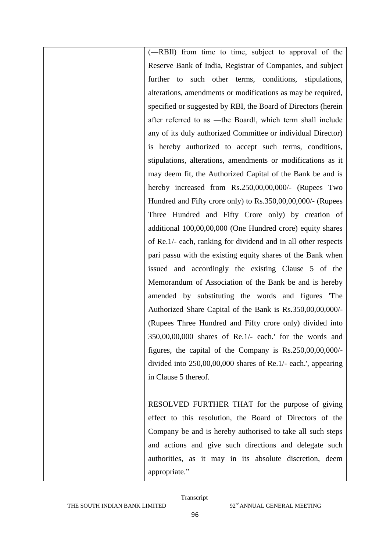(―RBI‖) from time to time, subject to approval of the Reserve Bank of India, Registrar of Companies, and subject further to such other terms, conditions, stipulations, alterations, amendments or modifications as may be required, specified or suggested by RBI, the Board of Directors (herein after referred to as ―the Board‖, which term shall include any of its duly authorized Committee or individual Director) is hereby authorized to accept such terms, conditions, stipulations, alterations, amendments or modifications as it may deem fit, the Authorized Capital of the Bank be and is hereby increased from Rs.250,00,00,000/- (Rupees Two Hundred and Fifty crore only) to Rs.350,00,00,000/- (Rupees Three Hundred and Fifty Crore only) by creation of additional 100,00,00,000 (One Hundred crore) equity shares of Re.1/- each, ranking for dividend and in all other respects pari passu with the existing equity shares of the Bank when issued and accordingly the existing Clause 5 of the Memorandum of Association of the Bank be and is hereby amended by substituting the words and figures 'The Authorized Share Capital of the Bank is Rs.350,00,00,000/- (Rupees Three Hundred and Fifty crore only) divided into 350,00,00,000 shares of Re.1/- each.' for the words and figures, the capital of the Company is Rs.250,00,00,000/ divided into 250,00,00,000 shares of Re.1/- each.', appearing in Clause 5 thereof.

RESOLVED FURTHER THAT for the purpose of giving effect to this resolution, the Board of Directors of the Company be and is hereby authorised to take all such steps and actions and give such directions and delegate such authorities, as it may in its absolute discretion, deem appropriate."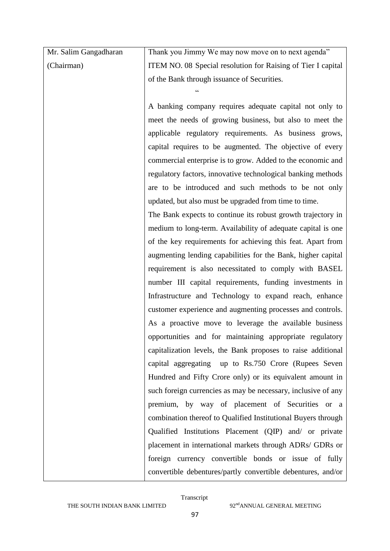| Mr. Salim Gangadharan | Thank you Jimmy We may now move on to next agenda"            |
|-----------------------|---------------------------------------------------------------|
| (Chairman)            | ITEM NO. 08 Special resolution for Raising of Tier I capital  |
|                       | of the Bank through issuance of Securities.                   |
|                       |                                                               |
|                       | A banking company requires adequate capital not only to       |
|                       | meet the needs of growing business, but also to meet the      |
|                       | applicable regulatory requirements. As business grows,        |
|                       | capital requires to be augmented. The objective of every      |
|                       | commercial enterprise is to grow. Added to the economic and   |
|                       | regulatory factors, innovative technological banking methods  |
|                       | are to be introduced and such methods to be not only          |
|                       | updated, but also must be upgraded from time to time.         |
|                       | The Bank expects to continue its robust growth trajectory in  |
|                       | medium to long-term. Availability of adequate capital is one  |
|                       | of the key requirements for achieving this feat. Apart from   |
|                       | augmenting lending capabilities for the Bank, higher capital  |
|                       | requirement is also necessitated to comply with BASEL         |
|                       | number III capital requirements, funding investments in       |
|                       | Infrastructure and Technology to expand reach, enhance        |
|                       | customer experience and augmenting processes and controls.    |
|                       | As a proactive move to leverage the available business        |
|                       | opportunities and for maintaining appropriate regulatory      |
|                       | capitalization levels, the Bank proposes to raise additional  |
|                       | capital aggregating up to Rs.750 Crore (Rupees Seven          |
|                       | Hundred and Fifty Crore only) or its equivalent amount in     |
|                       | such foreign currencies as may be necessary, inclusive of any |
|                       | premium, by way of placement of Securities or a               |
|                       | combination thereof to Qualified Institutional Buyers through |
|                       | Qualified Institutions Placement (QIP) and/ or private        |
|                       | placement in international markets through ADRs/ GDRs or      |
|                       | foreign currency convertible bonds or issue of fully          |
|                       | convertible debentures/partly convertible debentures, and/or  |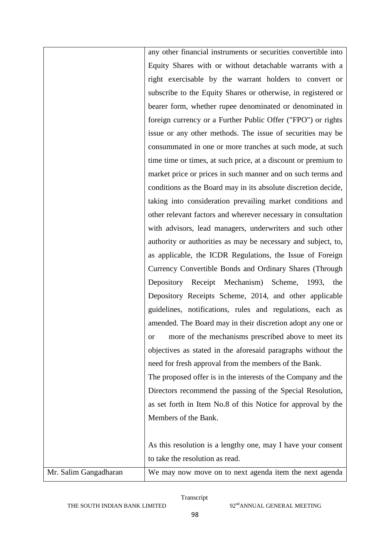|                       | any other financial instruments or securities convertible into |
|-----------------------|----------------------------------------------------------------|
|                       | Equity Shares with or without detachable warrants with a       |
|                       | right exercisable by the warrant holders to convert or         |
|                       | subscribe to the Equity Shares or otherwise, in registered or  |
|                       | bearer form, whether rupee denominated or denominated in       |
|                       | foreign currency or a Further Public Offer ("FPO") or rights   |
|                       | issue or any other methods. The issue of securities may be     |
|                       | consummated in one or more tranches at such mode, at such      |
|                       | time time or times, at such price, at a discount or premium to |
|                       | market price or prices in such manner and on such terms and    |
|                       | conditions as the Board may in its absolute discretion decide, |
|                       | taking into consideration prevailing market conditions and     |
|                       | other relevant factors and wherever necessary in consultation  |
|                       | with advisors, lead managers, underwriters and such other      |
|                       | authority or authorities as may be necessary and subject, to,  |
|                       | as applicable, the ICDR Regulations, the Issue of Foreign      |
|                       | Currency Convertible Bonds and Ordinary Shares (Through        |
|                       | Depository Receipt Mechanism) Scheme, 1993, the                |
|                       | Depository Receipts Scheme, 2014, and other applicable         |
|                       | guidelines, notifications, rules and regulations, each as      |
|                       | amended. The Board may in their discretion adopt any one or    |
|                       | more of the mechanisms prescribed above to meet its<br>or      |
|                       | objectives as stated in the aforesaid paragraphs without the   |
|                       | need for fresh approval from the members of the Bank.          |
|                       | The proposed offer is in the interests of the Company and the  |
|                       | Directors recommend the passing of the Special Resolution,     |
|                       | as set forth in Item No.8 of this Notice for approval by the   |
|                       | Members of the Bank.                                           |
|                       |                                                                |
|                       | As this resolution is a lengthy one, may I have your consent   |
|                       | to take the resolution as read.                                |
| Mr. Salim Gangadharan | We may now move on to next agenda item the next agenda         |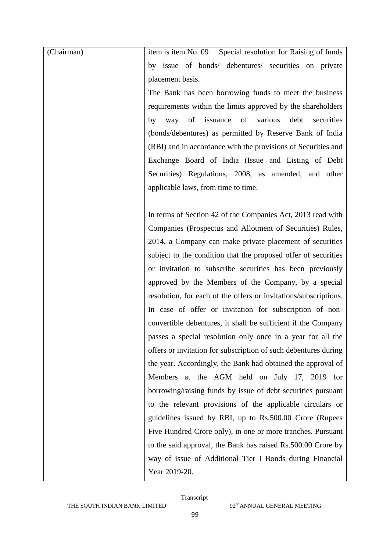| (Chairman) | Special resolution for Raising of funds<br>item is item No. 09     |
|------------|--------------------------------------------------------------------|
|            | by issue of bonds/ debentures/ securities on private               |
|            | placement basis.                                                   |
|            | The Bank has been borrowing funds to meet the business             |
|            | requirements within the limits approved by the shareholders        |
|            | of<br>issuance<br>of<br>various<br>debt<br>securities<br>way<br>by |
|            | (bonds/debentures) as permitted by Reserve Bank of India           |
|            | (RBI) and in accordance with the provisions of Securities and      |
|            | Exchange Board of India (Issue and Listing of Debt                 |
|            | Securities) Regulations, 2008, as amended, and other               |
|            | applicable laws, from time to time.                                |
|            |                                                                    |
|            | In terms of Section 42 of the Companies Act, 2013 read with        |
|            | Companies (Prospectus and Allotment of Securities) Rules,          |
|            | 2014, a Company can make private placement of securities           |
|            | subject to the condition that the proposed offer of securities     |
|            | or invitation to subscribe securities has been previously          |
|            | approved by the Members of the Company, by a special               |
|            | resolution, for each of the offers or invitations/subscriptions.   |
|            | In case of offer or invitation for subscription of non-            |
|            | convertible debentures, it shall be sufficient if the Company      |
|            | passes a special resolution only once in a year for all the        |
|            | offers or invitation for subscription of such debentures during    |
|            | the year. Accordingly, the Bank had obtained the approval of       |
|            | Members at the AGM held on July 17, 2019 for                       |
|            | borrowing/raising funds by issue of debt securities pursuant       |
|            | to the relevant provisions of the applicable circulars or          |
|            | guidelines issued by RBI, up to Rs.500.00 Crore (Rupees            |
|            | Five Hundred Crore only), in one or more tranches. Pursuant        |
|            | to the said approval, the Bank has raised Rs.500.00 Crore by       |
|            | way of issue of Additional Tier I Bonds during Financial           |
|            | Year 2019-20.                                                      |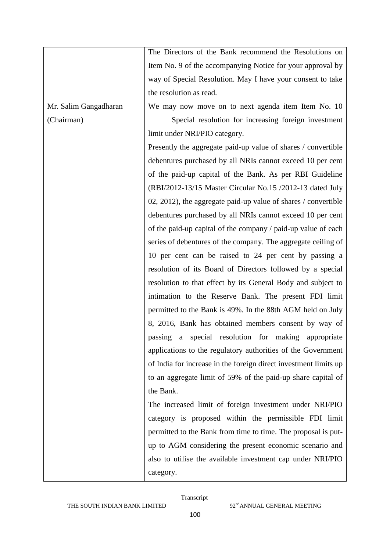|                       | The Directors of the Bank recommend the Resolutions on           |
|-----------------------|------------------------------------------------------------------|
|                       | Item No. 9 of the accompanying Notice for your approval by       |
|                       | way of Special Resolution. May I have your consent to take       |
|                       | the resolution as read.                                          |
| Mr. Salim Gangadharan | We may now move on to next agenda item Item No. 10               |
| (Chairman)            | Special resolution for increasing foreign investment             |
|                       | limit under NRI/PIO category.                                    |
|                       | Presently the aggregate paid-up value of shares / convertible    |
|                       | debentures purchased by all NRIs cannot exceed 10 per cent       |
|                       | of the paid-up capital of the Bank. As per RBI Guideline         |
|                       | (RBI/2012-13/15 Master Circular No.15 /2012-13 dated July        |
|                       | 02, 2012), the aggregate paid-up value of shares / convertible   |
|                       | debentures purchased by all NRIs cannot exceed 10 per cent       |
|                       | of the paid-up capital of the company / paid-up value of each    |
|                       | series of debentures of the company. The aggregate ceiling of    |
|                       | 10 per cent can be raised to 24 per cent by passing a            |
|                       | resolution of its Board of Directors followed by a special       |
|                       | resolution to that effect by its General Body and subject to     |
|                       | intimation to the Reserve Bank. The present FDI limit            |
|                       | permitted to the Bank is 49%. In the 88th AGM held on July       |
|                       | 8, 2016, Bank has obtained members consent by way of             |
|                       | passing a special resolution for making appropriate              |
|                       | applications to the regulatory authorities of the Government     |
|                       | of India for increase in the foreign direct investment limits up |
|                       | to an aggregate limit of 59% of the paid-up share capital of     |
|                       | the Bank.                                                        |
|                       | The increased limit of foreign investment under NRI/PIO          |
|                       | category is proposed within the permissible FDI limit            |
|                       | permitted to the Bank from time to time. The proposal is put-    |
|                       | up to AGM considering the present economic scenario and          |
|                       | also to utilise the available investment cap under NRI/PIO       |
|                       | category.                                                        |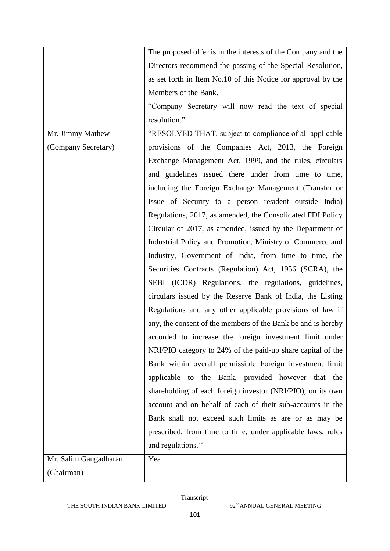|                       | The proposed offer is in the interests of the Company and the |
|-----------------------|---------------------------------------------------------------|
|                       | Directors recommend the passing of the Special Resolution,    |
|                       | as set forth in Item No.10 of this Notice for approval by the |
|                       | Members of the Bank.                                          |
|                       | "Company Secretary will now read the text of special          |
|                       | resolution."                                                  |
| Mr. Jimmy Mathew      | "RESOLVED THAT, subject to compliance of all applicable       |
| (Company Secretary)   | provisions of the Companies Act, 2013, the Foreign            |
|                       | Exchange Management Act, 1999, and the rules, circulars       |
|                       | and guidelines issued there under from time to time,          |
|                       | including the Foreign Exchange Management (Transfer or        |
|                       | Issue of Security to a person resident outside India)         |
|                       | Regulations, 2017, as amended, the Consolidated FDI Policy    |
|                       | Circular of 2017, as amended, issued by the Department of     |
|                       | Industrial Policy and Promotion, Ministry of Commerce and     |
|                       | Industry, Government of India, from time to time, the         |
|                       | Securities Contracts (Regulation) Act, 1956 (SCRA), the       |
|                       | SEBI (ICDR) Regulations, the regulations, guidelines,         |
|                       | circulars issued by the Reserve Bank of India, the Listing    |
|                       | Regulations and any other applicable provisions of law if     |
|                       | any, the consent of the members of the Bank be and is hereby  |
|                       | accorded to increase the foreign investment limit under       |
|                       | NRI/PIO category to 24% of the paid-up share capital of the   |
|                       | Bank within overall permissible Foreign investment limit      |
|                       | applicable to the Bank, provided however that the             |
|                       | shareholding of each foreign investor (NRI/PIO), on its own   |
|                       | account and on behalf of each of their sub-accounts in the    |
|                       | Bank shall not exceed such limits as are or as may be         |
|                       | prescribed, from time to time, under applicable laws, rules   |
|                       | and regulations."                                             |
| Mr. Salim Gangadharan | Yea                                                           |
| (Chairman)            |                                                               |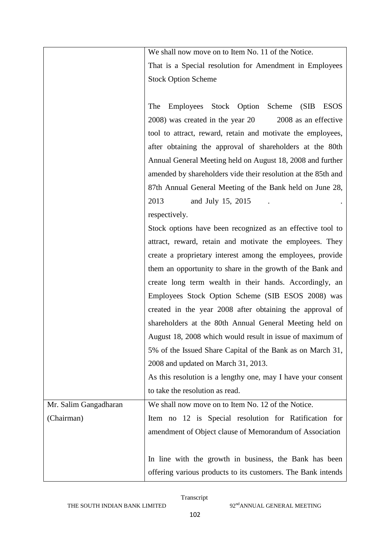|                       | We shall now move on to Item No. 11 of the Notice.            |
|-----------------------|---------------------------------------------------------------|
|                       | That is a Special resolution for Amendment in Employees       |
|                       | <b>Stock Option Scheme</b>                                    |
|                       |                                                               |
|                       | Employees Stock Option Scheme<br>The<br>(SIB<br><b>ESOS</b>   |
|                       | 2008 as an effective<br>2008) was created in the year 20      |
|                       | tool to attract, reward, retain and motivate the employees,   |
|                       | after obtaining the approval of shareholders at the 80th      |
|                       | Annual General Meeting held on August 18, 2008 and further    |
|                       | amended by shareholders vide their resolution at the 85th and |
|                       | 87th Annual General Meeting of the Bank held on June 28,      |
|                       | 2013<br>and July 15, 2015                                     |
|                       | respectively.                                                 |
|                       | Stock options have been recognized as an effective tool to    |
|                       | attract, reward, retain and motivate the employees. They      |
|                       | create a proprietary interest among the employees, provide    |
|                       | them an opportunity to share in the growth of the Bank and    |
|                       | create long term wealth in their hands. Accordingly, an       |
|                       | Employees Stock Option Scheme (SIB ESOS 2008) was             |
|                       | created in the year 2008 after obtaining the approval of      |
|                       | shareholders at the 80th Annual General Meeting held on       |
|                       | August 18, 2008 which would result in issue of maximum of     |
|                       | 5% of the Issued Share Capital of the Bank as on March 31,    |
|                       | 2008 and updated on March 31, 2013.                           |
|                       | As this resolution is a lengthy one, may I have your consent  |
|                       | to take the resolution as read.                               |
| Mr. Salim Gangadharan | We shall now move on to Item No. 12 of the Notice.            |
| (Chairman)            | Item no 12 is Special resolution for Ratification for         |
|                       | amendment of Object clause of Memorandum of Association       |
|                       |                                                               |
|                       | In line with the growth in business, the Bank has been        |
|                       | offering various products to its customers. The Bank intends  |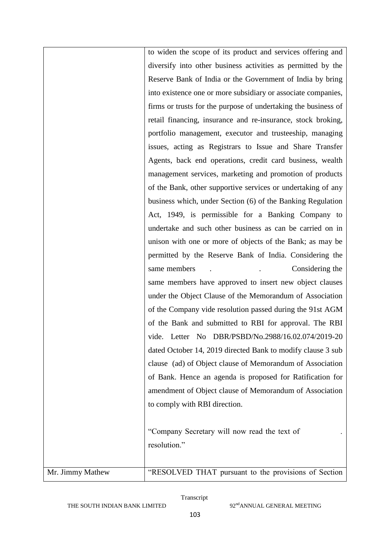|                  | to widen the scope of its product and services offering and    |
|------------------|----------------------------------------------------------------|
|                  | diversify into other business activities as permitted by the   |
|                  | Reserve Bank of India or the Government of India by bring      |
|                  | into existence one or more subsidiary or associate companies,  |
|                  | firms or trusts for the purpose of undertaking the business of |
|                  | retail financing, insurance and re-insurance, stock broking,   |
|                  | portfolio management, executor and trusteeship, managing       |
|                  | issues, acting as Registrars to Issue and Share Transfer       |
|                  | Agents, back end operations, credit card business, wealth      |
|                  | management services, marketing and promotion of products       |
|                  | of the Bank, other supportive services or undertaking of any   |
|                  | business which, under Section (6) of the Banking Regulation    |
|                  | Act, 1949, is permissible for a Banking Company to             |
|                  | undertake and such other business as can be carried on in      |
|                  | unison with one or more of objects of the Bank; as may be      |
|                  | permitted by the Reserve Bank of India. Considering the        |
|                  | Considering the<br>same members                                |
|                  | same members have approved to insert new object clauses        |
|                  | under the Object Clause of the Memorandum of Association       |
|                  | of the Company vide resolution passed during the 91st AGM      |
|                  | of the Bank and submitted to RBI for approval. The RBI         |
|                  | vide. Letter No DBR/PSBD/No.2988/16.02.074/2019-20             |
|                  | dated October 14, 2019 directed Bank to modify clause 3 sub    |
|                  | clause (ad) of Object clause of Memorandum of Association      |
|                  | of Bank. Hence an agenda is proposed for Ratification for      |
|                  | amendment of Object clause of Memorandum of Association        |
|                  | to comply with RBI direction.                                  |
|                  |                                                                |
|                  | "Company Secretary will now read the text of                   |
|                  | resolution."                                                   |
|                  |                                                                |
| Mr. Jimmy Mathew | "RESOLVED THAT pursuant to the provisions of Section           |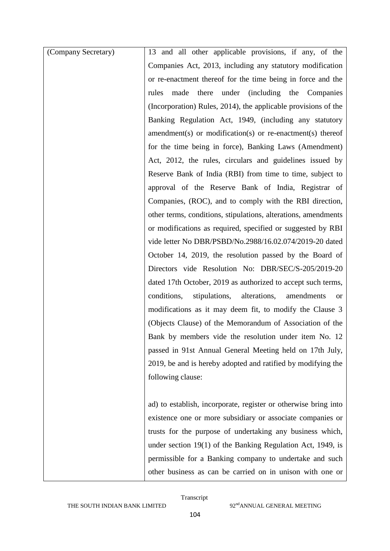| (Company Secretary) | 13 and all other applicable provisions, if any, of the                  |
|---------------------|-------------------------------------------------------------------------|
|                     | Companies Act, 2013, including any statutory modification               |
|                     | or re-enactment thereof for the time being in force and the             |
|                     | made there under (including the Companies<br>rules                      |
|                     | (Incorporation) Rules, 2014), the applicable provisions of the          |
|                     | Banking Regulation Act, 1949, (including any statutory                  |
|                     | $a$ mendment(s) or modification(s) or re-enactment(s) thereof           |
|                     | for the time being in force), Banking Laws (Amendment)                  |
|                     | Act, 2012, the rules, circulars and guidelines issued by                |
|                     | Reserve Bank of India (RBI) from time to time, subject to               |
|                     | approval of the Reserve Bank of India, Registrar of                     |
|                     | Companies, (ROC), and to comply with the RBI direction,                 |
|                     | other terms, conditions, stipulations, alterations, amendments          |
|                     | or modifications as required, specified or suggested by RBI             |
|                     | vide letter No DBR/PSBD/No.2988/16.02.074/2019-20 dated                 |
|                     | October 14, 2019, the resolution passed by the Board of                 |
|                     | Directors vide Resolution No: DBR/SEC/S-205/2019-20                     |
|                     | dated 17th October, 2019 as authorized to accept such terms,            |
|                     | stipulations,<br>alterations,<br>conditions,<br>amendments<br><b>or</b> |
|                     | modifications as it may deem fit, to modify the Clause 3                |
|                     | (Objects Clause) of the Memorandum of Association of the                |
|                     | Bank by members vide the resolution under item No. 12                   |
|                     | passed in 91st Annual General Meeting held on 17th July,                |
|                     | 2019, be and is hereby adopted and ratified by modifying the            |
|                     | following clause:                                                       |
|                     |                                                                         |
|                     | ad) to establish, incorporate, register or otherwise bring into         |
|                     | existence one or more subsidiary or associate companies or              |
|                     | trusts for the purpose of undertaking any business which,               |
|                     | under section $19(1)$ of the Banking Regulation Act, 1949, is           |
|                     | permissible for a Banking company to undertake and such                 |
|                     | other business as can be carried on in unison with one or               |

THE SOUTH INDIAN BANK LIMITED 92<sup>nd</sup>ANNUAL GENERAL MEETING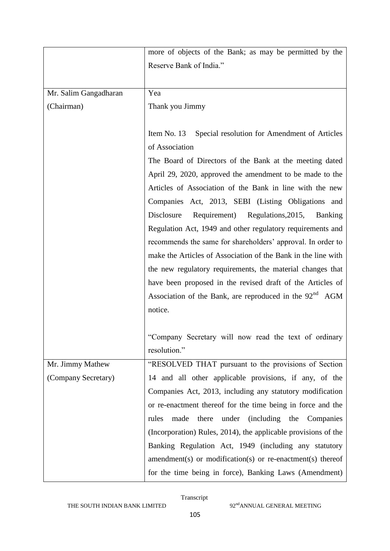|                       | more of objects of the Bank; as may be permitted by the             |
|-----------------------|---------------------------------------------------------------------|
|                       | Reserve Bank of India."                                             |
|                       |                                                                     |
| Mr. Salim Gangadharan | Yea                                                                 |
| (Chairman)            | Thank you Jimmy                                                     |
|                       |                                                                     |
|                       | Item No. 13<br>Special resolution for Amendment of Articles         |
|                       | of Association                                                      |
|                       | The Board of Directors of the Bank at the meeting dated             |
|                       | April 29, 2020, approved the amendment to be made to the            |
|                       | Articles of Association of the Bank in line with the new            |
|                       | Companies Act, 2013, SEBI (Listing Obligations and                  |
|                       | Requirement)<br>Regulations, 2015,<br>Disclosure<br><b>Banking</b>  |
|                       | Regulation Act, 1949 and other regulatory requirements and          |
|                       | recommends the same for shareholders' approval. In order to         |
|                       | make the Articles of Association of the Bank in the line with       |
|                       | the new regulatory requirements, the material changes that          |
|                       | have been proposed in the revised draft of the Articles of          |
|                       | Association of the Bank, are reproduced in the 92 <sup>nd</sup> AGM |
|                       | notice.                                                             |
|                       |                                                                     |
|                       | "Company Secretary will now read the text of ordinary               |
|                       | resolution."                                                        |
| Mr. Jimmy Mathew      | "RESOLVED THAT pursuant to the provisions of Section                |
| (Company Secretary)   | 14 and all other applicable provisions, if any, of the              |
|                       | Companies Act, 2013, including any statutory modification           |
|                       | or re-enactment thereof for the time being in force and the         |
|                       | made<br>there<br>under (including the Companies<br>rules            |
|                       | (Incorporation) Rules, 2014), the applicable provisions of the      |
|                       | Banking Regulation Act, 1949 (including any statutory               |
|                       | $a$ mendment(s) or modification(s) or re-enactment(s) thereof       |
|                       | for the time being in force), Banking Laws (Amendment)              |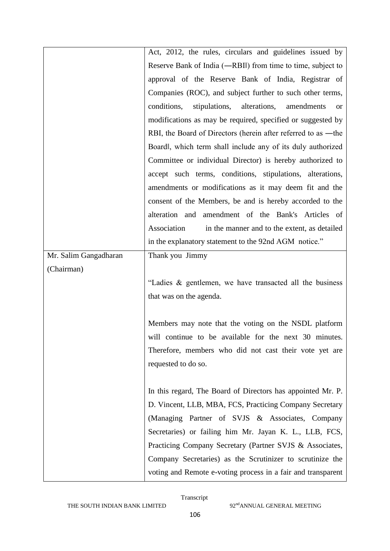|                       | Act, 2012, the rules, circulars and guidelines issued by                |
|-----------------------|-------------------------------------------------------------------------|
|                       | Reserve Bank of India (-RBII) from time to time, subject to             |
|                       | approval of the Reserve Bank of India, Registrar of                     |
|                       | Companies (ROC), and subject further to such other terms,               |
|                       | conditions,<br>stipulations,<br>alterations,<br>amendments<br><b>or</b> |
|                       | modifications as may be required, specified or suggested by             |
|                       | RBI, the Board of Directors (herein after referred to as —the           |
|                       | Boardl, which term shall include any of its duly authorized             |
|                       | Committee or individual Director) is hereby authorized to               |
|                       | accept such terms, conditions, stipulations, alterations,               |
|                       | amendments or modifications as it may deem fit and the                  |
|                       | consent of the Members, be and is hereby accorded to the                |
|                       | alteration and<br>amendment of the Bank's Articles of                   |
|                       | Association<br>in the manner and to the extent, as detailed             |
|                       | in the explanatory statement to the 92nd AGM notice."                   |
| Mr. Salim Gangadharan | Thank you Jimmy                                                         |
|                       |                                                                         |
| (Chairman)            |                                                                         |
|                       | "Ladies & gentlemen, we have transacted all the business                |
|                       | that was on the agenda.                                                 |
|                       |                                                                         |
|                       | Members may note that the voting on the NSDL platform                   |
|                       | will continue to be available for the next 30 minutes.                  |
|                       | Therefore, members who did not cast their vote yet are                  |
|                       | requested to do so.                                                     |
|                       |                                                                         |
|                       | In this regard, The Board of Directors has appointed Mr. P.             |
|                       | D. Vincent, LLB, MBA, FCS, Practicing Company Secretary                 |
|                       | (Managing Partner of SVJS & Associates, Company                         |
|                       | Secretaries) or failing him Mr. Jayan K. L., LLB, FCS,                  |
|                       | Practicing Company Secretary (Partner SVJS & Associates,                |
|                       | Company Secretaries) as the Scrutinizer to scrutinize the               |